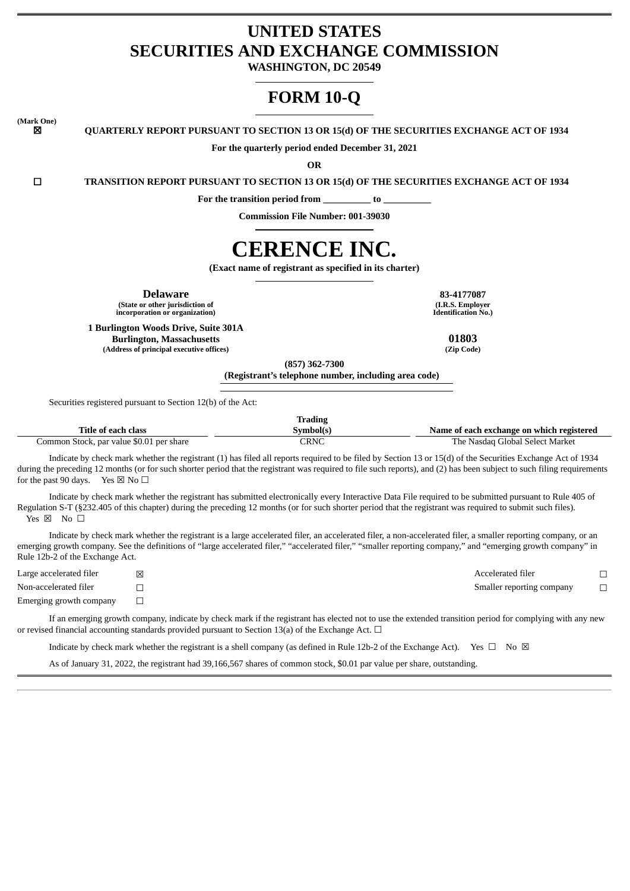## **UNITED STATES SECURITIES AND EXCHANGE COMMISSION**

**WASHINGTON, DC 20549**

# **FORM 10-Q**

**(Mark One)**

☒ **QUARTERLY REPORT PURSUANT TO SECTION 13 OR 15(d) OF THE SECURITIES EXCHANGE ACT OF 1934**

**For the quarterly period ended December 31, 2021**

**OR**

☐ **TRANSITION REPORT PURSUANT TO SECTION 13 OR 15(d) OF THE SECURITIES EXCHANGE ACT OF 1934**

**For the transition period from \_\_\_\_\_\_\_\_\_\_ to \_\_\_\_\_\_\_\_\_\_**

**Commission File Number: 001-39030**

# **CERENCE INC.**

**(Exact name of registrant as specified in its charter)**

**(State or other jurisdiction of**

**incorporation or organization) 1 Burlington Woods Drive, Suite 301A**

**Burlington, Massachusetts 01803 (Address of principal executive offices) (Zip Code)**

**Delaware 83-4177087 (I.R.S. Employer Identification No.)**

**(857) 362-7300**

**(Registrant's telephone number, including area code)**

Securities registered pursuant to Section 12(b) of the Act:

|                                          | <b>Trading</b> |                                           |
|------------------------------------------|----------------|-------------------------------------------|
| Title of each class                      | Svmbol(s)      | Name of each exchange on which registered |
| Common Stock, par value \$0.01 per share | CRNC           | The Nasdag Global Select Market           |

Indicate by check mark whether the registrant (1) has filed all reports required to be filed by Section 13 or 15(d) of the Securities Exchange Act of 1934 during the preceding 12 months (or for such shorter period that the registrant was required to file such reports), and (2) has been subject to such filing requirements for the past 90 days. Yes  $\boxtimes$  No  $\Box$ 

Indicate by check mark whether the registrant has submitted electronically every Interactive Data File required to be submitted pursuant to Rule 405 of Regulation S-T (§232.405 of this chapter) during the preceding 12 months (or for such shorter period that the registrant was required to submit such files). Yes ⊠ No □

Indicate by check mark whether the registrant is a large accelerated filer, an accelerated filer, a non-accelerated filer, a smaller reporting company, or an emerging growth company. See the definitions of "large accelerated filer," "accelerated filer," "smaller reporting company," and "emerging growth company" in Rule 12b-2 of the Exchange Act.

| Large accelerated filer | ⊠ | Accelerated filer         |  |
|-------------------------|---|---------------------------|--|
| Non-accelerated filer   |   | Smaller reporting company |  |
| Emerging growth company |   |                           |  |

If an emerging growth company, indicate by check mark if the registrant has elected not to use the extended transition period for complying with any new or revised financial accounting standards provided pursuant to Section 13(a) of the Exchange Act.  $\Box$ 

Indicate by check mark whether the registrant is a shell company (as defined in Rule 12b-2 of the Exchange Act). Yes  $\Box$  No  $\boxtimes$ 

As of January 31, 2022, the registrant had 39,166,567 shares of common stock, \$0.01 par value per share, outstanding.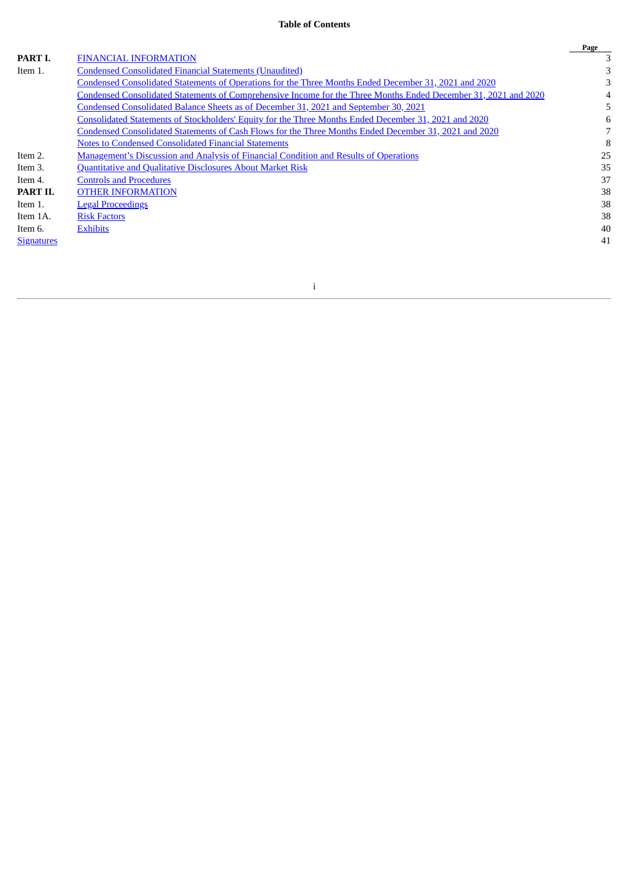## **Table of Contents**

|                   |                                                                                                                 | Page |
|-------------------|-----------------------------------------------------------------------------------------------------------------|------|
| PART I.           | <b>FINANCIAL INFORMATION</b>                                                                                    | 3    |
| Item 1.           | <b>Condensed Consolidated Financial Statements (Unaudited)</b>                                                  | 3    |
|                   | Condensed Consolidated Statements of Operations for the Three Months Ended December 31, 2021 and 2020           |      |
|                   | Condensed Consolidated Statements of Comprehensive Income for the Three Months Ended December 31, 2021 and 2020 |      |
|                   | Condensed Consolidated Balance Sheets as of December 31, 2021 and September 30, 2021                            |      |
|                   | Consolidated Statements of Stockholders' Equity for the Three Months Ended December 31, 2021 and 2020           | 6    |
|                   | Condensed Consolidated Statements of Cash Flows for the Three Months Ended December 31, 2021 and 2020           |      |
|                   | <b>Notes to Condensed Consolidated Financial Statements</b>                                                     | 8    |
| Item 2.           | <b>Management's Discussion and Analysis of Financial Condition and Results of Operations</b>                    | 25   |
| Item 3.           | <b>Quantitative and Qualitative Disclosures About Market Risk</b>                                               | 35   |
| Item 4.           | <b>Controls and Procedures</b>                                                                                  | 37   |
| PART II.          | <b>OTHER INFORMATION</b>                                                                                        | 38   |
| Item 1.           | <b>Legal Proceedings</b>                                                                                        | 38   |
| Item 1A.          | <b>Risk Factors</b>                                                                                             | 38   |
| Item 6.           | <b>Exhibits</b>                                                                                                 | 40   |
| <b>Signatures</b> |                                                                                                                 | 41   |
|                   |                                                                                                                 |      |

i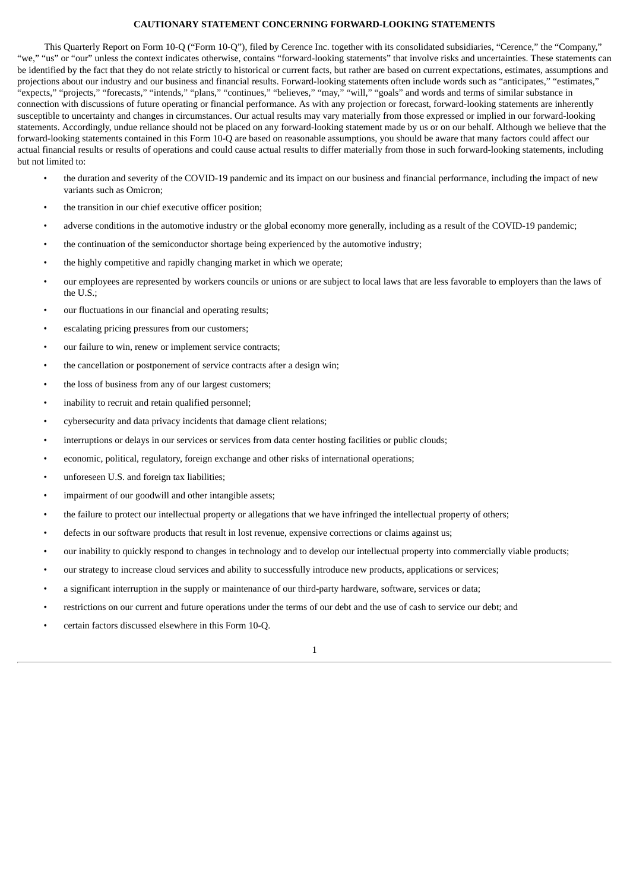## **CAUTIONARY STATEMENT CONCERNING FORWARD-LOOKING STATEMENTS**

This Quarterly Report on Form 10-Q ("Form 10-Q"), filed by Cerence Inc. together with its consolidated subsidiaries, "Cerence," the "Company," "we," "us" or "our" unless the context indicates otherwise, contains "forward-looking statements" that involve risks and uncertainties. These statements can be identified by the fact that they do not relate strictly to historical or current facts, but rather are based on current expectations, estimates, assumptions and projections about our industry and our business and financial results. Forward-looking statements often include words such as "anticipates," "estimates," "expects," "projects," "forecasts," "intends," "plans," "continues," "believes," "may," "will," "goals" and words and terms of similar substance in connection with discussions of future operating or financial performance. As with any projection or forecast, forward-looking statements are inherently susceptible to uncertainty and changes in circumstances. Our actual results may vary materially from those expressed or implied in our forward-looking statements. Accordingly, undue reliance should not be placed on any forward-looking statement made by us or on our behalf. Although we believe that the forward-looking statements contained in this Form 10-Q are based on reasonable assumptions, you should be aware that many factors could affect our actual financial results or results of operations and could cause actual results to differ materially from those in such forward-looking statements, including but not limited to:

- the duration and severity of the COVID-19 pandemic and its impact on our business and financial performance, including the impact of new variants such as Omicron;
- the transition in our chief executive officer position;
- adverse conditions in the automotive industry or the global economy more generally, including as a result of the COVID-19 pandemic;
- the continuation of the semiconductor shortage being experienced by the automotive industry;
- the highly competitive and rapidly changing market in which we operate;
- our employees are represented by workers councils or unions or are subject to local laws that are less favorable to employers than the laws of the U.S.;
- our fluctuations in our financial and operating results;
- escalating pricing pressures from our customers;
- our failure to win, renew or implement service contracts;
- the cancellation or postponement of service contracts after a design win;
- the loss of business from any of our largest customers;
- inability to recruit and retain qualified personnel;
- cybersecurity and data privacy incidents that damage client relations;
- interruptions or delays in our services or services from data center hosting facilities or public clouds;
- economic, political, regulatory, foreign exchange and other risks of international operations;
- unforeseen U.S. and foreign tax liabilities;
- impairment of our goodwill and other intangible assets;
- the failure to protect our intellectual property or allegations that we have infringed the intellectual property of others;
- defects in our software products that result in lost revenue, expensive corrections or claims against us;
- our inability to quickly respond to changes in technology and to develop our intellectual property into commercially viable products;
- our strategy to increase cloud services and ability to successfully introduce new products, applications or services;
- a significant interruption in the supply or maintenance of our third-party hardware, software, services or data;
- restrictions on our current and future operations under the terms of our debt and the use of cash to service our debt; and
- certain factors discussed elsewhere in this Form 10-Q.

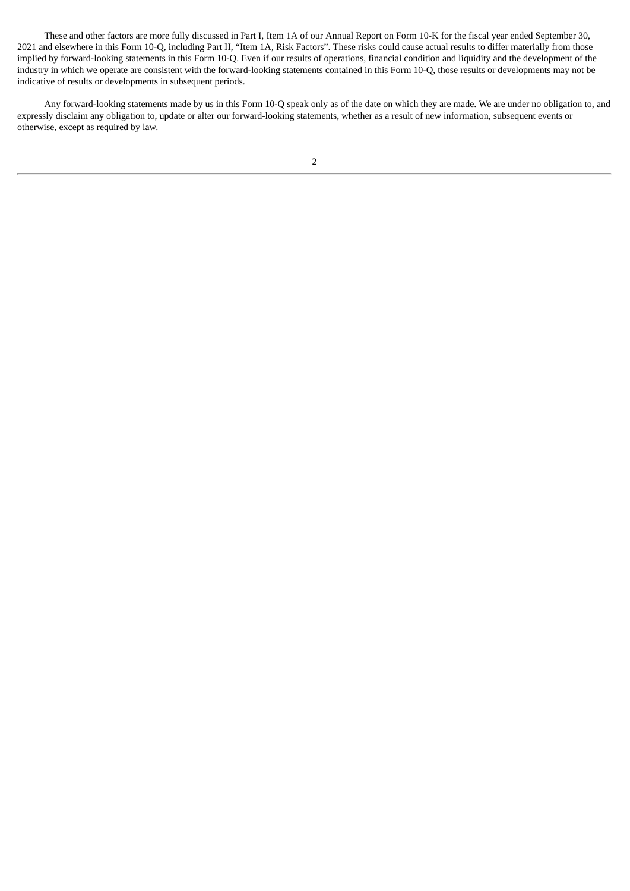These and other factors are more fully discussed in Part I, Item 1A of our Annual Report on Form 10-K for the fiscal year ended September 30, 2021 and elsewhere in this Form 10-Q, including Part II, "Item 1A, Risk Factors". These risks could cause actual results to differ materially from those implied by forward-looking statements in this Form 10-Q. Even if our results of operations, financial condition and liquidity and the development of the industry in which we operate are consistent with the forward-looking statements contained in this Form 10-Q, those results or developments may not be indicative of results or developments in subsequent periods.

Any forward-looking statements made by us in this Form 10-Q speak only as of the date on which they are made. We are under no obligation to, and expressly disclaim any obligation to, update or alter our forward-looking statements, whether as a result of new information, subsequent events or otherwise, except as required by law.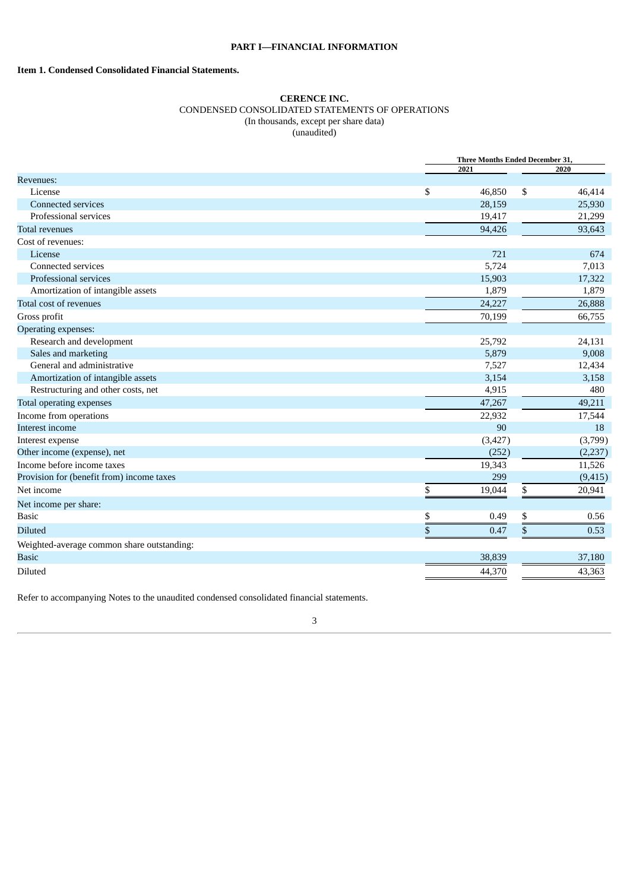## **PART I—FINANCIAL INFORMATION**

## <span id="page-4-2"></span><span id="page-4-1"></span><span id="page-4-0"></span>**Item 1. Condensed Consolidated Financial Statements.**

## **CERENCE INC.** CONDENSED CONSOLIDATED STATEMENTS OF OPERATIONS (In thousands, except per share data) (unaudited)

| <b>Revenues:</b><br>\$<br>License<br><b>Connected services</b><br>Professional services<br><b>Total revenues</b> | 2021<br>46,850<br>28,159<br>19,417<br>94,426<br>721<br>5,724 | \$                             | 2020<br>46,414<br>25,930<br>21,299<br>93,643<br>674 |
|------------------------------------------------------------------------------------------------------------------|--------------------------------------------------------------|--------------------------------|-----------------------------------------------------|
|                                                                                                                  |                                                              |                                |                                                     |
|                                                                                                                  |                                                              |                                |                                                     |
|                                                                                                                  |                                                              |                                |                                                     |
|                                                                                                                  |                                                              |                                |                                                     |
|                                                                                                                  |                                                              |                                |                                                     |
|                                                                                                                  |                                                              |                                |                                                     |
| Cost of revenues:                                                                                                |                                                              |                                |                                                     |
| License                                                                                                          |                                                              |                                |                                                     |
| Connected services                                                                                               |                                                              |                                | 7,013                                               |
| Professional services                                                                                            | 15,903                                                       |                                | 17,322                                              |
| Amortization of intangible assets                                                                                | 1,879                                                        |                                | 1,879                                               |
| Total cost of revenues                                                                                           | 24,227                                                       |                                | 26,888                                              |
| Gross profit                                                                                                     | 70,199                                                       |                                | 66,755                                              |
| Operating expenses:                                                                                              |                                                              |                                |                                                     |
| Research and development                                                                                         | 25,792                                                       |                                | 24,131                                              |
| Sales and marketing                                                                                              | 5,879                                                        |                                | 9,008                                               |
| General and administrative                                                                                       | 7,527                                                        |                                | 12,434                                              |
| Amortization of intangible assets                                                                                | 3,154                                                        |                                | 3,158                                               |
| Restructuring and other costs, net                                                                               | 4,915                                                        |                                | 480                                                 |
| Total operating expenses                                                                                         | 47,267                                                       |                                | 49,211                                              |
| Income from operations                                                                                           | 22,932                                                       |                                | 17,544                                              |
| Interest income                                                                                                  | 90                                                           |                                | 18                                                  |
| Interest expense                                                                                                 | (3, 427)                                                     |                                | (3,799)                                             |
| Other income (expense), net                                                                                      | (252)                                                        |                                | (2, 237)                                            |
| Income before income taxes                                                                                       | 19,343                                                       |                                | 11,526                                              |
| Provision for (benefit from) income taxes                                                                        | 299                                                          |                                | (9, 415)                                            |
| \$<br>Net income                                                                                                 | 19,044                                                       | \$                             | 20,941                                              |
| Net income per share:                                                                                            |                                                              |                                |                                                     |
| <b>Basic</b><br>\$                                                                                               | 0.49                                                         | \$                             | 0.56                                                |
| <b>Diluted</b><br>\$                                                                                             | 0.47                                                         | $\overline{\phantom{0}}$<br>\$ | 0.53                                                |
| Weighted-average common share outstanding:                                                                       |                                                              |                                |                                                     |
| Basic                                                                                                            | 38,839                                                       |                                | 37,180                                              |
| Diluted                                                                                                          | 44,370                                                       |                                | 43,363                                              |

Refer to accompanying Notes to the unaudited condensed consolidated financial statements.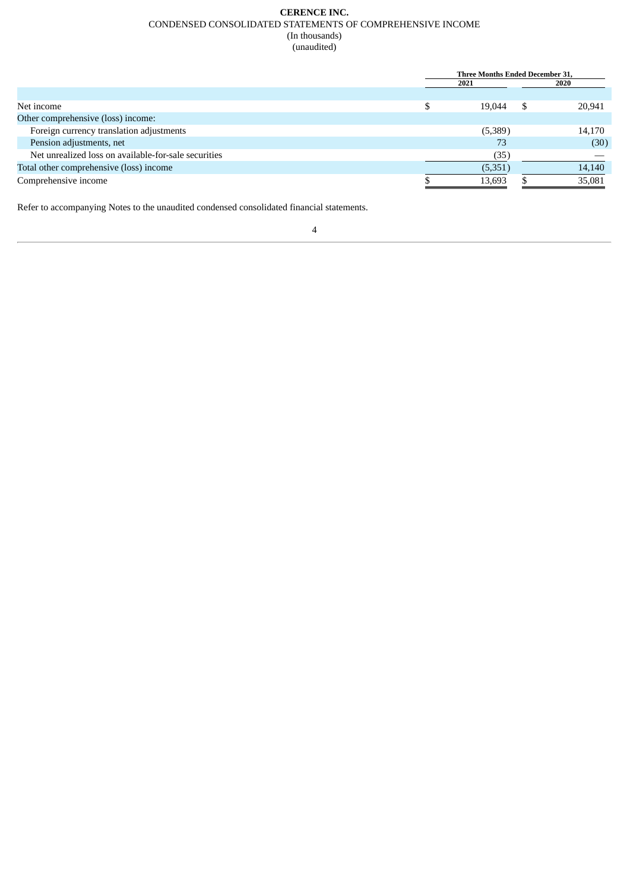## **CERENCE INC.** CONDENSED CONSOLIDATED STATEMENTS OF COMPREHENSIVE INCOME (In thousands) (unaudited)

<span id="page-5-0"></span>

|                                                      | <b>Three Months Ended December 31,</b> |   |        |  |
|------------------------------------------------------|----------------------------------------|---|--------|--|
|                                                      | 2021                                   |   | 2020   |  |
|                                                      |                                        |   |        |  |
| Net income                                           | 19.044                                 | S | 20,941 |  |
| Other comprehensive (loss) income:                   |                                        |   |        |  |
| Foreign currency translation adjustments             | (5,389)                                |   | 14,170 |  |
| Pension adjustments, net                             | 73                                     |   | (30)   |  |
| Net unrealized loss on available-for-sale securities | (35)                                   |   |        |  |
| Total other comprehensive (loss) income              | (5,351)                                |   | 14,140 |  |
| Comprehensive income                                 | 13.693                                 |   | 35,081 |  |
|                                                      |                                        |   |        |  |

Refer to accompanying Notes to the unaudited condensed consolidated financial statements.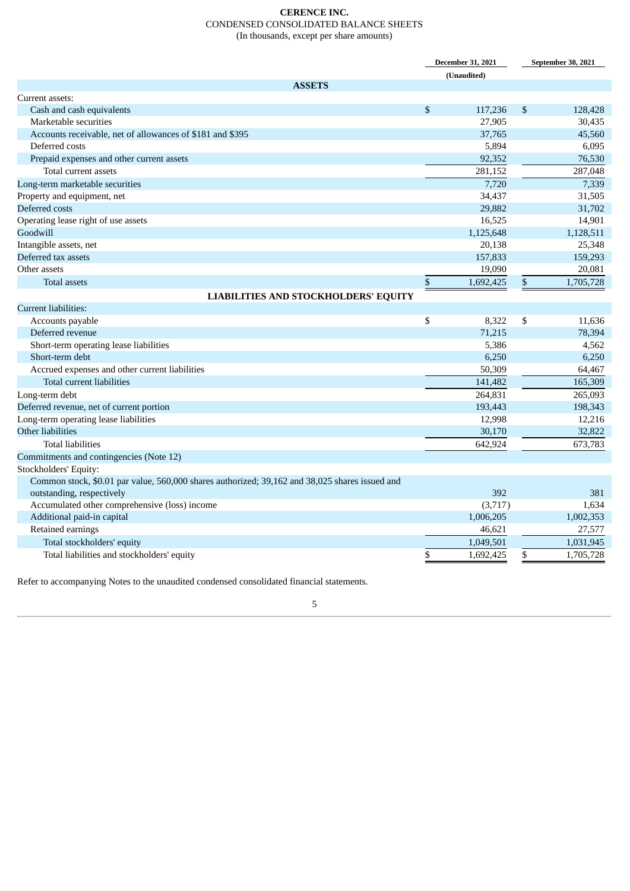## **CERENCE INC.** CONDENSED CONSOLIDATED BALANCE SHEETS (In thousands, except per share amounts)

<span id="page-6-0"></span>

|                                                                                                                             | <b>December 31, 2021</b> | September 30, 2021 |
|-----------------------------------------------------------------------------------------------------------------------------|--------------------------|--------------------|
| <b>ASSETS</b>                                                                                                               | (Unaudited)              |                    |
| Current assets:                                                                                                             |                          |                    |
| Cash and cash equivalents                                                                                                   | \$<br>117,236            | \$<br>128,428      |
| Marketable securities                                                                                                       | 27,905                   | 30,435             |
| Accounts receivable, net of allowances of \$181 and \$395                                                                   | 37,765                   | 45,560             |
| Deferred costs                                                                                                              | 5,894                    | 6,095              |
| Prepaid expenses and other current assets                                                                                   | 92,352                   | 76,530             |
| Total current assets                                                                                                        | 281,152                  | 287,048            |
| Long-term marketable securities                                                                                             | 7,720                    | 7,339              |
| Property and equipment, net                                                                                                 | 34,437                   | 31,505             |
| Deferred costs                                                                                                              | 29,882                   | 31,702             |
| Operating lease right of use assets                                                                                         | 16,525                   | 14,901             |
| Goodwill                                                                                                                    | 1,125,648                | 1,128,511          |
| Intangible assets, net                                                                                                      | 20,138                   | 25,348             |
| Deferred tax assets                                                                                                         | 157,833                  | 159,293            |
| Other assets                                                                                                                | 19,090                   | 20,081             |
| <b>Total assets</b>                                                                                                         | \$<br>1,692,425          | \$<br>1,705,728    |
|                                                                                                                             |                          |                    |
| <b>LIABILITIES AND STOCKHOLDERS' EQUITY</b>                                                                                 |                          |                    |
| Current liabilities:                                                                                                        |                          |                    |
| Accounts payable                                                                                                            | \$<br>8,322              | \$<br>11,636       |
| Deferred revenue                                                                                                            | 71,215                   | 78,394             |
| Short-term operating lease liabilities                                                                                      | 5,386                    | 4,562              |
| Short-term debt                                                                                                             | 6,250                    | 6,250              |
| Accrued expenses and other current liabilities                                                                              | 50,309                   | 64,467             |
| Total current liabilities                                                                                                   | 141,482                  | 165,309            |
| Long-term debt                                                                                                              | 264,831                  | 265,093            |
| Deferred revenue, net of current portion                                                                                    | 193,443                  | 198,343            |
| Long-term operating lease liabilities                                                                                       | 12,998                   | 12,216             |
| Other liabilities                                                                                                           | 30,170                   | 32,822             |
| <b>Total liabilities</b>                                                                                                    | 642,924                  | 673,783            |
| Commitments and contingencies (Note 12)                                                                                     |                          |                    |
| Stockholders' Equity:                                                                                                       |                          |                    |
| Common stock, \$0.01 par value, 560,000 shares authorized; 39,162 and 38,025 shares issued and<br>outstanding, respectively | 392                      | 381                |
| Accumulated other comprehensive (loss) income                                                                               | (3,717)                  | 1,634              |
| Additional paid-in capital                                                                                                  | 1,006,205                | 1,002,353          |
| Retained earnings                                                                                                           | 46,621                   | 27,577             |
| Total stockholders' equity                                                                                                  | 1,049,501                | 1,031,945          |
| Total liabilities and stockholders' equity                                                                                  | \$<br>1,692,425          | \$<br>1,705,728    |

5

Refer to accompanying Notes to the unaudited condensed consolidated financial statements.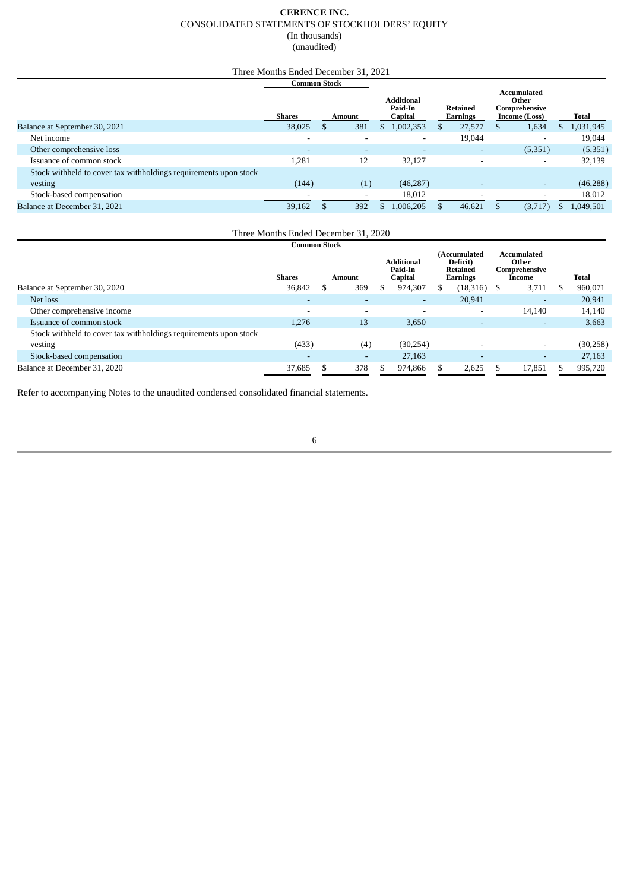## **CERENCE INC.** CONSOLIDATED STATEMENTS OF STOCKHOLDERS' EQUITY (In thousands) (unaudited)

## Three Months Ended December 31, 2021

<span id="page-7-0"></span>

|                                                                  | Common Stock  |   |                          |    |                                         |                             |                                              |                          |           |
|------------------------------------------------------------------|---------------|---|--------------------------|----|-----------------------------------------|-----------------------------|----------------------------------------------|--------------------------|-----------|
|                                                                  | <b>Shares</b> |   | Amount                   |    | <b>Additional</b><br>Paid-In<br>Capital | <b>Retained</b><br>Earnings | <b>Accumulated</b><br>Other<br>Income (Loss) | Comprehensive            | Total     |
| Balance at September 30, 2021                                    | 38,025        | ъ | 381                      | Ъ. | 1,002,353                               | 27,577                      | <b>JD</b>                                    | 1,634                    | 1,031,945 |
| Net income                                                       | -             |   |                          |    | $\overline{\phantom{a}}$                | 19.044                      |                                              | $\overline{\phantom{a}}$ | 19.044    |
| Other comprehensive loss                                         | -             |   | $\overline{\phantom{0}}$ |    | $\overline{\phantom{a}}$                |                             |                                              | (5,351)                  | (5,351)   |
| Issuance of common stock                                         | 1,281         |   | 12                       |    | 32,127                                  | $\overline{\phantom{a}}$    |                                              | $\overline{\phantom{a}}$ | 32,139    |
| Stock withheld to cover tax withholdings requirements upon stock |               |   |                          |    |                                         |                             |                                              |                          |           |
| vesting                                                          | (144)         |   | (1)                      |    | (46, 287)                               |                             |                                              | $\overline{\phantom{a}}$ | (46, 288) |
| Stock-based compensation                                         |               |   | $\overline{\phantom{a}}$ |    | 18,012                                  |                             |                                              | $\overline{\phantom{a}}$ | 18,012    |
| Balance at December 31, 2021                                     | 39,162        |   | 392                      |    | 1,006,205                               | 46.621                      |                                              | (3,717)                  | 1,049,501 |

|                                                                  | Three Months Ended December 31, 2020 |                          |                                         |   |                                                         |                                                 |           |
|------------------------------------------------------------------|--------------------------------------|--------------------------|-----------------------------------------|---|---------------------------------------------------------|-------------------------------------------------|-----------|
|                                                                  | <b>Common Stock</b>                  |                          |                                         |   |                                                         |                                                 |           |
|                                                                  | <b>Shares</b>                        | Amount                   | <b>Additional</b><br>Paid-In<br>Capital |   | (Accumulated<br>Deficit)<br><b>Retained</b><br>Earnings | Accumulated<br>Other<br>Comprehensive<br>Income | Total     |
| Balance at September 30, 2020                                    | 36,842                               | 369                      | 974,307                                 | S | $(18,316)$ \$                                           | 3,711                                           | 960,071   |
| Net loss                                                         | ٠                                    | ٠                        | ٠                                       |   | 20,941                                                  | $\overline{\phantom{a}}$                        | 20,941    |
| Other comprehensive income                                       |                                      | $\overline{\phantom{a}}$ | -                                       |   |                                                         | 14,140                                          | 14,140    |
| Issuance of common stock                                         | 1,276                                | 13                       | 3,650                                   |   |                                                         |                                                 | 3,663     |
| Stock withheld to cover tax withholdings requirements upon stock |                                      |                          |                                         |   |                                                         |                                                 |           |
| vesting                                                          | (433)                                | (4)                      | (30, 254)                               |   |                                                         |                                                 | (30, 258) |
| Stock-based compensation                                         |                                      | $\overline{\phantom{a}}$ | 27,163                                  |   |                                                         |                                                 | 27,163    |
| Balance at December 31, 2020                                     | 37,685                               | 378                      | 974,866                                 |   | 2,625                                                   | 17,851                                          | 995,720   |

Refer to accompanying Notes to the unaudited condensed consolidated financial statements.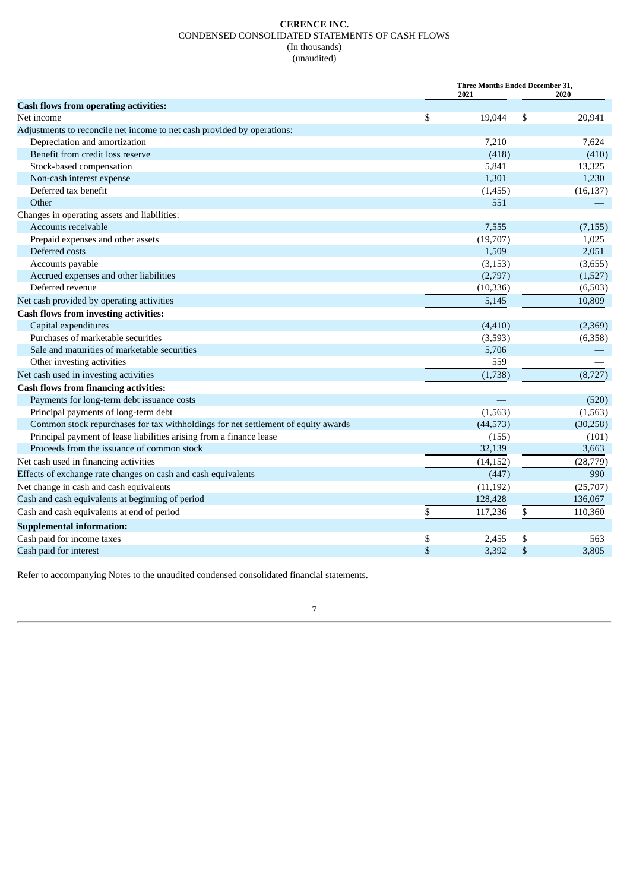## **CERENCE INC.** CONDENSED CONSOLIDATED STATEMENTS OF CASH FLOWS (In thousands) (unaudited)

<span id="page-8-0"></span>

|                                                                                   | <b>Three Months Ended December 31,</b> |           |    |           |
|-----------------------------------------------------------------------------------|----------------------------------------|-----------|----|-----------|
|                                                                                   |                                        | 2021      |    | 2020      |
| <b>Cash flows from operating activities:</b>                                      |                                        |           |    |           |
| Net income                                                                        | \$                                     | 19,044    | \$ | 20,941    |
| Adjustments to reconcile net income to net cash provided by operations:           |                                        |           |    |           |
| Depreciation and amortization                                                     |                                        | 7,210     |    | 7,624     |
| Benefit from credit loss reserve                                                  |                                        | (418)     |    | (410)     |
| Stock-based compensation                                                          |                                        | 5,841     |    | 13,325    |
| Non-cash interest expense                                                         |                                        | 1,301     |    | 1,230     |
| Deferred tax benefit                                                              |                                        | (1,455)   |    | (16, 137) |
| Other                                                                             |                                        | 551       |    |           |
| Changes in operating assets and liabilities:                                      |                                        |           |    |           |
| Accounts receivable                                                               |                                        | 7,555     |    | (7, 155)  |
| Prepaid expenses and other assets                                                 |                                        | (19,707)  |    | 1,025     |
| Deferred costs                                                                    |                                        | 1,509     |    | 2,051     |
| Accounts payable                                                                  |                                        | (3, 153)  |    | (3,655)   |
| Accrued expenses and other liabilities                                            |                                        | (2,797)   |    | (1,527)   |
| Deferred revenue                                                                  |                                        | (10, 336) |    | (6,503)   |
| Net cash provided by operating activities                                         |                                        | 5,145     |    | 10,809    |
| <b>Cash flows from investing activities:</b>                                      |                                        |           |    |           |
| Capital expenditures                                                              |                                        | (4, 410)  |    | (2,369)   |
| Purchases of marketable securities                                                |                                        | (3,593)   |    | (6,358)   |
| Sale and maturities of marketable securities                                      |                                        | 5,706     |    |           |
| Other investing activities                                                        |                                        | 559       |    |           |
| Net cash used in investing activities                                             |                                        | (1,738)   |    | (8,727)   |
| <b>Cash flows from financing activities:</b>                                      |                                        |           |    |           |
| Payments for long-term debt issuance costs                                        |                                        |           |    | (520)     |
| Principal payments of long-term debt                                              |                                        | (1, 563)  |    | (1, 563)  |
| Common stock repurchases for tax withholdings for net settlement of equity awards |                                        | (44, 573) |    | (30, 258) |
| Principal payment of lease liabilities arising from a finance lease               |                                        | (155)     |    | (101)     |
| Proceeds from the issuance of common stock                                        |                                        | 32,139    |    | 3,663     |
| Net cash used in financing activities                                             |                                        | (14, 152) |    | (28, 779) |
| Effects of exchange rate changes on cash and cash equivalents                     |                                        | (447)     |    | 990       |
| Net change in cash and cash equivalents                                           |                                        | (11, 192) |    | (25,707)  |
| Cash and cash equivalents at beginning of period                                  |                                        | 128,428   |    | 136,067   |
| Cash and cash equivalents at end of period                                        | \$                                     | 117,236   | \$ | 110,360   |
| <b>Supplemental information:</b>                                                  |                                        |           |    |           |
| Cash paid for income taxes                                                        | \$                                     | 2,455     | \$ | 563       |
| Cash paid for interest                                                            | \$                                     | 3,392     | \$ | 3,805     |

Refer to accompanying Notes to the unaudited condensed consolidated financial statements.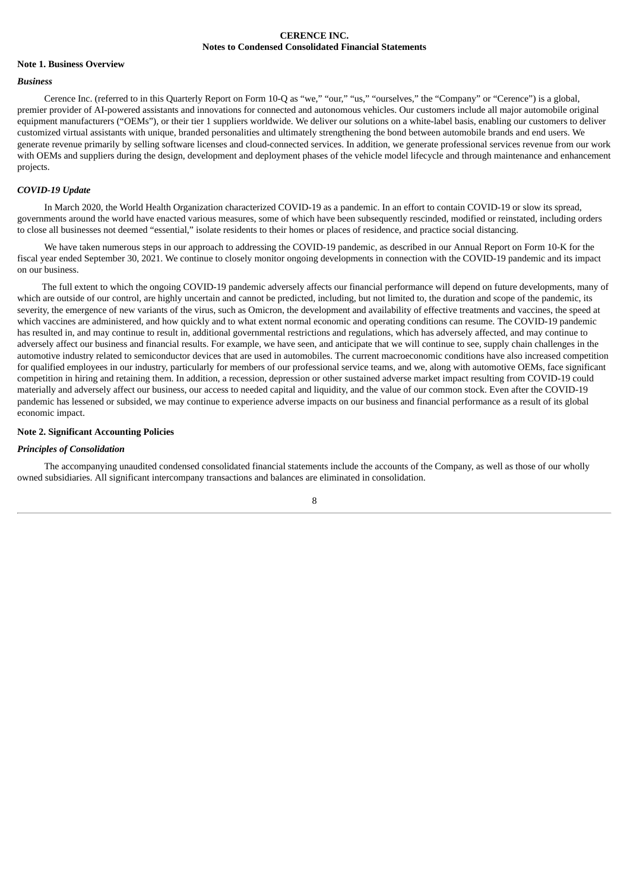## **CERENCE INC. Notes to Condensed Consolidated Financial Statements**

#### <span id="page-9-0"></span>**Note 1. Business Overview**

#### *Business*

Cerence Inc. (referred to in this Quarterly Report on Form 10-Q as "we," "our," "us," "ourselves," the "Company" or "Cerence") is a global, premier provider of AI-powered assistants and innovations for connected and autonomous vehicles. Our customers include all major automobile original equipment manufacturers ("OEMs"), or their tier 1 suppliers worldwide. We deliver our solutions on a white-label basis, enabling our customers to deliver customized virtual assistants with unique, branded personalities and ultimately strengthening the bond between automobile brands and end users. We generate revenue primarily by selling software licenses and cloud-connected services. In addition, we generate professional services revenue from our work with OEMs and suppliers during the design, development and deployment phases of the vehicle model lifecycle and through maintenance and enhancement projects.

#### *COVID-19 Update*

In March 2020, the World Health Organization characterized COVID-19 as a pandemic. In an effort to contain COVID-19 or slow its spread, governments around the world have enacted various measures, some of which have been subsequently rescinded, modified or reinstated, including orders to close all businesses not deemed "essential," isolate residents to their homes or places of residence, and practice social distancing.

We have taken numerous steps in our approach to addressing the COVID-19 pandemic, as described in our Annual Report on Form 10-K for the fiscal year ended September 30, 2021. We continue to closely monitor ongoing developments in connection with the COVID-19 pandemic and its impact on our business.

The full extent to which the ongoing COVID-19 pandemic adversely affects our financial performance will depend on future developments, many of which are outside of our control, are highly uncertain and cannot be predicted, including, but not limited to, the duration and scope of the pandemic, its severity, the emergence of new variants of the virus, such as Omicron, the development and availability of effective treatments and vaccines, the speed at which vaccines are administered, and how quickly and to what extent normal economic and operating conditions can resume. The COVID-19 pandemic has resulted in, and may continue to result in, additional governmental restrictions and regulations, which has adversely affected, and may continue to adversely affect our business and financial results. For example, we have seen, and anticipate that we will continue to see, supply chain challenges in the automotive industry related to semiconductor devices that are used in automobiles. The current macroeconomic conditions have also increased competition for qualified employees in our industry, particularly for members of our professional service teams, and we, along with automotive OEMs, face significant competition in hiring and retaining them. In addition, a recession, depression or other sustained adverse market impact resulting from COVID-19 could materially and adversely affect our business, our access to needed capital and liquidity, and the value of our common stock. Even after the COVID-19 pandemic has lessened or subsided, we may continue to experience adverse impacts on our business and financial performance as a result of its global economic impact.

## **Note 2. Significant Accounting Policies**

#### *Principles of Consolidation*

The accompanying unaudited condensed consolidated financial statements include the accounts of the Company, as well as those of our wholly owned subsidiaries. All significant intercompany transactions and balances are eliminated in consolidation.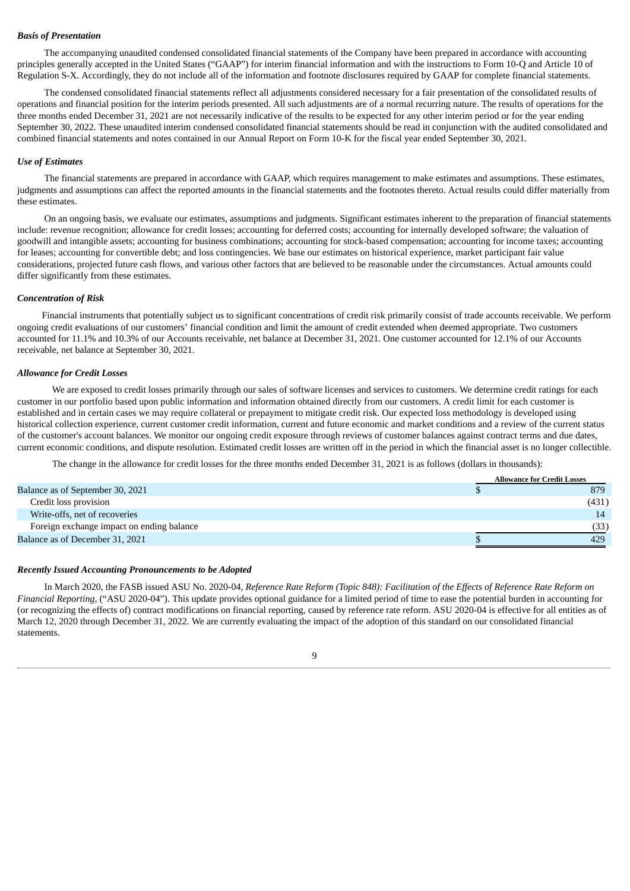#### *Basis of Presentation*

The accompanying unaudited condensed consolidated financial statements of the Company have been prepared in accordance with accounting principles generally accepted in the United States ("GAAP") for interim financial information and with the instructions to Form 10-Q and Article 10 of Regulation S-X. Accordingly, they do not include all of the information and footnote disclosures required by GAAP for complete financial statements.

The condensed consolidated financial statements reflect all adjustments considered necessary for a fair presentation of the consolidated results of operations and financial position for the interim periods presented. All such adjustments are of a normal recurring nature. The results of operations for the three months ended December 31, 2021 are not necessarily indicative of the results to be expected for any other interim period or for the year ending September 30, 2022. These unaudited interim condensed consolidated financial statements should be read in conjunction with the audited consolidated and combined financial statements and notes contained in our Annual Report on Form 10-K for the fiscal year ended September 30, 2021.

#### *Use of Estimates*

The financial statements are prepared in accordance with GAAP, which requires management to make estimates and assumptions. These estimates, judgments and assumptions can affect the reported amounts in the financial statements and the footnotes thereto. Actual results could differ materially from these estimates.

On an ongoing basis, we evaluate our estimates, assumptions and judgments. Significant estimates inherent to the preparation of financial statements include: revenue recognition; allowance for credit losses; accounting for deferred costs; accounting for internally developed software; the valuation of goodwill and intangible assets; accounting for business combinations; accounting for stock-based compensation; accounting for income taxes; accounting for leases; accounting for convertible debt; and loss contingencies. We base our estimates on historical experience, market participant fair value considerations, projected future cash flows, and various other factors that are believed to be reasonable under the circumstances. Actual amounts could differ significantly from these estimates.

#### *Concentration of Risk*

Financial instruments that potentially subject us to significant concentrations of credit risk primarily consist of trade accounts receivable. We perform ongoing credit evaluations of our customers' financial condition and limit the amount of credit extended when deemed appropriate. Two customers accounted for 11.1% and 10.3% of our Accounts receivable, net balance at December 31, 2021. One customer accounted for 12.1% of our Accounts receivable, net balance at September 30, 2021.

#### *Allowance for Credit Losses*

We are exposed to credit losses primarily through our sales of software licenses and services to customers. We determine credit ratings for each customer in our portfolio based upon public information and information obtained directly from our customers. A credit limit for each customer is established and in certain cases we may require collateral or prepayment to mitigate credit risk. Our expected loss methodology is developed using historical collection experience, current customer credit information, current and future economic and market conditions and a review of the current status of the customer's account balances. We monitor our ongoing credit exposure through reviews of customer balances against contract terms and due dates, current economic conditions, and dispute resolution. Estimated credit losses are written off in the period in which the financial asset is no longer collectible.

The change in the allowance for credit losses for the three months ended December 31, 2021 is as follows (dollars in thousands):

|                                           | <b>Allowance for Credit Losses</b> |
|-------------------------------------------|------------------------------------|
| Balance as of September 30, 2021          | 879                                |
| Credit loss provision                     | (431)                              |
| Write-offs, net of recoveries             | 14                                 |
| Foreign exchange impact on ending balance | (33)                               |
| Balance as of December 31, 2021           | 429                                |

#### *Recently Issued Accounting Pronouncements to be Adopted*

In March 2020, the FASB issued ASU No. 2020-04, Reference Rate Reform (Topic 848): Facilitation of the Effects of Reference Rate Reform on *Financial Reporting*, ("ASU 2020-04"). This update provides optional guidance for a limited period of time to ease the potential burden in accounting for (or recognizing the effects of) contract modifications on financial reporting, caused by reference rate reform. ASU 2020-04 is effective for all entities as of March 12, 2020 through December 31, 2022. We are currently evaluating the impact of the adoption of this standard on our consolidated financial statements.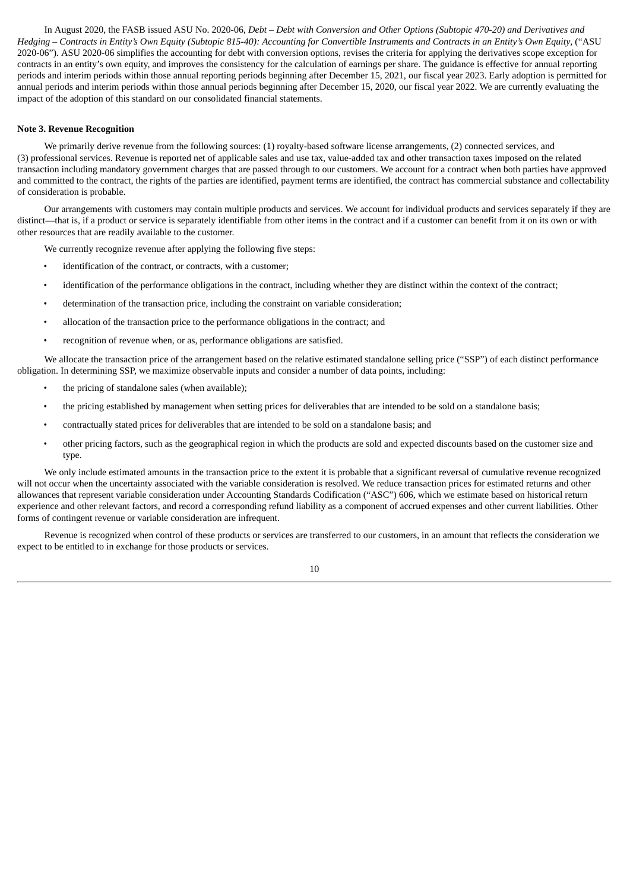In August 2020, the FASB issued ASU No. 2020-06, *Debt – Debt with Conversion and Other Options (Subtopic 470-20) and Derivatives and* Hedging - Contracts in Entity's Own Equity (Subtopic 815-40): Accounting for Convertible Instruments and Contracts in an Entity's Own Equity, ("ASU 2020-06"). ASU 2020-06 simplifies the accounting for debt with conversion options, revises the criteria for applying the derivatives scope exception for contracts in an entity's own equity, and improves the consistency for the calculation of earnings per share. The guidance is effective for annual reporting periods and interim periods within those annual reporting periods beginning after December 15, 2021, our fiscal year 2023. Early adoption is permitted for annual periods and interim periods within those annual periods beginning after December 15, 2020, our fiscal year 2022. We are currently evaluating the impact of the adoption of this standard on our consolidated financial statements.

#### **Note 3. Revenue Recognition**

We primarily derive revenue from the following sources: (1) royalty-based software license arrangements, (2) connected services, and (3) professional services. Revenue is reported net of applicable sales and use tax, value-added tax and other transaction taxes imposed on the related transaction including mandatory government charges that are passed through to our customers. We account for a contract when both parties have approved and committed to the contract, the rights of the parties are identified, payment terms are identified, the contract has commercial substance and collectability of consideration is probable.

Our arrangements with customers may contain multiple products and services. We account for individual products and services separately if they are distinct—that is, if a product or service is separately identifiable from other items in the contract and if a customer can benefit from it on its own or with other resources that are readily available to the customer.

We currently recognize revenue after applying the following five steps:

- identification of the contract, or contracts, with a customer;
- identification of the performance obligations in the contract, including whether they are distinct within the context of the contract;
- determination of the transaction price, including the constraint on variable consideration;
- allocation of the transaction price to the performance obligations in the contract; and
- recognition of revenue when, or as, performance obligations are satisfied.

We allocate the transaction price of the arrangement based on the relative estimated standalone selling price ("SSP") of each distinct performance obligation. In determining SSP, we maximize observable inputs and consider a number of data points, including:

- the pricing of standalone sales (when available);
- the pricing established by management when setting prices for deliverables that are intended to be sold on a standalone basis;
- contractually stated prices for deliverables that are intended to be sold on a standalone basis; and
- other pricing factors, such as the geographical region in which the products are sold and expected discounts based on the customer size and type.

We only include estimated amounts in the transaction price to the extent it is probable that a significant reversal of cumulative revenue recognized will not occur when the uncertainty associated with the variable consideration is resolved. We reduce transaction prices for estimated returns and other allowances that represent variable consideration under Accounting Standards Codification ("ASC") 606, which we estimate based on historical return experience and other relevant factors, and record a corresponding refund liability as a component of accrued expenses and other current liabilities. Other forms of contingent revenue or variable consideration are infrequent.

Revenue is recognized when control of these products or services are transferred to our customers, in an amount that reflects the consideration we expect to be entitled to in exchange for those products or services.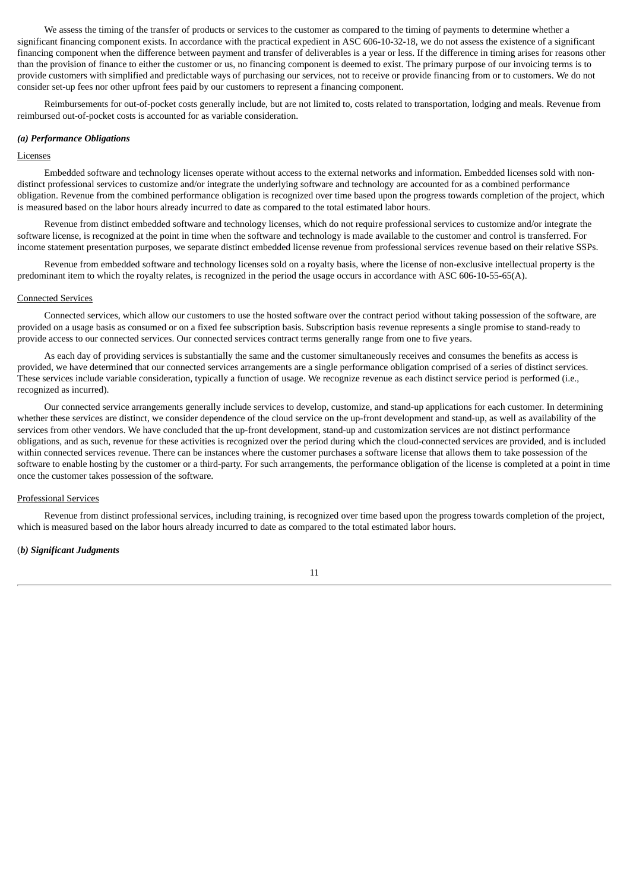We assess the timing of the transfer of products or services to the customer as compared to the timing of payments to determine whether a significant financing component exists. In accordance with the practical expedient in ASC 606-10-32-18, we do not assess the existence of a significant financing component when the difference between payment and transfer of deliverables is a year or less. If the difference in timing arises for reasons other than the provision of finance to either the customer or us, no financing component is deemed to exist. The primary purpose of our invoicing terms is to provide customers with simplified and predictable ways of purchasing our services, not to receive or provide financing from or to customers. We do not consider set-up fees nor other upfront fees paid by our customers to represent a financing component.

Reimbursements for out-of-pocket costs generally include, but are not limited to, costs related to transportation, lodging and meals. Revenue from reimbursed out-of-pocket costs is accounted for as variable consideration.

#### *(a) Performance Obligations*

## **Licenses**

Embedded software and technology licenses operate without access to the external networks and information. Embedded licenses sold with nondistinct professional services to customize and/or integrate the underlying software and technology are accounted for as a combined performance obligation. Revenue from the combined performance obligation is recognized over time based upon the progress towards completion of the project, which is measured based on the labor hours already incurred to date as compared to the total estimated labor hours.

Revenue from distinct embedded software and technology licenses, which do not require professional services to customize and/or integrate the software license, is recognized at the point in time when the software and technology is made available to the customer and control is transferred. For income statement presentation purposes, we separate distinct embedded license revenue from professional services revenue based on their relative SSPs.

Revenue from embedded software and technology licenses sold on a royalty basis, where the license of non-exclusive intellectual property is the predominant item to which the royalty relates, is recognized in the period the usage occurs in accordance with ASC 606-10-55-65(A).

#### Connected Services

Connected services, which allow our customers to use the hosted software over the contract period without taking possession of the software, are provided on a usage basis as consumed or on a fixed fee subscription basis. Subscription basis revenue represents a single promise to stand-ready to provide access to our connected services. Our connected services contract terms generally range from one to five years.

As each day of providing services is substantially the same and the customer simultaneously receives and consumes the benefits as access is provided, we have determined that our connected services arrangements are a single performance obligation comprised of a series of distinct services. These services include variable consideration, typically a function of usage. We recognize revenue as each distinct service period is performed (i.e., recognized as incurred).

Our connected service arrangements generally include services to develop, customize, and stand-up applications for each customer. In determining whether these services are distinct, we consider dependence of the cloud service on the up-front development and stand-up, as well as availability of the services from other vendors. We have concluded that the up-front development, stand-up and customization services are not distinct performance obligations, and as such, revenue for these activities is recognized over the period during which the cloud-connected services are provided, and is included within connected services revenue. There can be instances where the customer purchases a software license that allows them to take possession of the software to enable hosting by the customer or a third-party. For such arrangements, the performance obligation of the license is completed at a point in time once the customer takes possession of the software.

#### Professional Services

Revenue from distinct professional services, including training, is recognized over time based upon the progress towards completion of the project, which is measured based on the labor hours already incurred to date as compared to the total estimated labor hours.

## (*b) Significant Judgments*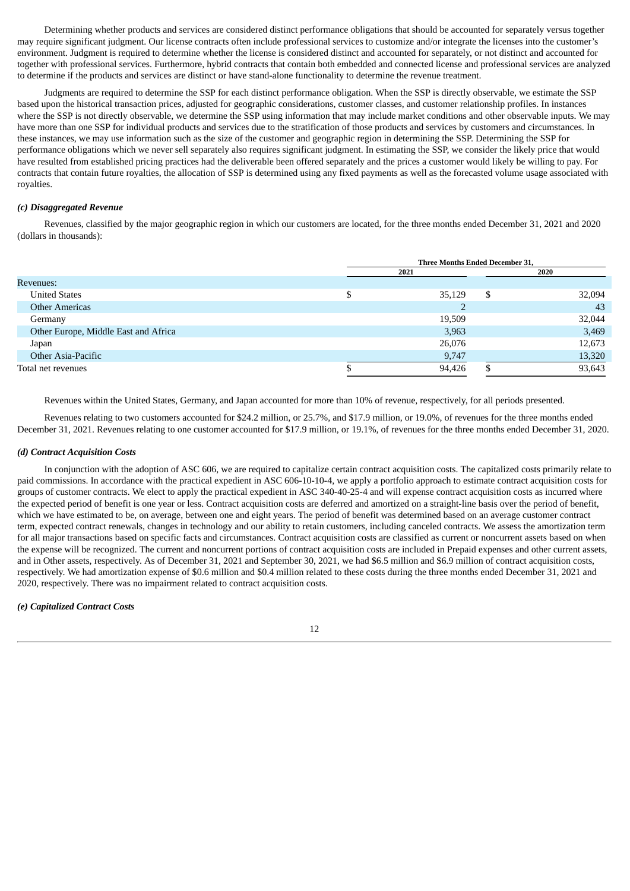Determining whether products and services are considered distinct performance obligations that should be accounted for separately versus together may require significant judgment. Our license contracts often include professional services to customize and/or integrate the licenses into the customer's environment. Judgment is required to determine whether the license is considered distinct and accounted for separately, or not distinct and accounted for together with professional services. Furthermore, hybrid contracts that contain both embedded and connected license and professional services are analyzed to determine if the products and services are distinct or have stand-alone functionality to determine the revenue treatment.

Judgments are required to determine the SSP for each distinct performance obligation. When the SSP is directly observable, we estimate the SSP based upon the historical transaction prices, adjusted for geographic considerations, customer classes, and customer relationship profiles. In instances where the SSP is not directly observable, we determine the SSP using information that may include market conditions and other observable inputs. We may have more than one SSP for individual products and services due to the stratification of those products and services by customers and circumstances. In these instances, we may use information such as the size of the customer and geographic region in determining the SSP. Determining the SSP for performance obligations which we never sell separately also requires significant judgment. In estimating the SSP, we consider the likely price that would have resulted from established pricing practices had the deliverable been offered separately and the prices a customer would likely be willing to pay. For contracts that contain future royalties, the allocation of SSP is determined using any fixed payments as well as the forecasted volume usage associated with royalties.

#### *(c) Disaggregated Revenue*

Revenues, classified by the major geographic region in which our customers are located, for the three months ended December 31, 2021 and 2020 (dollars in thousands):

|                                      | Three Months Ended December 31, |        |    |        |  |
|--------------------------------------|---------------------------------|--------|----|--------|--|
|                                      |                                 | 2021   |    | 2020   |  |
| Revenues:                            |                                 |        |    |        |  |
| <b>United States</b>                 | \$                              | 35,129 | -S | 32,094 |  |
| <b>Other Americas</b>                |                                 |        |    | 43     |  |
| Germany                              |                                 | 19,509 |    | 32,044 |  |
| Other Europe, Middle East and Africa |                                 | 3,963  |    | 3,469  |  |
| Japan                                |                                 | 26,076 |    | 12,673 |  |
| Other Asia-Pacific                   |                                 | 9,747  |    | 13,320 |  |
| Total net revenues                   |                                 | 94,426 |    | 93,643 |  |

Revenues within the United States, Germany, and Japan accounted for more than 10% of revenue, respectively, for all periods presented.

Revenues relating to two customers accounted for \$24.2 million, or 25.7%, and \$17.9 million, or 19.0%, of revenues for the three months ended December 31, 2021. Revenues relating to one customer accounted for \$17.9 million, or 19.1%, of revenues for the three months ended December 31, 2020.

#### *(d) Contract Acquisition Costs*

In conjunction with the adoption of ASC 606, we are required to capitalize certain contract acquisition costs. The capitalized costs primarily relate to paid commissions. In accordance with the practical expedient in ASC 606-10-10-4, we apply a portfolio approach to estimate contract acquisition costs for groups of customer contracts. We elect to apply the practical expedient in ASC 340-40-25-4 and will expense contract acquisition costs as incurred where the expected period of benefit is one year or less. Contract acquisition costs are deferred and amortized on a straight-line basis over the period of benefit, which we have estimated to be, on average, between one and eight years. The period of benefit was determined based on an average customer contract term, expected contract renewals, changes in technology and our ability to retain customers, including canceled contracts. We assess the amortization term for all major transactions based on specific facts and circumstances. Contract acquisition costs are classified as current or noncurrent assets based on when the expense will be recognized. The current and noncurrent portions of contract acquisition costs are included in Prepaid expenses and other current assets, and in Other assets, respectively. As of December 31, 2021 and September 30, 2021, we had \$6.5 million and \$6.9 million of contract acquisition costs, respectively. We had amortization expense of \$0.6 million and \$0.4 million related to these costs during the three months ended December 31, 2021 and 2020, respectively. There was no impairment related to contract acquisition costs.

## *(e) Capitalized Contract Costs*

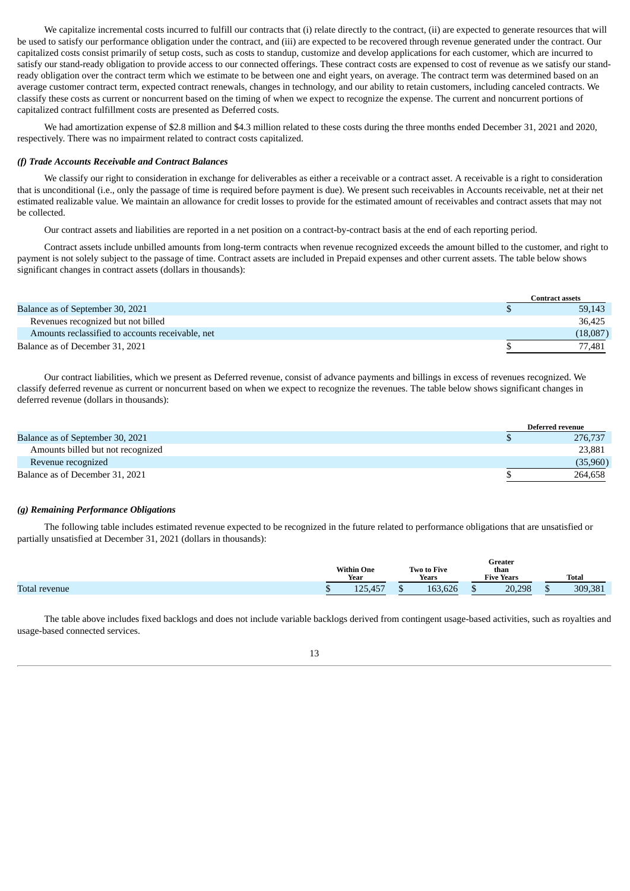We capitalize incremental costs incurred to fulfill our contracts that (i) relate directly to the contract, (ii) are expected to generate resources that will be used to satisfy our performance obligation under the contract, and (iii) are expected to be recovered through revenue generated under the contract. Our capitalized costs consist primarily of setup costs, such as costs to standup, customize and develop applications for each customer, which are incurred to satisfy our stand-ready obligation to provide access to our connected offerings. These contract costs are expensed to cost of revenue as we satisfy our standready obligation over the contract term which we estimate to be between one and eight years, on average. The contract term was determined based on an average customer contract term, expected contract renewals, changes in technology, and our ability to retain customers, including canceled contracts. We classify these costs as current or noncurrent based on the timing of when we expect to recognize the expense. The current and noncurrent portions of capitalized contract fulfillment costs are presented as Deferred costs.

We had amortization expense of \$2.8 million and \$4.3 million related to these costs during the three months ended December 31, 2021 and 2020, respectively. There was no impairment related to contract costs capitalized.

## *(f) Trade Accounts Receivable and Contract Balances*

We classify our right to consideration in exchange for deliverables as either a receivable or a contract asset. A receivable is a right to consideration that is unconditional (i.e., only the passage of time is required before payment is due). We present such receivables in Accounts receivable, net at their net estimated realizable value. We maintain an allowance for credit losses to provide for the estimated amount of receivables and contract assets that may not be collected.

Our contract assets and liabilities are reported in a net position on a contract-by-contract basis at the end of each reporting period.

Contract assets include unbilled amounts from long-term contracts when revenue recognized exceeds the amount billed to the customer, and right to payment is not solely subject to the passage of time. Contract assets are included in Prepaid expenses and other current assets. The table below shows significant changes in contract assets (dollars in thousands):

|                                                  | Contract assets |
|--------------------------------------------------|-----------------|
| Balance as of September 30, 2021                 | 59,143          |
| Revenues recognized but not billed               | 36,425          |
| Amounts reclassified to accounts receivable, net | (18,087)        |
| Balance as of December 31, 2021                  | 77.481          |

Our contract liabilities, which we present as Deferred revenue, consist of advance payments and billings in excess of revenues recognized. We classify deferred revenue as current or noncurrent based on when we expect to recognize the revenues. The table below shows significant changes in deferred revenue (dollars in thousands):

|                                   | Deferred revenue |
|-----------------------------------|------------------|
| Balance as of September 30, 2021  | 276,737          |
| Amounts billed but not recognized | 23.881           |
| Revenue recognized                | (35,960)         |
| Balance as of December 31, 2021   | 264,658          |

#### *(g) Remaining Performance Obligations*

The following table includes estimated revenue expected to be recognized in the future related to performance obligations that are unsatisfied or partially unsatisfied at December 31, 2021 (dollars in thousands):

|               | <b>Within One</b> |                          |  |         | Two to Five  |        | Greater<br>than<br><b>Five Years</b> |  |  |
|---------------|-------------------|--------------------------|--|---------|--------------|--------|--------------------------------------|--|--|
|               |                   | Year                     |  | Years   | <b>Total</b> |        |                                      |  |  |
| Total revenue |                   | .45<br>1 D.E.<br>140,407 |  | 163,626 |              | 20,298 | 309,381                              |  |  |

The table above includes fixed backlogs and does not include variable backlogs derived from contingent usage-based activities, such as royalties and usage-based connected services.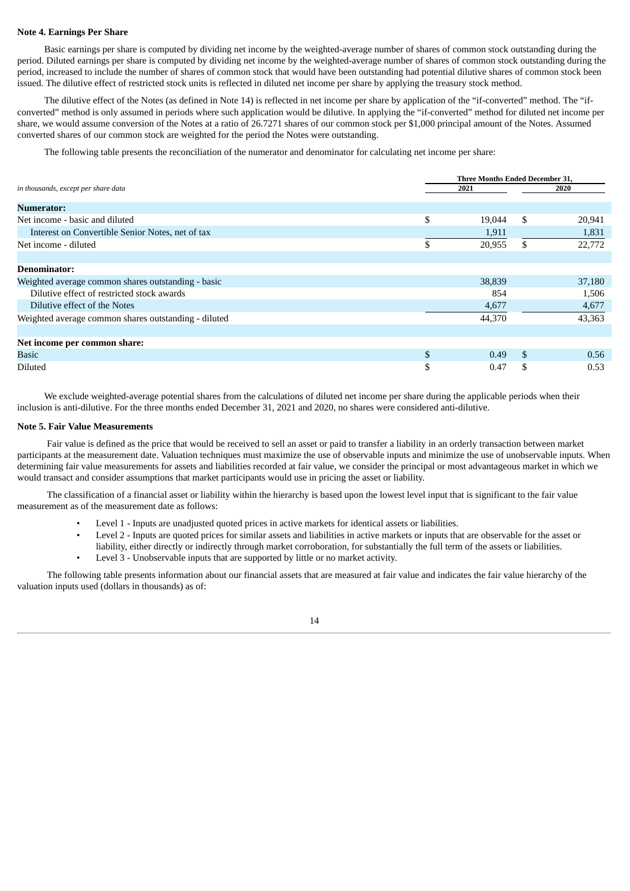#### **Note 4. Earnings Per Share**

Basic earnings per share is computed by dividing net income by the weighted-average number of shares of common stock outstanding during the period. Diluted earnings per share is computed by dividing net income by the weighted-average number of shares of common stock outstanding during the period, increased to include the number of shares of common stock that would have been outstanding had potential dilutive shares of common stock been issued. The dilutive effect of restricted stock units is reflected in diluted net income per share by applying the treasury stock method.

The dilutive effect of the Notes (as defined in Note 14) is reflected in net income per share by application of the "if-converted" method. The "ifconverted" method is only assumed in periods where such application would be dilutive. In applying the "if-converted" method for diluted net income per share, we would assume conversion of the Notes at a ratio of 26.7271 shares of our common stock per \$1,000 principal amount of the Notes. Assumed converted shares of our common stock are weighted for the period the Notes were outstanding.

The following table presents the reconciliation of the numerator and denominator for calculating net income per share:

|                                                      |      | <b>Three Months Ended December 31.</b> |    |        |
|------------------------------------------------------|------|----------------------------------------|----|--------|
| in thousands, except per share data                  | 2021 |                                        |    | 2020   |
| <b>Numerator:</b>                                    |      |                                        |    |        |
| Net income - basic and diluted                       | \$   | 19,044                                 | \$ | 20,941 |
| Interest on Convertible Senior Notes, net of tax     |      | 1,911                                  |    | 1,831  |
| Net income - diluted                                 | \$   | 20,955                                 | \$ | 22,772 |
|                                                      |      |                                        |    |        |
| Denominator:                                         |      |                                        |    |        |
| Weighted average common shares outstanding - basic   |      | 38,839                                 |    | 37,180 |
| Dilutive effect of restricted stock awards           |      | 854                                    |    | 1,506  |
| Dilutive effect of the Notes                         |      | 4,677                                  |    | 4,677  |
| Weighted average common shares outstanding - diluted |      | 44,370                                 |    | 43,363 |
|                                                      |      |                                        |    |        |
| Net income per common share:                         |      |                                        |    |        |
| Basic                                                | \$   | 0.49                                   | \$ | 0.56   |
| Diluted                                              | \$   | 0.47                                   | \$ | 0.53   |

We exclude weighted-average potential shares from the calculations of diluted net income per share during the applicable periods when their inclusion is anti-dilutive. For the three months ended December 31, 2021 and 2020, no shares were considered anti-dilutive.

#### **Note 5. Fair Value Measurements**

Fair value is defined as the price that would be received to sell an asset or paid to transfer a liability in an orderly transaction between market participants at the measurement date. Valuation techniques must maximize the use of observable inputs and minimize the use of unobservable inputs. When determining fair value measurements for assets and liabilities recorded at fair value, we consider the principal or most advantageous market in which we would transact and consider assumptions that market participants would use in pricing the asset or liability.

The classification of a financial asset or liability within the hierarchy is based upon the lowest level input that is significant to the fair value measurement as of the measurement date as follows:

- Level 1 Inputs are unadjusted quoted prices in active markets for identical assets or liabilities.
- Level 2 Inputs are quoted prices for similar assets and liabilities in active markets or inputs that are observable for the asset or liability, either directly or indirectly through market corroboration, for substantially the full term of the assets or liabilities.
- Level 3 Unobservable inputs that are supported by little or no market activity.

The following table presents information about our financial assets that are measured at fair value and indicates the fair value hierarchy of the valuation inputs used (dollars in thousands) as of:

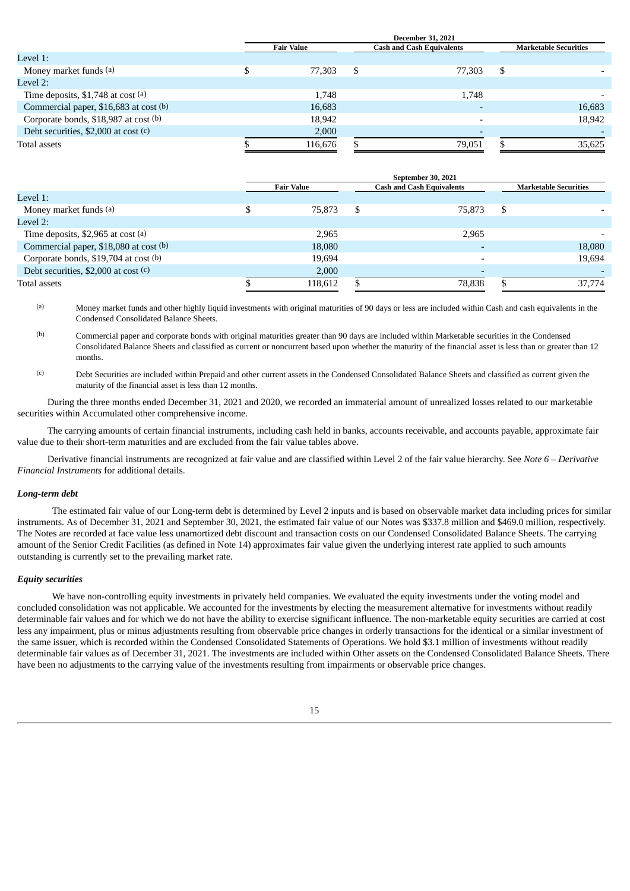| December 31, 2021                                     |         |      |        |   |                              |  |  |
|-------------------------------------------------------|---------|------|--------|---|------------------------------|--|--|
| <b>Fair Value</b><br><b>Cash and Cash Equivalents</b> |         |      |        |   | <b>Marketable Securities</b> |  |  |
|                                                       |         |      |        |   |                              |  |  |
|                                                       | 77.303  | - \$ | 77.303 | S |                              |  |  |
|                                                       |         |      |        |   |                              |  |  |
|                                                       | 1,748   |      | 1,748  |   |                              |  |  |
|                                                       | 16,683  |      |        |   | 16,683                       |  |  |
|                                                       | 18.942  |      | -      |   | 18,942                       |  |  |
|                                                       | 2,000   |      |        |   |                              |  |  |
|                                                       | 116.676 |      | 79.051 |   | 35,625                       |  |  |
|                                                       |         |      |        |   |                              |  |  |

**December 31, 2021**

|                                        | <b>September 30, 2021</b> |                   |  |                                  |    |                              |  |  |
|----------------------------------------|---------------------------|-------------------|--|----------------------------------|----|------------------------------|--|--|
|                                        |                           | <b>Fair Value</b> |  | <b>Cash and Cash Equivalents</b> |    | <b>Marketable Securities</b> |  |  |
| Level 1:                               |                           |                   |  |                                  |    |                              |  |  |
| Money market funds (a)                 |                           | 75,873            |  | 75.873                           | \$ |                              |  |  |
| Level 2:                               |                           |                   |  |                                  |    |                              |  |  |
| Time deposits, $$2,965$ at cost (a)    |                           | 2.965             |  | 2.965                            |    |                              |  |  |
| Commercial paper, \$18,080 at cost (b) |                           | 18,080            |  |                                  |    | 18,080                       |  |  |
| Corporate bonds, \$19,704 at cost (b)  |                           | 19.694            |  | $\overline{\phantom{0}}$         |    | 19,694                       |  |  |
| Debt securities, \$2,000 at cost (c)   |                           | 2,000             |  |                                  |    |                              |  |  |
| Total assets                           |                           | 118.612           |  | 78.838                           |    | 37,774                       |  |  |

(a) Money market funds and other highly liquid investments with original maturities of 90 days or less are included within Cash and cash equivalents in the Condensed Consolidated Balance Sheets.

(b) Commercial paper and corporate bonds with original maturities greater than 90 days are included within Marketable securities in the Condensed Consolidated Balance Sheets and classified as current or noncurrent based upon whether the maturity of the financial asset is less than or greater than 12 months.

(c) Debt Securities are included within Prepaid and other current assets in the Condensed Consolidated Balance Sheets and classified as current given the maturity of the financial asset is less than 12 months.

During the three months ended December 31, 2021 and 2020, we recorded an immaterial amount of unrealized losses related to our marketable securities within Accumulated other comprehensive income.

The carrying amounts of certain financial instruments, including cash held in banks, accounts receivable, and accounts payable, approximate fair value due to their short-term maturities and are excluded from the fair value tables above.

Derivative financial instruments are recognized at fair value and are classified within Level 2 of the fair value hierarchy. See *Note 6 – Derivative Financial Instruments* for additional details.

#### *Long-term debt*

The estimated fair value of our Long-term debt is determined by Level 2 inputs and is based on observable market data including prices for similar instruments. As of December 31, 2021 and September 30, 2021, the estimated fair value of our Notes was \$337.8 million and \$469.0 million, respectively. The Notes are recorded at face value less unamortized debt discount and transaction costs on our Condensed Consolidated Balance Sheets. The carrying amount of the Senior Credit Facilities (as defined in Note 14) approximates fair value given the underlying interest rate applied to such amounts outstanding is currently set to the prevailing market rate.

## *Equity securities*

We have non-controlling equity investments in privately held companies. We evaluated the equity investments under the voting model and concluded consolidation was not applicable. We accounted for the investments by electing the measurement alternative for investments without readily determinable fair values and for which we do not have the ability to exercise significant influence. The non-marketable equity securities are carried at cost less any impairment, plus or minus adjustments resulting from observable price changes in orderly transactions for the identical or a similar investment of the same issuer, which is recorded within the Condensed Consolidated Statements of Operations. We hold \$3.1 million of investments without readily determinable fair values as of December 31, 2021. The investments are included within Other assets on the Condensed Consolidated Balance Sheets. There have been no adjustments to the carrying value of the investments resulting from impairments or observable price changes.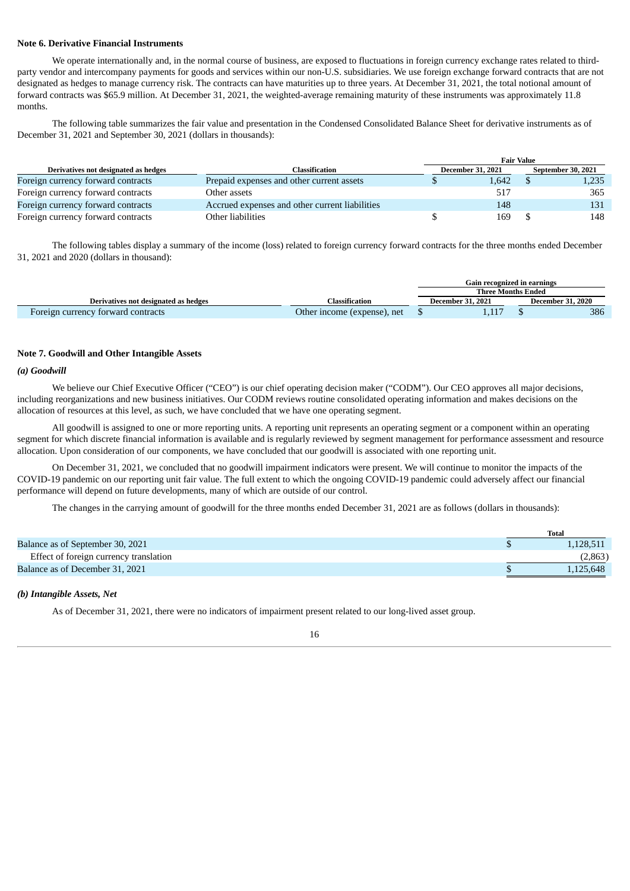#### **Note 6. Derivative Financial Instruments**

We operate internationally and, in the normal course of business, are exposed to fluctuations in foreign currency exchange rates related to thirdparty vendor and intercompany payments for goods and services within our non-U.S. subsidiaries. We use foreign exchange forward contracts that are not designated as hedges to manage currency risk. The contracts can have maturities up to three years. At December 31, 2021, the total notional amount of forward contracts was \$65.9 million. At December 31, 2021, the weighted-average remaining maturity of these instruments was approximately 11.8 months.

The following table summarizes the fair value and presentation in the Condensed Consolidated Balance Sheet for derivative instruments as of December 31, 2021 and September 30, 2021 (dollars in thousands):

|                                                        | <b>Fair Value</b>                              |                          |  |                           |  |  |
|--------------------------------------------------------|------------------------------------------------|--------------------------|--|---------------------------|--|--|
| Derivatives not designated as hedges<br>Classification |                                                | <b>December 31, 2021</b> |  | <b>September 30, 2021</b> |  |  |
| Foreign currency forward contracts                     | Prepaid expenses and other current assets      | 1.642                    |  | 1,235                     |  |  |
| Foreign currency forward contracts                     | Other assets                                   | 517                      |  | 365                       |  |  |
| Foreign currency forward contracts                     | Accrued expenses and other current liabilities | 148                      |  | 131                       |  |  |
| Foreign currency forward contracts                     | Other liabilities                              | 169                      |  | 148                       |  |  |

The following tables display a summary of the income (loss) related to foreign currency forward contracts for the three months ended December 31, 2021 and 2020 (dollars in thousand):

|                                      |                             | Gain recognized in earnings |                          |  |                          |  |
|--------------------------------------|-----------------------------|-----------------------------|--------------------------|--|--------------------------|--|
|                                      |                             |                             | Three Months Ended       |  |                          |  |
| Derivatives not designated as hedges | <b>Classification</b>       |                             | <b>December 31, 2021</b> |  | <b>December 31, 2020</b> |  |
| Foreign currency forward contracts   | Other income (expense), net |                             | 1.117                    |  | 386                      |  |

## **Note 7. Goodwill and Other Intangible Assets**

#### *(a) Goodwill*

We believe our Chief Executive Officer ("CEO") is our chief operating decision maker ("CODM"). Our CEO approves all major decisions, including reorganizations and new business initiatives. Our CODM reviews routine consolidated operating information and makes decisions on the allocation of resources at this level, as such, we have concluded that we have one operating segment.

All goodwill is assigned to one or more reporting units. A reporting unit represents an operating segment or a component within an operating segment for which discrete financial information is available and is regularly reviewed by segment management for performance assessment and resource allocation. Upon consideration of our components, we have concluded that our goodwill is associated with one reporting unit.

On December 31, 2021, we concluded that no goodwill impairment indicators were present. We will continue to monitor the impacts of the COVID-19 pandemic on our reporting unit fair value. The full extent to which the ongoing COVID-19 pandemic could adversely affect our financial performance will depend on future developments, many of which are outside of our control.

The changes in the carrying amount of goodwill for the three months ended December 31, 2021 are as follows (dollars in thousands):

|                                        | Total     |
|----------------------------------------|-----------|
| Balance as of September 30, 2021       | 1.128.511 |
| Effect of foreign currency translation | (2,863)   |
| Balance as of December 31, 2021        | 1.125.648 |

## *(b) Intangible Assets, Net*

As of December 31, 2021, there were no indicators of impairment present related to our long-lived asset group.

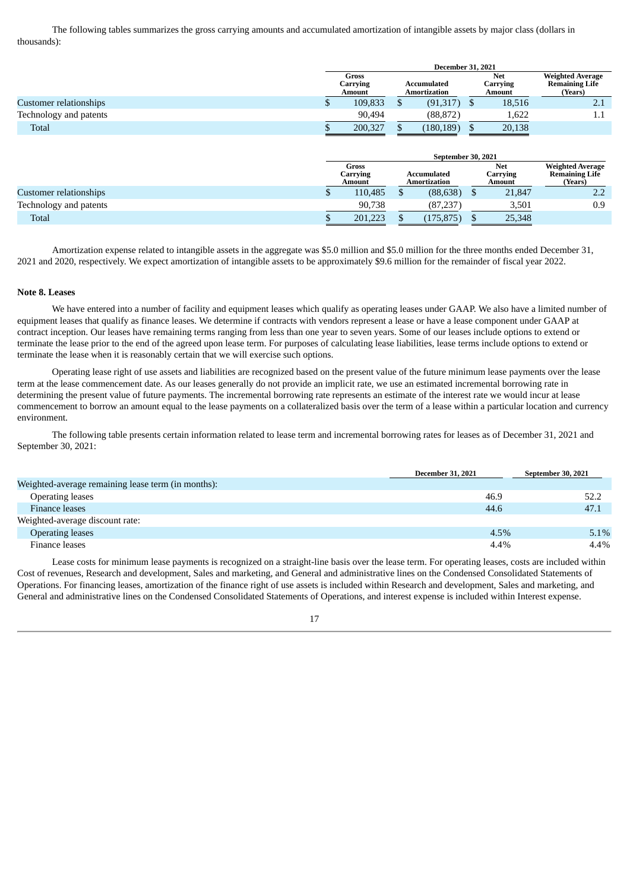The following tables summarizes the gross carrying amounts and accumulated amortization of intangible assets by major class (dollars in thousands):

|                               | <b>December 31, 2021</b> |                                    |                             |                             |                                  |                                  |                                                             |  |
|-------------------------------|--------------------------|------------------------------------|-----------------------------|-----------------------------|----------------------------------|----------------------------------|-------------------------------------------------------------|--|
|                               |                          | <b>Gross</b><br>Carrying<br>Amount |                             | Accumulated<br>Amortization |                                  | <b>Net</b><br>Carrying<br>Amount | <b>Weighted Average</b><br><b>Remaining Life</b><br>(Years) |  |
| <b>Customer relationships</b> |                          | 109,833                            | S                           | (91, 317)                   | <sup>\$</sup>                    | 18,516                           | 2.1                                                         |  |
| Technology and patents        |                          | 90.494                             |                             | (88, 872)                   |                                  | 1,622                            | 1.1                                                         |  |
| Total                         |                          | 200,327                            | S.                          | (180, 189)                  |                                  | 20,138                           |                                                             |  |
|                               | September 30, 2021       |                                    |                             |                             |                                  |                                  |                                                             |  |
|                               |                          | Gross<br>Carrying<br>Amount        | Accumulated<br>Amortization |                             | <b>Net</b><br>Carrying<br>Amount |                                  | <b>Weighted Average</b><br><b>Remaining Life</b><br>(Years) |  |
| Customer relationships        |                          | 110,485                            | \$.                         | (88, 638)                   | S                                | 21,847                           | 2.2                                                         |  |
| Technology and patents        |                          | 90,738                             |                             | (87, 237)                   |                                  | 3,501                            | 0.9                                                         |  |
| Total                         |                          | 201,223                            | ፍ                           | (175, 875)                  |                                  | 25,348                           |                                                             |  |

Amortization expense related to intangible assets in the aggregate was \$5.0 million and \$5.0 million for the three months ended December 31, 2021 and 2020, respectively. We expect amortization of intangible assets to be approximately \$9.6 million for the remainder of fiscal year 2022.

#### **Note 8. Leases**

We have entered into a number of facility and equipment leases which qualify as operating leases under GAAP. We also have a limited number of equipment leases that qualify as finance leases. We determine if contracts with vendors represent a lease or have a lease component under GAAP at contract inception. Our leases have remaining terms ranging from less than one year to seven years. Some of our leases include options to extend or terminate the lease prior to the end of the agreed upon lease term. For purposes of calculating lease liabilities, lease terms include options to extend or terminate the lease when it is reasonably certain that we will exercise such options.

Operating lease right of use assets and liabilities are recognized based on the present value of the future minimum lease payments over the lease term at the lease commencement date. As our leases generally do not provide an implicit rate, we use an estimated incremental borrowing rate in determining the present value of future payments. The incremental borrowing rate represents an estimate of the interest rate we would incur at lease commencement to borrow an amount equal to the lease payments on a collateralized basis over the term of a lease within a particular location and currency environment.

The following table presents certain information related to lease term and incremental borrowing rates for leases as of December 31, 2021 and September 30, 2021:

|                                                    | <b>December 31, 2021</b> | <b>September 30, 2021</b> |
|----------------------------------------------------|--------------------------|---------------------------|
| Weighted-average remaining lease term (in months): |                          |                           |
| <b>Operating leases</b>                            | 46.9                     | 52.2                      |
| Finance leases                                     | 44.6                     | 47.1                      |
| Weighted-average discount rate:                    |                          |                           |
| <b>Operating leases</b>                            | $4.5\%$                  | $5.1\%$                   |
| Finance leases                                     | 4.4%                     | $4.4\%$                   |

Lease costs for minimum lease payments is recognized on a straight-line basis over the lease term. For operating leases, costs are included within Cost of revenues, Research and development, Sales and marketing, and General and administrative lines on the Condensed Consolidated Statements of Operations. For financing leases, amortization of the finance right of use assets is included within Research and development, Sales and marketing, and General and administrative lines on the Condensed Consolidated Statements of Operations, and interest expense is included within Interest expense.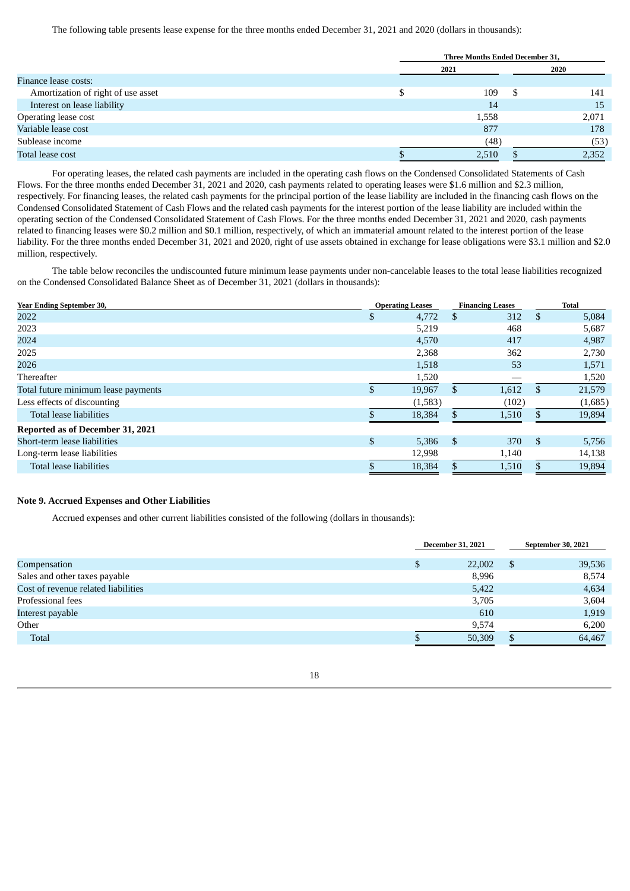The following table presents lease expense for the three months ended December 31, 2021 and 2020 (dollars in thousands):

|                                    | Three Months Ended December 31, |  |       |  |  |  |
|------------------------------------|---------------------------------|--|-------|--|--|--|
|                                    | 2021                            |  | 2020  |  |  |  |
| Finance lease costs:               |                                 |  |       |  |  |  |
| Amortization of right of use asset | 109                             |  | 141   |  |  |  |
| Interest on lease liability        | 14                              |  | 15    |  |  |  |
| Operating lease cost               | 1,558                           |  | 2,071 |  |  |  |
| Variable lease cost                | 877                             |  | 178   |  |  |  |
| Sublease income                    | (48)                            |  | (53)  |  |  |  |
| Total lease cost                   | 2,510                           |  | 2,352 |  |  |  |

For operating leases, the related cash payments are included in the operating cash flows on the Condensed Consolidated Statements of Cash Flows. For the three months ended December 31, 2021 and 2020, cash payments related to operating leases were \$1.6 million and \$2.3 million, respectively. For financing leases, the related cash payments for the principal portion of the lease liability are included in the financing cash flows on the Condensed Consolidated Statement of Cash Flows and the related cash payments for the interest portion of the lease liability are included within the operating section of the Condensed Consolidated Statement of Cash Flows. For the three months ended December 31, 2021 and 2020, cash payments related to financing leases were \$0.2 million and \$0.1 million, respectively, of which an immaterial amount related to the interest portion of the lease liability. For the three months ended December 31, 2021 and 2020, right of use assets obtained in exchange for lease obligations were \$3.1 million and \$2.0 million, respectively.

The table below reconciles the undiscounted future minimum lease payments under non-cancelable leases to the total lease liabilities recognized on the Condensed Consolidated Balance Sheet as of December 31, 2021 (dollars in thousands):

|                |         | <b>Financing Leases</b> |       | <b>Total</b>  |         |
|----------------|---------|-------------------------|-------|---------------|---------|
| <sup>\$</sup>  | 4,772   | \$                      | 312   | \$            | 5,084   |
|                | 5,219   |                         | 468   |               | 5,687   |
|                | 4,570   |                         | 417   |               | 4,987   |
|                | 2,368   |                         | 362   |               | 2,730   |
|                | 1,518   |                         | 53    |               | 1,571   |
|                | 1,520   |                         |       |               | 1,520   |
|                | 19,967  | \$                      | 1,612 | \$            | 21,579  |
|                | (1,583) |                         | (102) |               | (1,685) |
|                | 18,384  |                         | 1,510 | \$.           | 19,894  |
|                |         |                         |       |               |         |
| $\mathfrak{L}$ | 5,386   | <sup>\$</sup>           | 370   | $\mathbf{\$}$ | 5,756   |
|                | 12,998  |                         | 1,140 |               | 14,138  |
|                | 18,384  |                         | 1,510 | \$.           | 19,894  |
|                |         | <b>Operating Leases</b> |       |               |         |

#### **Note 9. Accrued Expenses and Other Liabilities**

Accrued expenses and other current liabilities consisted of the following (dollars in thousands):

|                                     | <b>December 31, 2021</b> | <b>September 30, 2021</b> |        |  |
|-------------------------------------|--------------------------|---------------------------|--------|--|
| Compensation                        | \$<br>22,002             | S.                        | 39,536 |  |
| Sales and other taxes payable       | 8,996                    |                           | 8,574  |  |
| Cost of revenue related liabilities | 5,422                    |                           | 4,634  |  |
| Professional fees                   | 3,705                    |                           | 3,604  |  |
| Interest payable                    | 610                      |                           | 1,919  |  |
| Other                               | 9.574                    |                           | 6,200  |  |
| Total                               | 50,309                   |                           | 64,467 |  |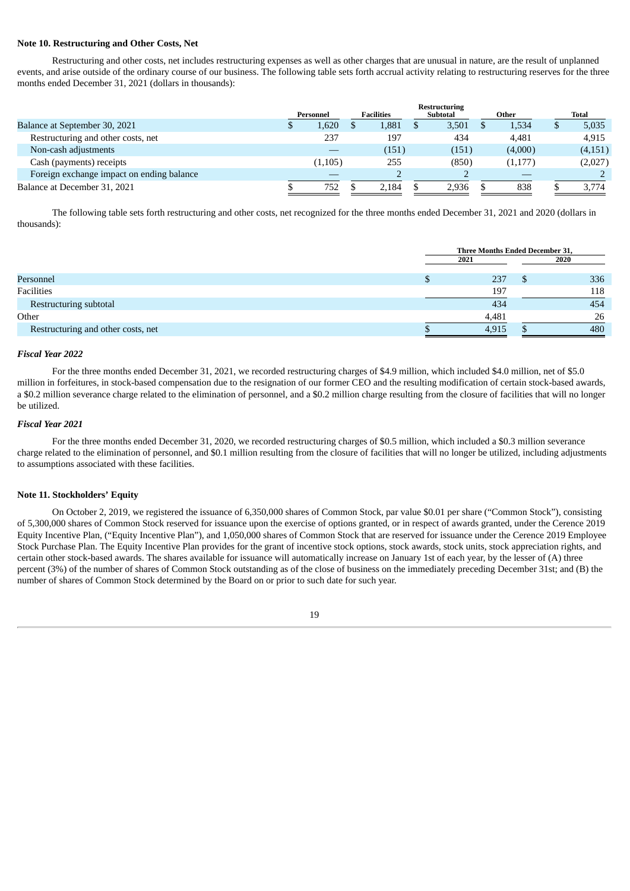#### **Note 10. Restructuring and Other Costs, Net**

Restructuring and other costs, net includes restructuring expenses as well as other charges that are unusual in nature, are the result of unplanned events, and arise outside of the ordinary course of our business. The following table sets forth accrual activity relating to restructuring reserves for the three months ended December 31, 2021 (dollars in thousands):

|                                           | <b>Restructuring</b> |           |  |                   |  |                 |  |         |         |
|-------------------------------------------|----------------------|-----------|--|-------------------|--|-----------------|--|---------|---------|
|                                           |                      | Personnel |  | <b>Facilities</b> |  | <b>Subtotal</b> |  | Other   | Total   |
| Balance at September 30, 2021             | Φ                    | 1.620     |  | 1.881             |  | 3.501           |  | 1,534   | 5,035   |
| Restructuring and other costs, net        |                      | 237       |  | 197               |  | 434             |  | 4.481   | 4,915   |
| Non-cash adjustments                      |                      |           |  | (151)             |  | (151)           |  | (4,000) | (4,151) |
| Cash (payments) receipts                  |                      | (1, 105)  |  | 255               |  | (850)           |  | (1,177) | (2,027) |
| Foreign exchange impact on ending balance |                      |           |  |                   |  |                 |  |         |         |
| Balance at December 31, 2021              |                      | 752       |  | 2.184             |  | 2.936           |  | 838     | 3.774   |

The following table sets forth restructuring and other costs, net recognized for the three months ended December 31, 2021 and 2020 (dollars in thousands):

|                                    | Three Months Ended December 31, |  |      |  |  |  |
|------------------------------------|---------------------------------|--|------|--|--|--|
|                                    | 2021                            |  | 2020 |  |  |  |
| Personnel                          | 237                             |  | 336  |  |  |  |
| Facilities                         | 197                             |  | 118  |  |  |  |
| Restructuring subtotal             | 434                             |  | 454  |  |  |  |
| Other                              | 4,481                           |  | 26   |  |  |  |
| Restructuring and other costs, net | 4,915                           |  | 480  |  |  |  |
|                                    |                                 |  |      |  |  |  |

#### *Fiscal Year 2022*

For the three months ended December 31, 2021, we recorded restructuring charges of \$4.9 million, which included \$4.0 million, net of \$5.0 million in forfeitures, in stock-based compensation due to the resignation of our former CEO and the resulting modification of certain stock-based awards, a \$0.2 million severance charge related to the elimination of personnel, and a \$0.2 million charge resulting from the closure of facilities that will no longer be utilized.

## *Fiscal Year 2021*

For the three months ended December 31, 2020, we recorded restructuring charges of \$0.5 million, which included a \$0.3 million severance charge related to the elimination of personnel, and \$0.1 million resulting from the closure of facilities that will no longer be utilized, including adjustments to assumptions associated with these facilities.

#### **Note 11. Stockholders' Equity**

On October 2, 2019, we registered the issuance of 6,350,000 shares of Common Stock, par value \$0.01 per share ("Common Stock"), consisting of 5,300,000 shares of Common Stock reserved for issuance upon the exercise of options granted, or in respect of awards granted, under the Cerence 2019 Equity Incentive Plan, ("Equity Incentive Plan"), and 1,050,000 shares of Common Stock that are reserved for issuance under the Cerence 2019 Employee Stock Purchase Plan. The Equity Incentive Plan provides for the grant of incentive stock options, stock awards, stock units, stock appreciation rights, and certain other stock-based awards. The shares available for issuance will automatically increase on January 1st of each year, by the lesser of (A) three percent (3%) of the number of shares of Common Stock outstanding as of the close of business on the immediately preceding December 31st; and (B) the number of shares of Common Stock determined by the Board on or prior to such date for such year.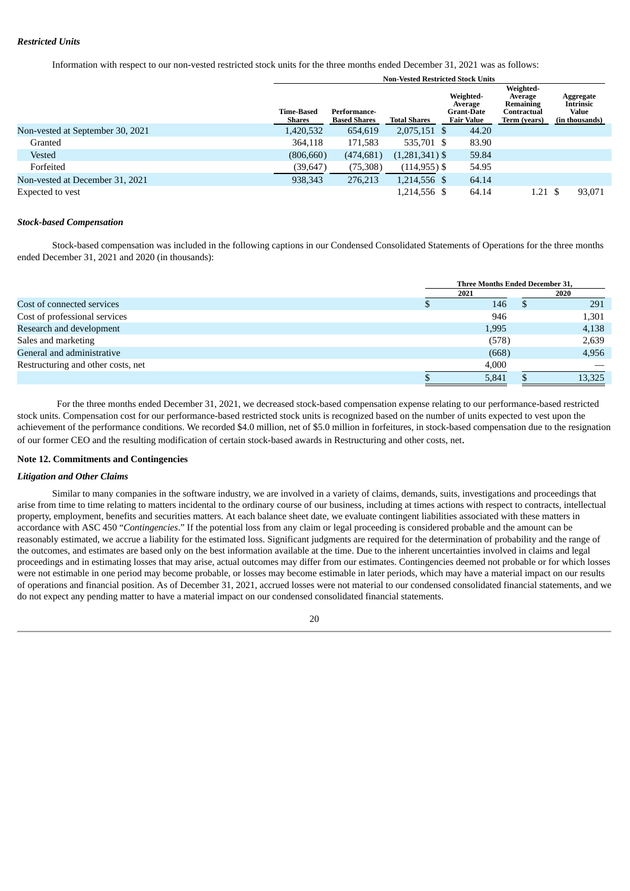Information with respect to our non-vested restricted stock units for the three months ended December 31, 2021 was as follows:

|                                  | <b>Non-Vested Restricted Stock Units</b> |                                            |                     |                                                                |                                                                         |                                                   |  |  |  |  |
|----------------------------------|------------------------------------------|--------------------------------------------|---------------------|----------------------------------------------------------------|-------------------------------------------------------------------------|---------------------------------------------------|--|--|--|--|
|                                  | <b>Time-Based</b><br>Shares              | <b>Performance-</b><br><b>Based Shares</b> | <b>Total Shares</b> | Weighted-<br>Average<br><b>Grant-Date</b><br><b>Fair Value</b> | Weighted-<br>Average<br><b>Remaining</b><br>Contractual<br>Term (vears) | Aggregate<br>Intrinsic<br>Value<br>(in thousands) |  |  |  |  |
| Non-vested at September 30, 2021 | 1,420,532                                | 654,619                                    | 2,075,151 \$        | 44.20                                                          |                                                                         |                                                   |  |  |  |  |
| Granted                          | 364,118                                  | 171,583                                    | 535,701 \$          | 83.90                                                          |                                                                         |                                                   |  |  |  |  |
| Vested                           | (806, 660)                               | (474, 681)                                 | $(1,281,341)$ \$    | 59.84                                                          |                                                                         |                                                   |  |  |  |  |
| Forfeited                        | (39, 647)                                | (75, 308)                                  | $(114, 955)$ \$     | 54.95                                                          |                                                                         |                                                   |  |  |  |  |
| Non-vested at December 31, 2021  | 938, 343                                 | 276,213                                    | 1,214,556 \$        | 64.14                                                          |                                                                         |                                                   |  |  |  |  |
| Expected to vest                 |                                          |                                            | 1,214,556 \$        | 64.14                                                          | 1.21                                                                    | 93,071<br>-S                                      |  |  |  |  |

#### *Stock-based Compensation*

Stock-based compensation was included in the following captions in our Condensed Consolidated Statements of Operations for the three months ended December 31, 2021 and 2020 (in thousands):

|                                    | <b>Three Months Ended December 31,</b> |  |        |  |  |
|------------------------------------|----------------------------------------|--|--------|--|--|
|                                    | 2021                                   |  | 2020   |  |  |
| Cost of connected services         | 146                                    |  | 291    |  |  |
| Cost of professional services      | 946                                    |  | 1,301  |  |  |
| Research and development           | 1,995                                  |  | 4,138  |  |  |
| Sales and marketing                | (578)                                  |  | 2,639  |  |  |
| General and administrative         | (668)                                  |  | 4,956  |  |  |
| Restructuring and other costs, net | 4,000                                  |  |        |  |  |
|                                    | 5,841                                  |  | 13,325 |  |  |

For the three months ended December 31, 2021, we decreased stock-based compensation expense relating to our performance-based restricted stock units. Compensation cost for our performance-based restricted stock units is recognized based on the number of units expected to vest upon the achievement of the performance conditions. We recorded \$4.0 million, net of \$5.0 million in forfeitures, in stock-based compensation due to the resignation of our former CEO and the resulting modification of certain stock-based awards in Restructuring and other costs, net.

#### **Note 12. Commitments and Contingencies**

#### *Litigation and Other Claims*

Similar to many companies in the software industry, we are involved in a variety of claims, demands, suits, investigations and proceedings that arise from time to time relating to matters incidental to the ordinary course of our business, including at times actions with respect to contracts, intellectual property, employment, benefits and securities matters. At each balance sheet date, we evaluate contingent liabilities associated with these matters in accordance with ASC 450 "*Contingencies*." If the potential loss from any claim or legal proceeding is considered probable and the amount can be reasonably estimated, we accrue a liability for the estimated loss. Significant judgments are required for the determination of probability and the range of the outcomes, and estimates are based only on the best information available at the time. Due to the inherent uncertainties involved in claims and legal proceedings and in estimating losses that may arise, actual outcomes may differ from our estimates. Contingencies deemed not probable or for which losses were not estimable in one period may become probable, or losses may become estimable in later periods, which may have a material impact on our results of operations and financial position. As of December 31, 2021, accrued losses were not material to our condensed consolidated financial statements, and we do not expect any pending matter to have a material impact on our condensed consolidated financial statements.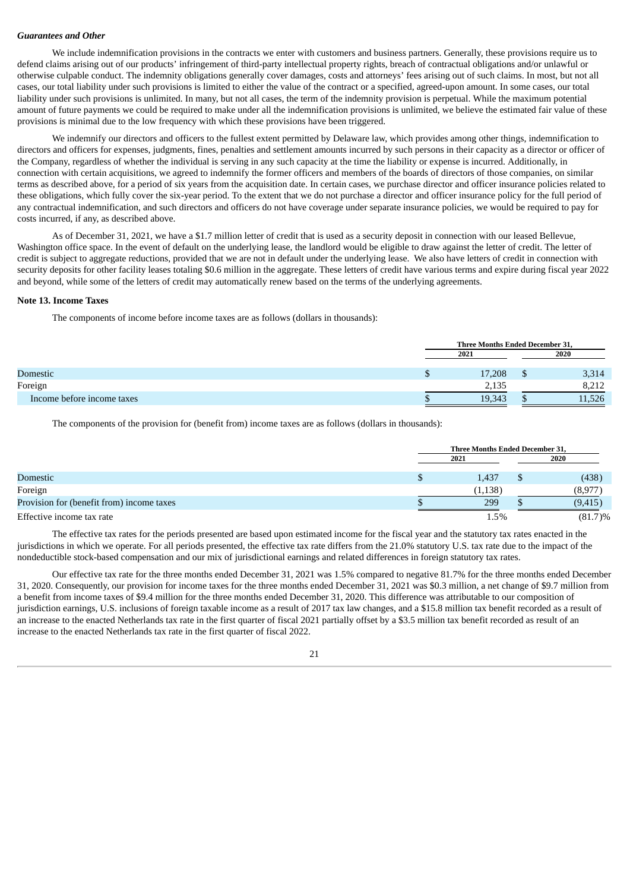#### *Guarantees and Other*

We include indemnification provisions in the contracts we enter with customers and business partners. Generally, these provisions require us to defend claims arising out of our products' infringement of third-party intellectual property rights, breach of contractual obligations and/or unlawful or otherwise culpable conduct. The indemnity obligations generally cover damages, costs and attorneys' fees arising out of such claims. In most, but not all cases, our total liability under such provisions is limited to either the value of the contract or a specified, agreed-upon amount. In some cases, our total liability under such provisions is unlimited. In many, but not all cases, the term of the indemnity provision is perpetual. While the maximum potential amount of future payments we could be required to make under all the indemnification provisions is unlimited, we believe the estimated fair value of these provisions is minimal due to the low frequency with which these provisions have been triggered.

We indemnify our directors and officers to the fullest extent permitted by Delaware law, which provides among other things, indemnification to directors and officers for expenses, judgments, fines, penalties and settlement amounts incurred by such persons in their capacity as a director or officer of the Company, regardless of whether the individual is serving in any such capacity at the time the liability or expense is incurred. Additionally, in connection with certain acquisitions, we agreed to indemnify the former officers and members of the boards of directors of those companies, on similar terms as described above, for a period of six years from the acquisition date. In certain cases, we purchase director and officer insurance policies related to these obligations, which fully cover the six-year period. To the extent that we do not purchase a director and officer insurance policy for the full period of any contractual indemnification, and such directors and officers do not have coverage under separate insurance policies, we would be required to pay for costs incurred, if any, as described above.

As of December 31, 2021, we have a \$1.7 million letter of credit that is used as a security deposit in connection with our leased Bellevue, Washington office space. In the event of default on the underlying lease, the landlord would be eligible to draw against the letter of credit. The letter of credit is subject to aggregate reductions, provided that we are not in default under the underlying lease. We also have letters of credit in connection with security deposits for other facility leases totaling \$0.6 million in the aggregate. These letters of credit have various terms and expire during fiscal year 2022 and beyond, while some of the letters of credit may automatically renew based on the terms of the underlying agreements.

#### **Note 13. Income Taxes**

The components of income before income taxes are as follows (dollars in thousands):

|                            | Three Months Ended December 31, |  |        |  |  |
|----------------------------|---------------------------------|--|--------|--|--|
|                            | 2021                            |  | 2020   |  |  |
| Domestic                   | 17,208                          |  | 3,314  |  |  |
| Foreign                    | 2,135                           |  | 8,212  |  |  |
| Income before income taxes | 19,343                          |  | 11,526 |  |  |

The components of the provision for (benefit from) income taxes are as follows (dollars in thousands):

|                                           | <b>Three Months Ended December 31,</b> |  |            |  |  |
|-------------------------------------------|----------------------------------------|--|------------|--|--|
|                                           | 2021                                   |  |            |  |  |
| Domestic                                  | 1.437                                  |  | (438)      |  |  |
| Foreign                                   | (1, 138)                               |  | (8,977)    |  |  |
| Provision for (benefit from) income taxes | 299                                    |  | (9,415)    |  |  |
| Effective income tax rate                 | 1.5%                                   |  | $(81.7)\%$ |  |  |

The effective tax rates for the periods presented are based upon estimated income for the fiscal year and the statutory tax rates enacted in the jurisdictions in which we operate. For all periods presented, the effective tax rate differs from the 21.0% statutory U.S. tax rate due to the impact of the nondeductible stock-based compensation and our mix of jurisdictional earnings and related differences in foreign statutory tax rates.

Our effective tax rate for the three months ended December 31, 2021 was 1.5% compared to negative 81.7% for the three months ended December 31, 2020. Consequently, our provision for income taxes for the three months ended December 31, 2021 was \$0.3 million, a net change of \$9.7 million from a benefit from income taxes of \$9.4 million for the three months ended December 31, 2020. This difference was attributable to our composition of jurisdiction earnings, U.S. inclusions of foreign taxable income as a result of 2017 tax law changes, and a \$15.8 million tax benefit recorded as a result of an increase to the enacted Netherlands tax rate in the first quarter of fiscal 2021 partially offset by a \$3.5 million tax benefit recorded as result of an increase to the enacted Netherlands tax rate in the first quarter of fiscal 2022.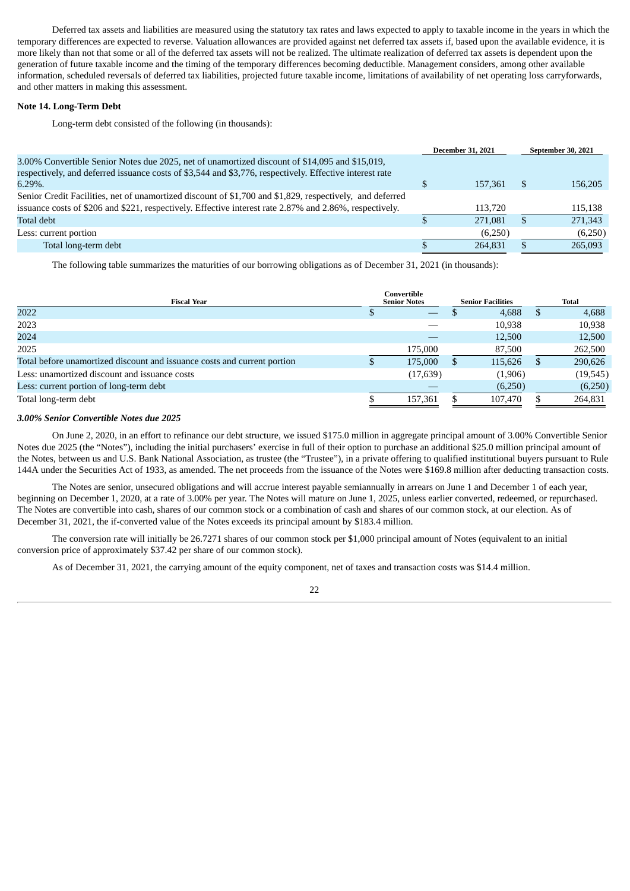Deferred tax assets and liabilities are measured using the statutory tax rates and laws expected to apply to taxable income in the years in which the temporary differences are expected to reverse. Valuation allowances are provided against net deferred tax assets if, based upon the available evidence, it is more likely than not that some or all of the deferred tax assets will not be realized. The ultimate realization of deferred tax assets is dependent upon the generation of future taxable income and the timing of the temporary differences becoming deductible. Management considers, among other available information, scheduled reversals of deferred tax liabilities, projected future taxable income, limitations of availability of net operating loss carryforwards, and other matters in making this assessment.

### **Note 14. Long-Term Debt**

Long-term debt consisted of the following (in thousands):

|                                                                                                                                                                                                           | <b>December 31, 2021</b> |         | <b>September 30, 2021</b> |
|-----------------------------------------------------------------------------------------------------------------------------------------------------------------------------------------------------------|--------------------------|---------|---------------------------|
| 3.00% Convertible Senior Notes due 2025, net of unamortized discount of \$14,095 and \$15,019,<br>respectively, and deferred issuance costs of \$3,544 and \$3,776, respectively. Effective interest rate |                          |         |                           |
| 6.29%.                                                                                                                                                                                                    |                          | 157,361 | \$<br>156,205             |
| Senior Credit Facilities, net of unamortized discount of \$1,700 and \$1,829, respectively, and deferred                                                                                                  |                          |         |                           |
| issuance costs of \$206 and \$221, respectively. Effective interest rate 2.87% and 2.86%, respectively.                                                                                                   |                          | 113,720 | 115,138                   |
| Total debt                                                                                                                                                                                                |                          | 271,081 | 271,343                   |
| Less: current portion                                                                                                                                                                                     |                          | (6,250) | (6,250)                   |
| Total long-term debt                                                                                                                                                                                      |                          | 264.831 | 265,093                   |

The following table summarizes the maturities of our borrowing obligations as of December 31, 2021 (in thousands):

| <b>Fiscal Year</b>                                                       | Convertible<br><b>Senior Notes</b> | <b>Senior Facilities</b> |     | Total     |
|--------------------------------------------------------------------------|------------------------------------|--------------------------|-----|-----------|
| 2022                                                                     |                                    | 4,688                    | S   | 4,688     |
| 2023                                                                     |                                    | 10,938                   |     | 10,938    |
| 2024                                                                     |                                    | 12,500                   |     | 12,500    |
| 2025                                                                     | 175,000                            | 87,500                   |     | 262,500   |
| Total before unamortized discount and issuance costs and current portion | 175,000                            | 115,626                  | \$. | 290,626   |
| Less: unamortized discount and issuance costs                            | (17, 639)                          | (1,906)                  |     | (19, 545) |
| Less: current portion of long-term debt                                  |                                    | (6,250)                  |     | (6,250)   |
| Total long-term debt                                                     | 157,361                            | 107,470                  |     | 264,831   |

## *3.00% Senior Convertible Notes due 2025*

On June 2, 2020, in an effort to refinance our debt structure, we issued \$175.0 million in aggregate principal amount of 3.00% Convertible Senior Notes due 2025 (the "Notes"), including the initial purchasers' exercise in full of their option to purchase an additional \$25.0 million principal amount of the Notes, between us and U.S. Bank National Association, as trustee (the "Trustee"), in a private offering to qualified institutional buyers pursuant to Rule 144A under the Securities Act of 1933, as amended. The net proceeds from the issuance of the Notes were \$169.8 million after deducting transaction costs.

The Notes are senior, unsecured obligations and will accrue interest payable semiannually in arrears on June 1 and December 1 of each year, beginning on December 1, 2020, at a rate of 3.00% per year. The Notes will mature on June 1, 2025, unless earlier converted, redeemed, or repurchased. The Notes are convertible into cash, shares of our common stock or a combination of cash and shares of our common stock, at our election. As of December 31, 2021, the if-converted value of the Notes exceeds its principal amount by \$183.4 million.

The conversion rate will initially be 26.7271 shares of our common stock per \$1,000 principal amount of Notes (equivalent to an initial conversion price of approximately \$37.42 per share of our common stock).

As of December 31, 2021, the carrying amount of the equity component, net of taxes and transaction costs was \$14.4 million.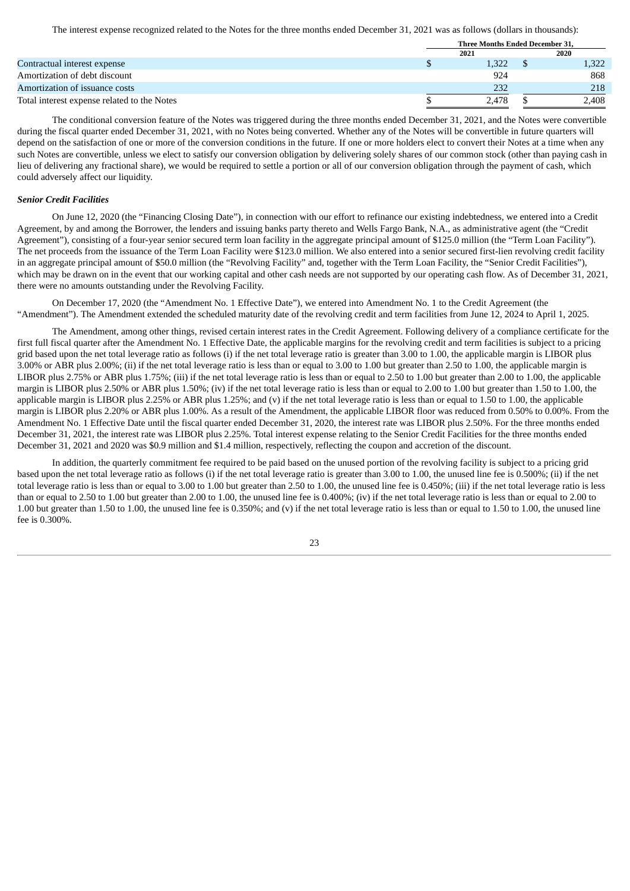The interest expense recognized related to the Notes for the three months ended December 31, 2021 was as follows (dollars in thousands):

|                                             | <b>Three Months Ended December 31.</b> |  |       |  |  |
|---------------------------------------------|----------------------------------------|--|-------|--|--|
|                                             | 2021                                   |  | 2020  |  |  |
| Contractual interest expense                | 1.322                                  |  | 1,322 |  |  |
| Amortization of debt discount               | 924                                    |  | 868   |  |  |
| Amortization of issuance costs              | 232                                    |  | 218   |  |  |
| Total interest expense related to the Notes | 2.478                                  |  | 2.408 |  |  |

The conditional conversion feature of the Notes was triggered during the three months ended December 31, 2021, and the Notes were convertible during the fiscal quarter ended December 31, 2021, with no Notes being converted. Whether any of the Notes will be convertible in future quarters will depend on the satisfaction of one or more of the conversion conditions in the future. If one or more holders elect to convert their Notes at a time when any such Notes are convertible, unless we elect to satisfy our conversion obligation by delivering solely shares of our common stock (other than paying cash in lieu of delivering any fractional share), we would be required to settle a portion or all of our conversion obligation through the payment of cash, which could adversely affect our liquidity.

## *Senior Credit Facilities*

On June 12, 2020 (the "Financing Closing Date"), in connection with our effort to refinance our existing indebtedness, we entered into a Credit Agreement, by and among the Borrower, the lenders and issuing banks party thereto and Wells Fargo Bank, N.A., as administrative agent (the "Credit Agreement"), consisting of a four-year senior secured term loan facility in the aggregate principal amount of \$125.0 million (the "Term Loan Facility"). The net proceeds from the issuance of the Term Loan Facility were \$123.0 million. We also entered into a senior secured first-lien revolving credit facility in an aggregate principal amount of \$50.0 million (the "Revolving Facility" and, together with the Term Loan Facility, the "Senior Credit Facilities"), which may be drawn on in the event that our working capital and other cash needs are not supported by our operating cash flow. As of December 31, 2021, there were no amounts outstanding under the Revolving Facility.

On December 17, 2020 (the "Amendment No. 1 Effective Date"), we entered into Amendment No. 1 to the Credit Agreement (the "Amendment"). The Amendment extended the scheduled maturity date of the revolving credit and term facilities from June 12, 2024 to April 1, 2025.

The Amendment, among other things, revised certain interest rates in the Credit Agreement. Following delivery of a compliance certificate for the first full fiscal quarter after the Amendment No. 1 Effective Date, the applicable margins for the revolving credit and term facilities is subject to a pricing grid based upon the net total leverage ratio as follows (i) if the net total leverage ratio is greater than 3.00 to 1.00, the applicable margin is LIBOR plus 3.00% or ABR plus 2.00%; (ii) if the net total leverage ratio is less than or equal to 3.00 to 1.00 but greater than 2.50 to 1.00, the applicable margin is LIBOR plus 2.75% or ABR plus 1.75%; (iii) if the net total leverage ratio is less than or equal to 2.50 to 1.00 but greater than 2.00 to 1.00, the applicable margin is LIBOR plus 2.50% or ABR plus 1.50%; (iv) if the net total leverage ratio is less than or equal to 2.00 to 1.00 but greater than 1.50 to 1.00, the applicable margin is LIBOR plus 2.25% or ABR plus 1.25%; and (v) if the net total leverage ratio is less than or equal to 1.50 to 1.00, the applicable margin is LIBOR plus 2.20% or ABR plus 1.00%. As a result of the Amendment, the applicable LIBOR floor was reduced from 0.50% to 0.00%. From the Amendment No. 1 Effective Date until the fiscal quarter ended December 31, 2020, the interest rate was LIBOR plus 2.50%. For the three months ended December 31, 2021, the interest rate was LIBOR plus 2.25%. Total interest expense relating to the Senior Credit Facilities for the three months ended December 31, 2021 and 2020 was \$0.9 million and \$1.4 million, respectively, reflecting the coupon and accretion of the discount.

In addition, the quarterly commitment fee required to be paid based on the unused portion of the revolving facility is subject to a pricing grid based upon the net total leverage ratio as follows (i) if the net total leverage ratio is greater than 3.00 to 1.00, the unused line fee is 0.500%; (ii) if the net total leverage ratio is less than or equal to 3.00 to 1.00 but greater than 2.50 to 1.00, the unused line fee is 0.450%; (iii) if the net total leverage ratio is less than or equal to 2.50 to 1.00 but greater than 2.00 to 1.00, the unused line fee is 0.400%; (iv) if the net total leverage ratio is less than or equal to 2.00 to 1.00 but greater than 1.50 to 1.00, the unused line fee is 0.350%; and (v) if the net total leverage ratio is less than or equal to 1.50 to 1.00, the unused line fee is 0.300%.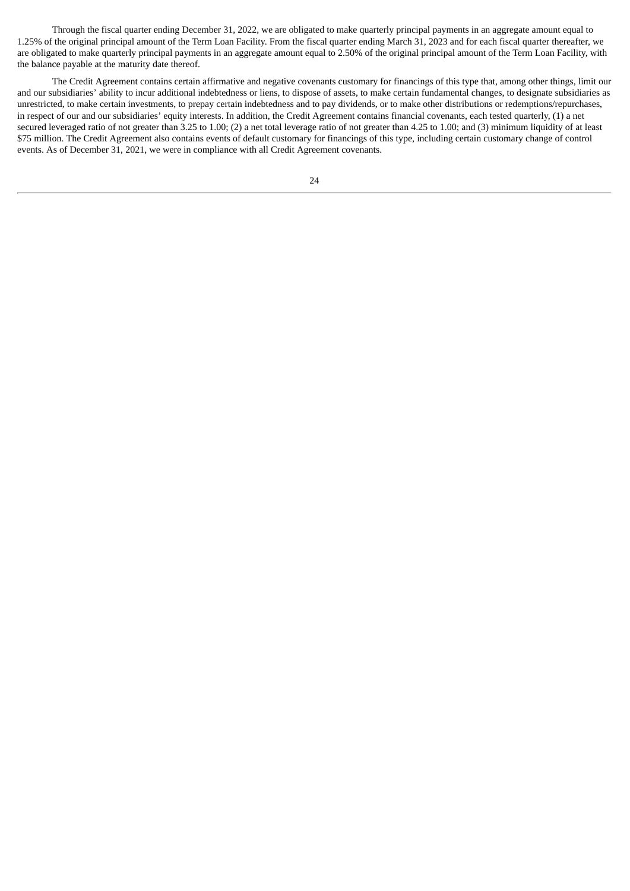Through the fiscal quarter ending December 31, 2022, we are obligated to make quarterly principal payments in an aggregate amount equal to 1.25% of the original principal amount of the Term Loan Facility. From the fiscal quarter ending March 31, 2023 and for each fiscal quarter thereafter, we are obligated to make quarterly principal payments in an aggregate amount equal to 2.50% of the original principal amount of the Term Loan Facility, with the balance payable at the maturity date thereof.

The Credit Agreement contains certain affirmative and negative covenants customary for financings of this type that, among other things, limit our and our subsidiaries' ability to incur additional indebtedness or liens, to dispose of assets, to make certain fundamental changes, to designate subsidiaries as unrestricted, to make certain investments, to prepay certain indebtedness and to pay dividends, or to make other distributions or redemptions/repurchases, in respect of our and our subsidiaries' equity interests. In addition, the Credit Agreement contains financial covenants, each tested quarterly, (1) a net secured leveraged ratio of not greater than 3.25 to 1.00; (2) a net total leverage ratio of not greater than 4.25 to 1.00; and (3) minimum liquidity of at least \$75 million. The Credit Agreement also contains events of default customary for financings of this type, including certain customary change of control events. As of December 31, 2021, we were in compliance with all Credit Agreement covenants.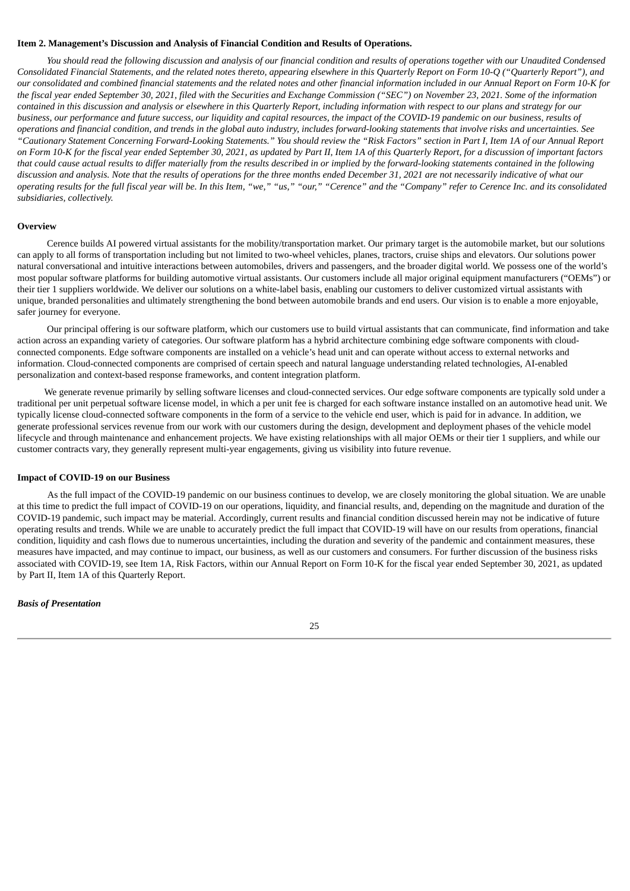#### <span id="page-26-0"></span>**Item 2. Management's Discussion and Analysis of Financial Condition and Results of Operations.**

You should read the following discussion and analysis of our financial condition and results of operations together with our Unaudited Condensed Consolidated Financial Statements, and the related notes thereto, appearing elsewhere in this Quarterly Report on Form 10-O ("Quarterly Report"), and our consolidated and combined financial statements and the related notes and other financial information included in our Annual Report on Form 10-K for the fiscal year ended September 30, 2021, filed with the Securities and Exchange Commission ("SEC") on November 23, 2021. Some of the information contained in this discussion and analysis or elsewhere in this Quarterly Report, including information with respect to our plans and strategy for our business, our performance and future success, our liquidity and capital resources, the impact of the COVID-19 pandemic on our business, results of operations and financial condition, and trends in the global auto industry, includes forward-looking statements that involve risks and uncertainties. See "Cautionary Statement Concerning Forward-Looking Statements." You should review the "Risk Factors" section in Part I, Item 1A of our Annual Report on Form 10-K for the fiscal year ended September 30, 2021, as updated by Part II, Item 1A of this Quarterly Report, for a discussion of important factors that could cause actual results to differ materially from the results described in or implied by the forward-looking statements contained in the following discussion and analysis. Note that the results of operations for the three months ended December 31, 2021 are not necessarily indicative of what our operating results for the full fiscal year will be. In this Item, "we," "us," "our," "Cerence" and the "Company" refer to Cerence Inc. and its consolidated *subsidiaries, collectively.*

#### **Overview**

Cerence builds AI powered virtual assistants for the mobility/transportation market. Our primary target is the automobile market, but our solutions can apply to all forms of transportation including but not limited to two-wheel vehicles, planes, tractors, cruise ships and elevators. Our solutions power natural conversational and intuitive interactions between automobiles, drivers and passengers, and the broader digital world. We possess one of the world's most popular software platforms for building automotive virtual assistants. Our customers include all major original equipment manufacturers ("OEMs") or their tier 1 suppliers worldwide. We deliver our solutions on a white-label basis, enabling our customers to deliver customized virtual assistants with unique, branded personalities and ultimately strengthening the bond between automobile brands and end users. Our vision is to enable a more enjoyable, safer journey for everyone.

Our principal offering is our software platform, which our customers use to build virtual assistants that can communicate, find information and take action across an expanding variety of categories. Our software platform has a hybrid architecture combining edge software components with cloudconnected components. Edge software components are installed on a vehicle's head unit and can operate without access to external networks and information. Cloud-connected components are comprised of certain speech and natural language understanding related technologies, AI-enabled personalization and context-based response frameworks, and content integration platform.

We generate revenue primarily by selling software licenses and cloud-connected services. Our edge software components are typically sold under a traditional per unit perpetual software license model, in which a per unit fee is charged for each software instance installed on an automotive head unit. We typically license cloud-connected software components in the form of a service to the vehicle end user, which is paid for in advance. In addition, we generate professional services revenue from our work with our customers during the design, development and deployment phases of the vehicle model lifecycle and through maintenance and enhancement projects. We have existing relationships with all major OEMs or their tier 1 suppliers, and while our customer contracts vary, they generally represent multi-year engagements, giving us visibility into future revenue.

#### **Impact of COVID-19 on our Business**

As the full impact of the COVID-19 pandemic on our business continues to develop, we are closely monitoring the global situation. We are unable at this time to predict the full impact of COVID-19 on our operations, liquidity, and financial results, and, depending on the magnitude and duration of the COVID-19 pandemic, such impact may be material. Accordingly, current results and financial condition discussed herein may not be indicative of future operating results and trends. While we are unable to accurately predict the full impact that COVID-19 will have on our results from operations, financial condition, liquidity and cash flows due to numerous uncertainties, including the duration and severity of the pandemic and containment measures, these measures have impacted, and may continue to impact, our business, as well as our customers and consumers. For further discussion of the business risks associated with COVID-19, see Item 1A, Risk Factors, within our Annual Report on Form 10-K for the fiscal year ended September 30, 2021, as updated by Part II, Item 1A of this Quarterly Report.

25

#### *Basis of Presentation*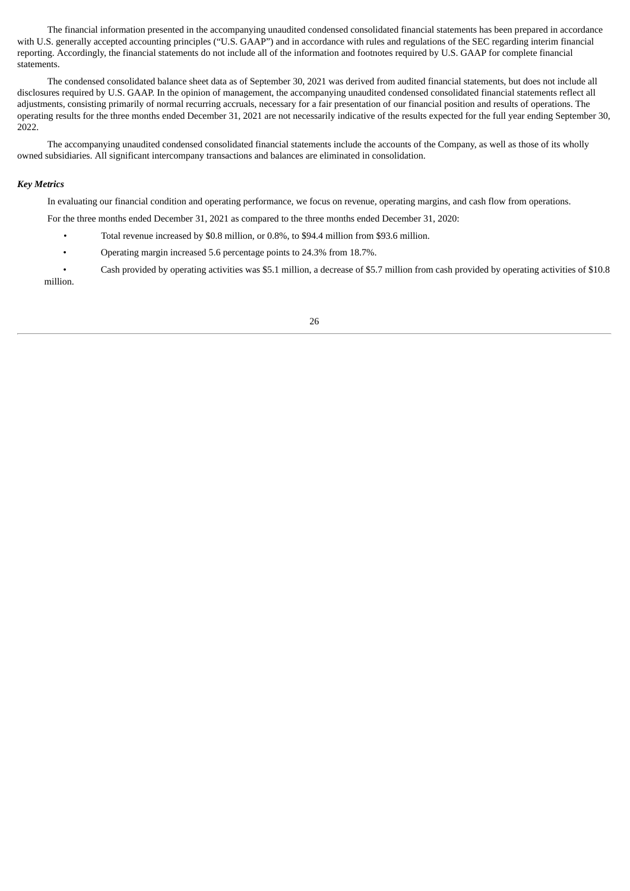The financial information presented in the accompanying unaudited condensed consolidated financial statements has been prepared in accordance with U.S. generally accepted accounting principles ("U.S. GAAP") and in accordance with rules and regulations of the SEC regarding interim financial reporting. Accordingly, the financial statements do not include all of the information and footnotes required by U.S. GAAP for complete financial statements.

The condensed consolidated balance sheet data as of September 30, 2021 was derived from audited financial statements, but does not include all disclosures required by U.S. GAAP. In the opinion of management, the accompanying unaudited condensed consolidated financial statements reflect all adjustments, consisting primarily of normal recurring accruals, necessary for a fair presentation of our financial position and results of operations. The operating results for the three months ended December 31, 2021 are not necessarily indicative of the results expected for the full year ending September 30, 2022.

The accompanying unaudited condensed consolidated financial statements include the accounts of the Company, as well as those of its wholly owned subsidiaries. All significant intercompany transactions and balances are eliminated in consolidation.

## *Key Metrics*

In evaluating our financial condition and operating performance, we focus on revenue, operating margins, and cash flow from operations.

For the three months ended December 31, 2021 as compared to the three months ended December 31, 2020:

- Total revenue increased by \$0.8 million, or 0.8%, to \$94.4 million from \$93.6 million.
- Operating margin increased 5.6 percentage points to 24.3% from 18.7%.

• Cash provided by operating activities was \$5.1 million, a decrease of \$5.7 million from cash provided by operating activities of \$10.8 million.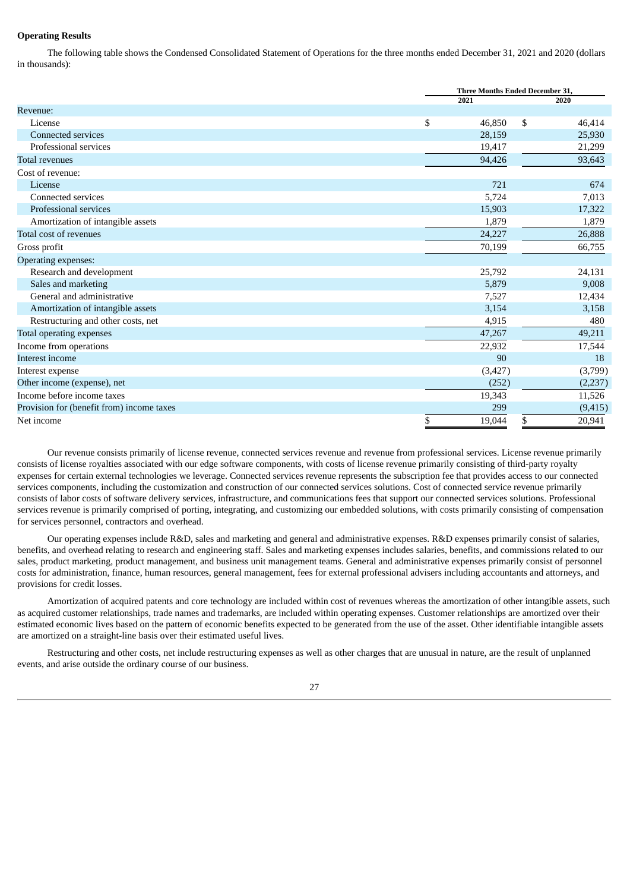## **Operating Results**

The following table shows the Condensed Consolidated Statement of Operations for the three months ended December 31, 2021 and 2020 (dollars in thousands):

|                                           |      | <b>Three Months Ended December 31,</b> |              |  |  |  |
|-------------------------------------------|------|----------------------------------------|--------------|--|--|--|
|                                           | 2021 |                                        | 2020         |  |  |  |
| Revenue:                                  |      |                                        |              |  |  |  |
| License                                   | \$   | 46,850                                 | \$<br>46,414 |  |  |  |
| Connected services                        |      | 28,159                                 | 25,930       |  |  |  |
| Professional services                     |      | 19,417                                 | 21,299       |  |  |  |
| <b>Total revenues</b>                     |      | 94,426                                 | 93,643       |  |  |  |
| Cost of revenue:                          |      |                                        |              |  |  |  |
| License                                   |      | 721                                    | 674          |  |  |  |
| Connected services                        |      | 5,724                                  | 7,013        |  |  |  |
| Professional services                     |      | 15,903                                 | 17,322       |  |  |  |
| Amortization of intangible assets         |      | 1,879                                  | 1,879        |  |  |  |
| Total cost of revenues                    |      | 24,227                                 | 26,888       |  |  |  |
| Gross profit                              |      | 70,199                                 | 66,755       |  |  |  |
| Operating expenses:                       |      |                                        |              |  |  |  |
| Research and development                  |      | 25,792                                 | 24,131       |  |  |  |
| Sales and marketing                       |      | 5,879                                  | 9,008        |  |  |  |
| General and administrative                |      | 7,527                                  | 12,434       |  |  |  |
| Amortization of intangible assets         |      | 3,154                                  | 3,158        |  |  |  |
| Restructuring and other costs, net        |      | 4,915                                  | 480          |  |  |  |
| Total operating expenses                  |      | 47,267                                 | 49,211       |  |  |  |
| Income from operations                    |      | 22,932                                 | 17,544       |  |  |  |
| Interest income                           |      | 90                                     | 18           |  |  |  |
| Interest expense                          |      | (3,427)                                | (3,799)      |  |  |  |
| Other income (expense), net               |      | (252)                                  | (2, 237)     |  |  |  |
| Income before income taxes                |      | 19,343                                 | 11,526       |  |  |  |
| Provision for (benefit from) income taxes |      | 299                                    | (9, 415)     |  |  |  |
| Net income                                | \$   | 19,044                                 | \$<br>20,941 |  |  |  |

Our revenue consists primarily of license revenue, connected services revenue and revenue from professional services. License revenue primarily consists of license royalties associated with our edge software components, with costs of license revenue primarily consisting of third-party royalty expenses for certain external technologies we leverage. Connected services revenue represents the subscription fee that provides access to our connected services components, including the customization and construction of our connected services solutions. Cost of connected service revenue primarily consists of labor costs of software delivery services, infrastructure, and communications fees that support our connected services solutions. Professional services revenue is primarily comprised of porting, integrating, and customizing our embedded solutions, with costs primarily consisting of compensation for services personnel, contractors and overhead.

Our operating expenses include R&D, sales and marketing and general and administrative expenses. R&D expenses primarily consist of salaries, benefits, and overhead relating to research and engineering staff. Sales and marketing expenses includes salaries, benefits, and commissions related to our sales, product marketing, product management, and business unit management teams. General and administrative expenses primarily consist of personnel costs for administration, finance, human resources, general management, fees for external professional advisers including accountants and attorneys, and provisions for credit losses.

Amortization of acquired patents and core technology are included within cost of revenues whereas the amortization of other intangible assets, such as acquired customer relationships, trade names and trademarks, are included within operating expenses. Customer relationships are amortized over their estimated economic lives based on the pattern of economic benefits expected to be generated from the use of the asset. Other identifiable intangible assets are amortized on a straight-line basis over their estimated useful lives.

Restructuring and other costs, net include restructuring expenses as well as other charges that are unusual in nature, are the result of unplanned events, and arise outside the ordinary course of our business.

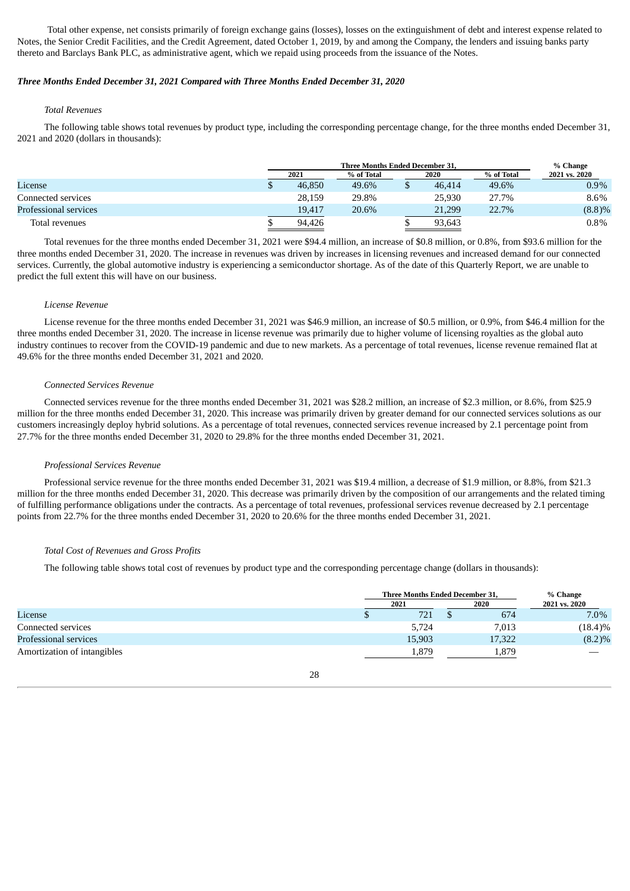Total other expense, net consists primarily of foreign exchange gains (losses), losses on the extinguishment of debt and interest expense related to Notes, the Senior Credit Facilities, and the Credit Agreement, dated October 1, 2019, by and among the Company, the lenders and issuing banks party thereto and Barclays Bank PLC, as administrative agent, which we repaid using proceeds from the issuance of the Notes.

#### *Three Months Ended December 31, 2021 Compared with Three Months Ended December 31, 2020*

## *Total Revenues*

The following table shows total revenues by product type, including the corresponding percentage change, for the three months ended December 31, 2021 and 2020 (dollars in thousands):

|                       | <b>Three Months Ended December 31.</b> |       |  |        |            |               |  |  |
|-----------------------|----------------------------------------|-------|--|--------|------------|---------------|--|--|
|                       | 2021                                   |       |  | 2020   | % of Total | 2021 vs. 2020 |  |  |
| License               | 46.850                                 | 49.6% |  | 46.414 | 49.6%      | $0.9\%$       |  |  |
| Connected services    | 28.159                                 | 29.8% |  | 25,930 | 27.7%      | 8.6%          |  |  |
| Professional services | 19,417                                 | 20.6% |  | 21,299 | 22.7%      | $(8.8)\%$     |  |  |
| Total revenues        | 94,426                                 |       |  | 93,643 |            | $0.8\%$       |  |  |

Total revenues for the three months ended December 31, 2021 were \$94.4 million, an increase of \$0.8 million, or 0.8%, from \$93.6 million for the three months ended December 31, 2020. The increase in revenues was driven by increases in licensing revenues and increased demand for our connected services. Currently, the global automotive industry is experiencing a semiconductor shortage. As of the date of this Quarterly Report, we are unable to predict the full extent this will have on our business.

#### *License Revenue*

License revenue for the three months ended December 31, 2021 was \$46.9 million, an increase of \$0.5 million, or 0.9%, from \$46.4 million for the three months ended December 31, 2020. The increase in license revenue was primarily due to higher volume of licensing royalties as the global auto industry continues to recover from the COVID-19 pandemic and due to new markets. As a percentage of total revenues, license revenue remained flat at 49.6% for the three months ended December 31, 2021 and 2020.

#### *Connected Services Revenue*

Connected services revenue for the three months ended December 31, 2021 was \$28.2 million, an increase of \$2.3 million, or 8.6%, from \$25.9 million for the three months ended December 31, 2020. This increase was primarily driven by greater demand for our connected services solutions as our customers increasingly deploy hybrid solutions. As a percentage of total revenues, connected services revenue increased by 2.1 percentage point from 27.7% for the three months ended December 31, 2020 to 29.8% for the three months ended December 31, 2021.

#### *Professional Services Revenue*

Professional service revenue for the three months ended December 31, 2021 was \$19.4 million, a decrease of \$1.9 million, or 8.8%, from \$21.3 million for the three months ended December 31, 2020. This decrease was primarily driven by the composition of our arrangements and the related timing of fulfilling performance obligations under the contracts. As a percentage of total revenues, professional services revenue decreased by 2.1 percentage points from 22.7% for the three months ended December 31, 2020 to 20.6% for the three months ended December 31, 2021.

#### *Total Cost of Revenues and Gross Profits*

The following table shows total cost of revenues by product type and the corresponding percentage change (dollars in thousands):

|                             | Three Months Ended December 31, | % Change |               |
|-----------------------------|---------------------------------|----------|---------------|
|                             | 2021                            | 2020     | 2021 vs. 2020 |
| License                     | 721                             | 674      | 7.0%          |
| Connected services          | 5,724                           | 7,013    | $(18.4)\%$    |
| Professional services       | 15,903                          | 17,322   | $(8.2)\%$     |
| Amortization of intangibles | 1,879                           | 1,879    |               |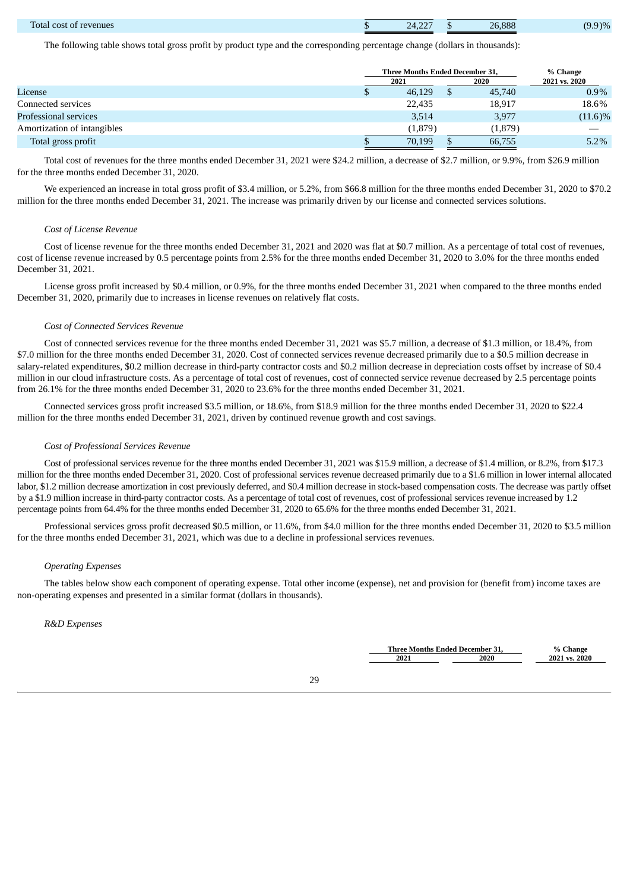| Total o<br><b>Exavenues</b><br>'NST | 222<br>71<br>T. 6<br>$\mathcal{L}(\mathcal{L})$ and $\mathcal{L}(\mathcal{L})$ and $\mathcal{L}(\mathcal{L})$ and $\mathcal{L}(\mathcal{L})$ | .888<br>n c | 0/0<br>۰۰۰ می |
|-------------------------------------|----------------------------------------------------------------------------------------------------------------------------------------------|-------------|---------------|
|                                     |                                                                                                                                              |             |               |

The following table shows total gross profit by product type and the corresponding percentage change (dollars in thousands):

|                             | <b>Three Months Ended December 31,</b> |   | % Change |               |
|-----------------------------|----------------------------------------|---|----------|---------------|
|                             | 2021                                   |   | 2020     | 2021 vs. 2020 |
| License                     | 46,129                                 | S | 45,740   | 0.9%          |
| Connected services          | 22,435                                 |   | 18,917   | 18.6%         |
| Professional services       | 3,514                                  |   | 3,977    | $(11.6)\%$    |
| Amortization of intangibles | (1,879)                                |   | (1,879)  |               |
| Total gross profit          | 70.199                                 |   | 66,755   | 5.2%          |

Total cost of revenues for the three months ended December 31, 2021 were \$24.2 million, a decrease of \$2.7 million, or 9.9%, from \$26.9 million for the three months ended December 31, 2020.

We experienced an increase in total gross profit of \$3.4 million, or 5.2%, from \$66.8 million for the three months ended December 31, 2020 to \$70.2 million for the three months ended December 31, 2021. The increase was primarily driven by our license and connected services solutions.

#### *Cost of License Revenue*

Cost of license revenue for the three months ended December 31, 2021 and 2020 was flat at \$0.7 million. As a percentage of total cost of revenues, cost of license revenue increased by 0.5 percentage points from 2.5% for the three months ended December 31, 2020 to 3.0% for the three months ended December 31, 2021.

License gross profit increased by \$0.4 million, or 0.9%, for the three months ended December 31, 2021 when compared to the three months ended December 31, 2020, primarily due to increases in license revenues on relatively flat costs.

#### *Cost of Connected Services Revenue*

Cost of connected services revenue for the three months ended December 31, 2021 was \$5.7 million, a decrease of \$1.3 million, or 18.4%, from \$7.0 million for the three months ended December 31, 2020. Cost of connected services revenue decreased primarily due to a \$0.5 million decrease in salary-related expenditures, \$0.2 million decrease in third-party contractor costs and \$0.2 million decrease in depreciation costs offset by increase of \$0.4 million in our cloud infrastructure costs. As a percentage of total cost of revenues, cost of connected service revenue decreased by 2.5 percentage points from 26.1% for the three months ended December 31, 2020 to 23.6% for the three months ended December 31, 2021.

Connected services gross profit increased \$3.5 million, or 18.6%, from \$18.9 million for the three months ended December 31, 2020 to \$22.4 million for the three months ended December 31, 2021, driven by continued revenue growth and cost savings.

#### *Cost of Professional Services Revenue*

Cost of professional services revenue for the three months ended December 31, 2021 was \$15.9 million, a decrease of \$1.4 million, or 8.2%, from \$17.3 million for the three months ended December 31, 2020. Cost of professional services revenue decreased primarily due to a \$1.6 million in lower internal allocated labor, \$1.2 million decrease amortization in cost previously deferred, and \$0.4 million decrease in stock-based compensation costs. The decrease was partly offset by a \$1.9 million increase in third-party contractor costs. As a percentage of total cost of revenues, cost of professional services revenue increased by 1.2 percentage points from 64.4% for the three months ended December 31, 2020 to 65.6% for the three months ended December 31, 2021.

Professional services gross profit decreased \$0.5 million, or 11.6%, from \$4.0 million for the three months ended December 31, 2020 to \$3.5 million for the three months ended December 31, 2021, which was due to a decline in professional services revenues.

#### *Operating Expenses*

The tables below show each component of operating expense. Total other income (expense), net and provision for (benefit from) income taxes are non-operating expenses and presented in a similar format (dollars in thousands).

*R&D Expenses*

|      | Three Months Ended December 31, | % Change      |
|------|---------------------------------|---------------|
| 2021 | 2020                            | 2021 vs. 2020 |
|      |                                 |               |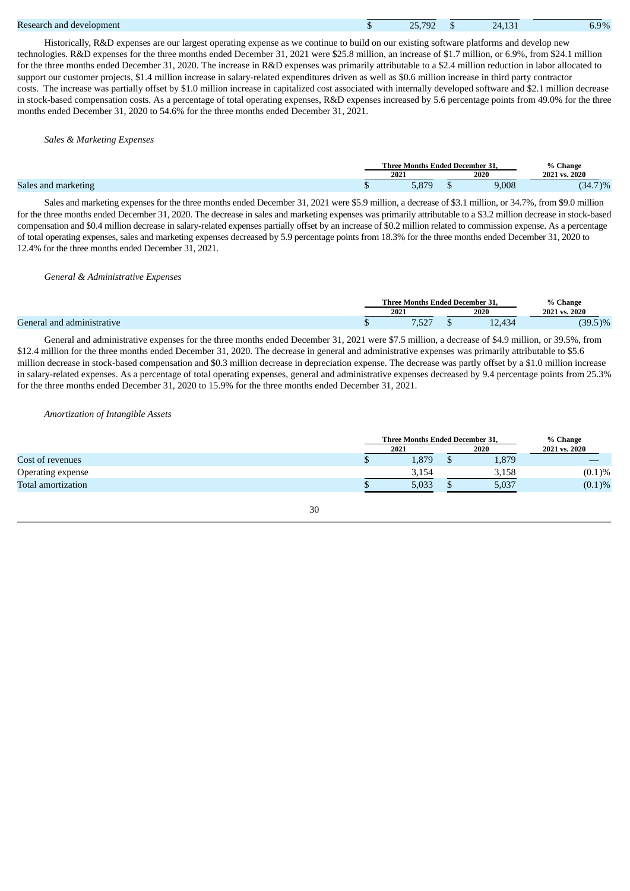| Research and development | 702<br>- 72<br>$\mathcal{L}(\mathcal{L})$ and $\mathcal{L}(\mathcal{L})$ and $\mathcal{L}(\mathcal{L})$ and $\mathcal{L}(\mathcal{L})$ | 74.1<br>$-1, -2.$ | $Q_0$<br>0.5/0 |
|--------------------------|----------------------------------------------------------------------------------------------------------------------------------------|-------------------|----------------|
|                          |                                                                                                                                        |                   |                |

Historically, R&D expenses are our largest operating expense as we continue to build on our existing software platforms and develop new technologies. R&D expenses for the three months ended December 31, 2021 were \$25.8 million, an increase of \$1.7 million, or 6.9%, from \$24.1 million for the three months ended December 31, 2020. The increase in R&D expenses was primarily attributable to a \$2.4 million reduction in labor allocated to support our customer projects, \$1.4 million increase in salary-related expenditures driven as well as \$0.6 million increase in third party contractor costs. The increase was partially offset by \$1.0 million increase in capitalized cost associated with internally developed software and \$2.1 million decrease in stock-based compensation costs. As a percentage of total operating expenses, R&D expenses increased by 5.6 percentage points from 49.0% for the three months ended December 31, 2020 to 54.6% for the three months ended December 31, 2021.

#### *Sales & Marketing Expenses*

|                     | Three Months Ended December 31. |       | % Change      |
|---------------------|---------------------------------|-------|---------------|
|                     | 2021                            | 2020  | 2021 vs. 2020 |
| Sales and marketing | 070<br>ว.o/ะ                    | 9,008 | 7)%<br>34.7   |

Sales and marketing expenses for the three months ended December 31, 2021 were \$5.9 million, a decrease of \$3.1 million, or 34.7%, from \$9.0 million for the three months ended December 31, 2020. The decrease in sales and marketing expenses was primarily attributable to a \$3.2 million decrease in stock-based compensation and \$0.4 million decrease in salary-related expenses partially offset by an increase of \$0.2 million related to commission expense. As a percentage of total operating expenses, sales and marketing expenses decreased by 5.9 percentage points from 18.3% for the three months ended December 31, 2020 to 12.4% for the three months ended December 31, 2021.

#### *General & Administrative Expenses*

|                  |  | <b>Three</b><br>e Months Ended December '<br>2021<br>$B = 0.5$ |  | .      | Change<br>0/2    |
|------------------|--|----------------------------------------------------------------|--|--------|------------------|
|                  |  |                                                                |  | 2020   | vs. 2020<br>2021 |
| l administrative |  | ، ے ت                                                          |  | 14.404 | $39.5\%$         |

General and administrative expenses for the three months ended December 31, 2021 were \$7.5 million, a decrease of \$4.9 million, or 39.5%, from \$12.4 million for the three months ended December 31, 2020. The decrease in general and administrative expenses was primarily attributable to \$5.6 million decrease in stock-based compensation and \$0.3 million decrease in depreciation expense. The decrease was partly offset by a \$1.0 million increase in salary-related expenses. As a percentage of total operating expenses, general and administrative expenses decreased by 9.4 percentage points from 25.3% for the three months ended December 31, 2020 to 15.9% for the three months ended December 31, 2021.

#### *Amortization of Intangible Assets*

|                    |  | <b>Three Months Ended December 31.</b> |  | % Change |               |  |  |       |           |
|--------------------|--|----------------------------------------|--|----------|---------------|--|--|-------|-----------|
|                    |  | 2021                                   |  | 2020     | 2021 vs. 2020 |  |  |       |           |
| Cost of revenues   |  | 1,879                                  |  | 1,879    |               |  |  |       |           |
| Operating expense  |  | 3,154                                  |  | 3,158    | (0.1)%        |  |  |       |           |
| Total amortization |  | 5,033                                  |  |          |               |  |  | 5,037 | $(0.1)\%$ |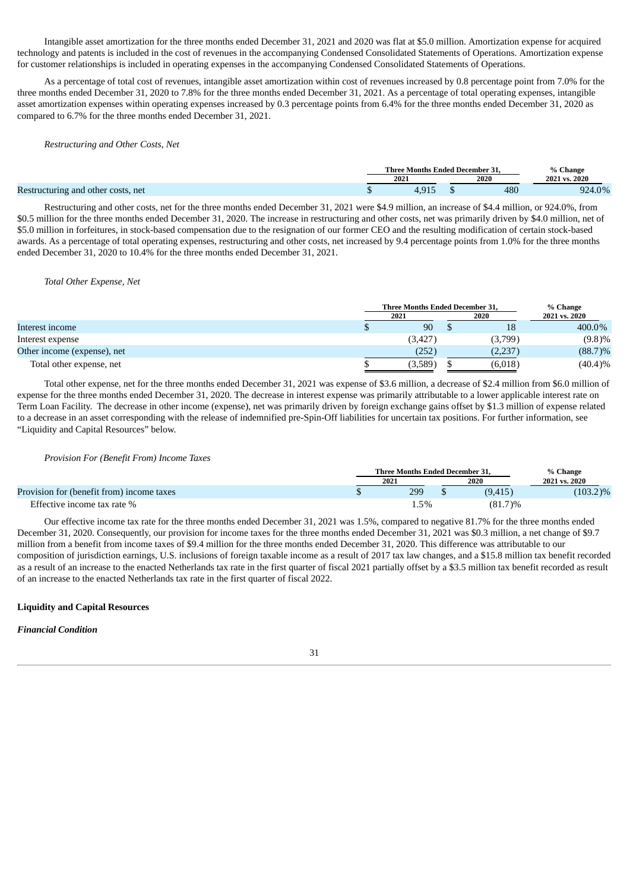Intangible asset amortization for the three months ended December 31, 2021 and 2020 was flat at \$5.0 million. Amortization expense for acquired technology and patents is included in the cost of revenues in the accompanying Condensed Consolidated Statements of Operations. Amortization expense for customer relationships is included in operating expenses in the accompanying Condensed Consolidated Statements of Operations.

As a percentage of total cost of revenues, intangible asset amortization within cost of revenues increased by 0.8 percentage point from 7.0% for the three months ended December 31, 2020 to 7.8% for the three months ended December 31, 2021. As a percentage of total operating expenses, intangible asset amortization expenses within operating expenses increased by 0.3 percentage points from 6.4% for the three months ended December 31, 2020 as compared to 6.7% for the three months ended December 31, 2021.

#### *Restructuring and Other Costs, Net*

|                                    | <b>Three Months Ended December 31</b> |  | % Change |               |  |
|------------------------------------|---------------------------------------|--|----------|---------------|--|
|                                    | 2021                                  |  | 2020     | 2021 vs. 2020 |  |
| Restructuring and other costs, net | $4.51 -$                              |  | 480      | 924.0%        |  |

Restructuring and other costs, net for the three months ended December 31, 2021 were \$4.9 million, an increase of \$4.4 million, or 924.0%, from \$0.5 million for the three months ended December 31, 2020. The increase in restructuring and other costs, net was primarily driven by \$4.0 million, net of \$5.0 million in forfeitures, in stock-based compensation due to the resignation of our former CEO and the resulting modification of certain stock-based awards. As a percentage of total operating expenses, restructuring and other costs, net increased by 9.4 percentage points from 1.0% for the three months ended December 31, 2020 to 10.4% for the three months ended December 31, 2021.

#### *Total Other Expense, Net*

|                             |  | <b>Three Months Ended December 31.</b> |  | % Change |               |  |  |    |        |
|-----------------------------|--|----------------------------------------|--|----------|---------------|--|--|----|--------|
|                             |  | 2021                                   |  | 2020     | 2021 vs. 2020 |  |  |    |        |
| Interest income             |  | 90                                     |  |          |               |  |  | 18 | 400.0% |
| Interest expense            |  | (3,427)                                |  | (3,799)  | $(9.8)\%$     |  |  |    |        |
| Other income (expense), net |  | (252)                                  |  | (2, 237) | $(88.7)\%$    |  |  |    |        |
| Total other expense, net    |  | (3,589)                                |  | (6,018)  | $(40.4)\%$    |  |  |    |        |

Total other expense, net for the three months ended December 31, 2021 was expense of \$3.6 million, a decrease of \$2.4 million from \$6.0 million of expense for the three months ended December 31, 2020. The decrease in interest expense was primarily attributable to a lower applicable interest rate on Term Loan Facility. The decrease in other income (expense), net was primarily driven by foreign exchange gains offset by \$1.3 million of expense related to a decrease in an asset corresponding with the release of indemnified pre-Spin-Off liabilities for uncertain tax positions. For further information, see "Liquidity and Capital Resources" below.

#### *Provision For (Benefit From) Income Taxes*

|                                           |  | <b>Three Months Ended December 31.</b> |  | % Change   |               |
|-------------------------------------------|--|----------------------------------------|--|------------|---------------|
|                                           |  | 2021                                   |  | 2020       | 2021 vs. 2020 |
| Provision for (benefit from) income taxes |  | 299                                    |  | (9.415)    | $(103.2)\%$   |
| Effective income tax rate %               |  | 5%                                     |  | $(81.7)\%$ |               |

Our effective income tax rate for the three months ended December 31, 2021 was 1.5%, compared to negative 81.7% for the three months ended December 31, 2020. Consequently, our provision for income taxes for the three months ended December 31, 2021 was \$0.3 million, a net change of \$9.7 million from a benefit from income taxes of \$9.4 million for the three months ended December 31, 2020. This difference was attributable to our composition of jurisdiction earnings, U.S. inclusions of foreign taxable income as a result of 2017 tax law changes, and a \$15.8 million tax benefit recorded as a result of an increase to the enacted Netherlands tax rate in the first quarter of fiscal 2021 partially offset by a \$3.5 million tax benefit recorded as result of an increase to the enacted Netherlands tax rate in the first quarter of fiscal 2022.

#### **Liquidity and Capital Resources**

#### *Financial Condition*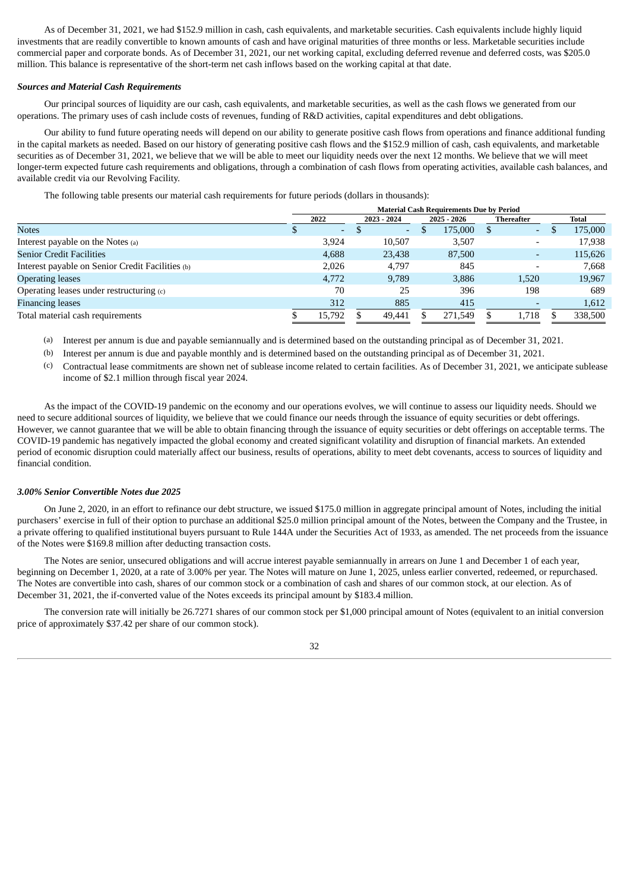As of December 31, 2021, we had \$152.9 million in cash, cash equivalents, and marketable securities. Cash equivalents include highly liquid investments that are readily convertible to known amounts of cash and have original maturities of three months or less. Marketable securities include commercial paper and corporate bonds. As of December 31, 2021, our net working capital, excluding deferred revenue and deferred costs, was \$205.0 million. This balance is representative of the short-term net cash inflows based on the working capital at that date.

## *Sources and Material Cash Requirements*

Our principal sources of liquidity are our cash, cash equivalents, and marketable securities, as well as the cash flows we generated from our operations. The primary uses of cash include costs of revenues, funding of R&D activities, capital expenditures and debt obligations.

Our ability to fund future operating needs will depend on our ability to generate positive cash flows from operations and finance additional funding in the capital markets as needed. Based on our history of generating positive cash flows and the \$152.9 million of cash, cash equivalents, and marketable securities as of December 31, 2021, we believe that we will be able to meet our liquidity needs over the next 12 months. We believe that we will meet longer-term expected future cash requirements and obligations, through a combination of cash flows from operating activities, available cash balances, and available credit via our Revolving Facility.

The following table presents our material cash requirements for future periods (dollars in thousands):

|                                                  | <b>Material Cash Requirements Due by Period</b> |        |  |                          |  |               |  |                          |       |         |  |
|--------------------------------------------------|-------------------------------------------------|--------|--|--------------------------|--|---------------|--|--------------------------|-------|---------|--|
|                                                  |                                                 | 2022   |  | 2023 - 2024              |  | $2025 - 2026$ |  | <b>Thereafter</b>        | Total |         |  |
| <b>Notes</b>                                     |                                                 | ٠      |  | $\overline{\phantom{0}}$ |  | 175,000       |  | $\overline{\phantom{a}}$ |       | 175,000 |  |
| Interest payable on the Notes (a)                |                                                 | 3.924  |  | 10,507                   |  | 3,507         |  |                          |       | 17,938  |  |
| <b>Senior Credit Facilities</b>                  |                                                 | 4.688  |  | 23,438                   |  | 87,500        |  |                          |       | 115,626 |  |
| Interest payable on Senior Credit Facilities (b) |                                                 | 2.026  |  | 4.797                    |  | 845           |  |                          |       | 7.668   |  |
| <b>Operating leases</b>                          |                                                 | 4.772  |  | 9.789                    |  | 3,886         |  | 1,520                    |       | 19,967  |  |
| Operating leases under restructuring (c)         |                                                 | 70     |  | 25                       |  | 396           |  | 198                      |       | 689     |  |
| <b>Financing leases</b>                          |                                                 | 312    |  | 885                      |  | 415           |  |                          |       | 1,612   |  |
| Total material cash requirements                 |                                                 | 15.792 |  | 49.441                   |  | 271.549       |  | 1.718                    |       | 338,500 |  |

(a) Interest per annum is due and payable semiannually and is determined based on the outstanding principal as of December 31, 2021.

(b) Interest per annum is due and payable monthly and is determined based on the outstanding principal as of December 31, 2021.

(c) Contractual lease commitments are shown net of sublease income related to certain facilities. As of December 31, 2021, we anticipate sublease income of \$2.1 million through fiscal year 2024.

As the impact of the COVID-19 pandemic on the economy and our operations evolves, we will continue to assess our liquidity needs. Should we need to secure additional sources of liquidity, we believe that we could finance our needs through the issuance of equity securities or debt offerings. However, we cannot guarantee that we will be able to obtain financing through the issuance of equity securities or debt offerings on acceptable terms. The COVID-19 pandemic has negatively impacted the global economy and created significant volatility and disruption of financial markets. An extended period of economic disruption could materially affect our business, results of operations, ability to meet debt covenants, access to sources of liquidity and financial condition.

## *3.00% Senior Convertible Notes due 2025*

On June 2, 2020, in an effort to refinance our debt structure, we issued \$175.0 million in aggregate principal amount of Notes, including the initial purchasers' exercise in full of their option to purchase an additional \$25.0 million principal amount of the Notes, between the Company and the Trustee, in a private offering to qualified institutional buyers pursuant to Rule 144A under the Securities Act of 1933, as amended. The net proceeds from the issuance of the Notes were \$169.8 million after deducting transaction costs.

The Notes are senior, unsecured obligations and will accrue interest payable semiannually in arrears on June 1 and December 1 of each year, beginning on December 1, 2020, at a rate of 3.00% per year. The Notes will mature on June 1, 2025, unless earlier converted, redeemed, or repurchased. The Notes are convertible into cash, shares of our common stock or a combination of cash and shares of our common stock, at our election. As of December 31, 2021, the if-converted value of the Notes exceeds its principal amount by \$183.4 million.

The conversion rate will initially be 26.7271 shares of our common stock per \$1,000 principal amount of Notes (equivalent to an initial conversion price of approximately \$37.42 per share of our common stock).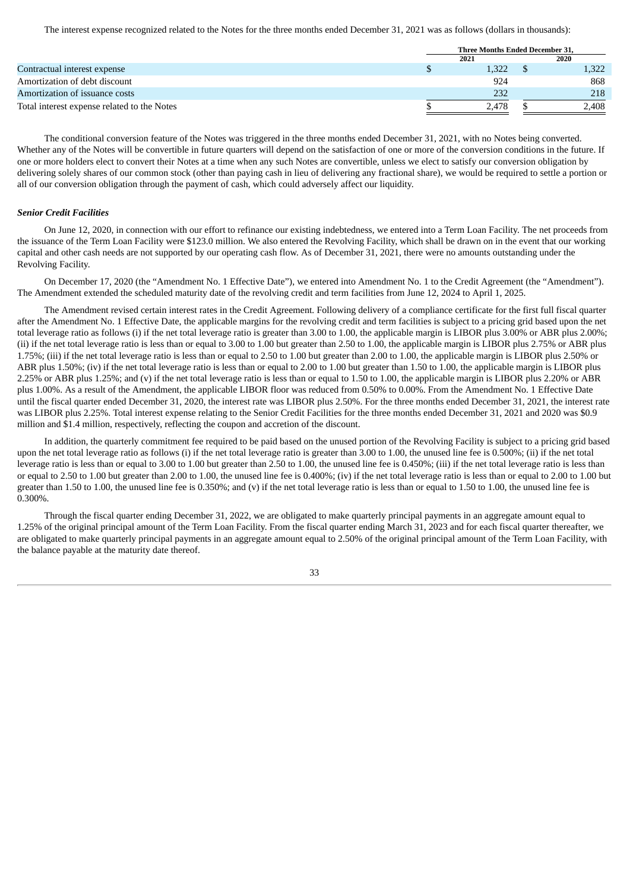The interest expense recognized related to the Notes for the three months ended December 31, 2021 was as follows (dollars in thousands):

|                                             | <b>Three Months Ended December 31.</b> |  |       |  |
|---------------------------------------------|----------------------------------------|--|-------|--|
|                                             | 2021                                   |  | 2020  |  |
| Contractual interest expense                | 1.322                                  |  | 1,322 |  |
| Amortization of debt discount               | 924                                    |  | 868   |  |
| Amortization of issuance costs              | 232                                    |  | 218   |  |
| Total interest expense related to the Notes | 2.478                                  |  | 2,408 |  |

The conditional conversion feature of the Notes was triggered in the three months ended December 31, 2021, with no Notes being converted. Whether any of the Notes will be convertible in future quarters will depend on the satisfaction of one or more of the conversion conditions in the future. If one or more holders elect to convert their Notes at a time when any such Notes are convertible, unless we elect to satisfy our conversion obligation by delivering solely shares of our common stock (other than paying cash in lieu of delivering any fractional share), we would be required to settle a portion or all of our conversion obligation through the payment of cash, which could adversely affect our liquidity.

#### *Senior Credit Facilities*

On June 12, 2020, in connection with our effort to refinance our existing indebtedness, we entered into a Term Loan Facility. The net proceeds from the issuance of the Term Loan Facility were \$123.0 million. We also entered the Revolving Facility, which shall be drawn on in the event that our working capital and other cash needs are not supported by our operating cash flow. As of December 31, 2021, there were no amounts outstanding under the Revolving Facility.

On December 17, 2020 (the "Amendment No. 1 Effective Date"), we entered into Amendment No. 1 to the Credit Agreement (the "Amendment"). The Amendment extended the scheduled maturity date of the revolving credit and term facilities from June 12, 2024 to April 1, 2025.

The Amendment revised certain interest rates in the Credit Agreement. Following delivery of a compliance certificate for the first full fiscal quarter after the Amendment No. 1 Effective Date, the applicable margins for the revolving credit and term facilities is subject to a pricing grid based upon the net total leverage ratio as follows (i) if the net total leverage ratio is greater than 3.00 to 1.00, the applicable margin is LIBOR plus 3.00% or ABR plus 2.00%; (ii) if the net total leverage ratio is less than or equal to 3.00 to 1.00 but greater than 2.50 to 1.00, the applicable margin is LIBOR plus 2.75% or ABR plus 1.75%; (iii) if the net total leverage ratio is less than or equal to 2.50 to 1.00 but greater than 2.00 to 1.00, the applicable margin is LIBOR plus 2.50% or ABR plus 1.50%; (iv) if the net total leverage ratio is less than or equal to 2.00 to 1.00 but greater than 1.50 to 1.00, the applicable margin is LIBOR plus 2.25% or ABR plus 1.25%; and (v) if the net total leverage ratio is less than or equal to 1.50 to 1.00, the applicable margin is LIBOR plus 2.20% or ABR plus 1.00%. As a result of the Amendment, the applicable LIBOR floor was reduced from 0.50% to 0.00%. From the Amendment No. 1 Effective Date until the fiscal quarter ended December 31, 2020, the interest rate was LIBOR plus 2.50%. For the three months ended December 31, 2021, the interest rate was LIBOR plus 2.25%. Total interest expense relating to the Senior Credit Facilities for the three months ended December 31, 2021 and 2020 was \$0.9 million and \$1.4 million, respectively, reflecting the coupon and accretion of the discount.

In addition, the quarterly commitment fee required to be paid based on the unused portion of the Revolving Facility is subject to a pricing grid based upon the net total leverage ratio as follows (i) if the net total leverage ratio is greater than 3.00 to 1.00, the unused line fee is 0.500%; (ii) if the net total leverage ratio is less than or equal to 3.00 to 1.00 but greater than 2.50 to 1.00, the unused line fee is 0.450%; (iii) if the net total leverage ratio is less than or equal to 2.50 to 1.00 but greater than 2.00 to 1.00, the unused line fee is 0.400%; (iv) if the net total leverage ratio is less than or equal to 2.00 to 1.00 but greater than 1.50 to 1.00, the unused line fee is 0.350%; and (v) if the net total leverage ratio is less than or equal to 1.50 to 1.00, the unused line fee is 0.300%.

Through the fiscal quarter ending December 31, 2022, we are obligated to make quarterly principal payments in an aggregate amount equal to 1.25% of the original principal amount of the Term Loan Facility. From the fiscal quarter ending March 31, 2023 and for each fiscal quarter thereafter, we are obligated to make quarterly principal payments in an aggregate amount equal to 2.50% of the original principal amount of the Term Loan Facility, with the balance payable at the maturity date thereof.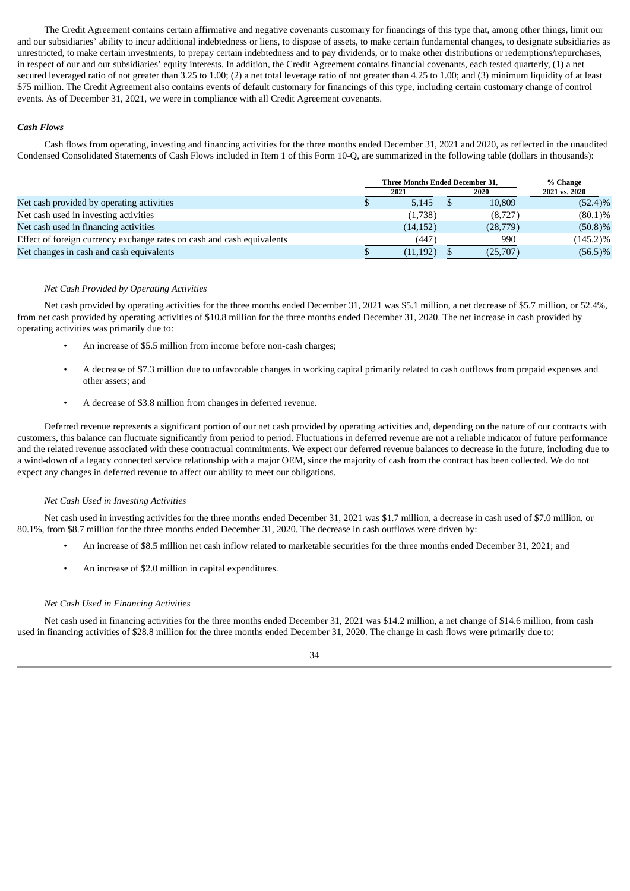The Credit Agreement contains certain affirmative and negative covenants customary for financings of this type that, among other things, limit our and our subsidiaries' ability to incur additional indebtedness or liens, to dispose of assets, to make certain fundamental changes, to designate subsidiaries as unrestricted, to make certain investments, to prepay certain indebtedness and to pay dividends, or to make other distributions or redemptions/repurchases, in respect of our and our subsidiaries' equity interests. In addition, the Credit Agreement contains financial covenants, each tested quarterly, (1) a net secured leveraged ratio of not greater than 3.25 to 1.00; (2) a net total leverage ratio of not greater than 4.25 to 1.00; and (3) minimum liquidity of at least \$75 million. The Credit Agreement also contains events of default customary for financings of this type, including certain customary change of control events. As of December 31, 2021, we were in compliance with all Credit Agreement covenants.

## *Cash Flows*

Cash flows from operating, investing and financing activities for the three months ended December 31, 2021 and 2020, as reflected in the unaudited Condensed Consolidated Statements of Cash Flows included in Item 1 of this Form 10-Q, are summarized in the following table (dollars in thousands):

|                                                                        | <b>Three Months Ended December 31.</b> |           |  |          | % Change      |  |
|------------------------------------------------------------------------|----------------------------------------|-----------|--|----------|---------------|--|
|                                                                        |                                        | 2021      |  | 2020     | 2021 vs. 2020 |  |
| Net cash provided by operating activities                              |                                        | 5.145     |  | 10,809   | $(52.4)\%$    |  |
| Net cash used in investing activities                                  |                                        | (1,738)   |  | (8,727)  | $(80.1)\%$    |  |
| Net cash used in financing activities                                  |                                        | (14, 152) |  | (28,779) | $(50.8)\%$    |  |
| Effect of foreign currency exchange rates on cash and cash equivalents |                                        | (447)     |  | 990      | $(145.2)\%$   |  |
| Net changes in cash and cash equivalents                               |                                        | (11,192)  |  | (25,707) | $(56.5)\%$    |  |

#### *Net Cash Provided by Operating Activities*

Net cash provided by operating activities for the three months ended December 31, 2021 was \$5.1 million, a net decrease of \$5.7 million, or 52.4%, from net cash provided by operating activities of \$10.8 million for the three months ended December 31, 2020. The net increase in cash provided by operating activities was primarily due to:

- An increase of \$5.5 million from income before non-cash charges;
- A decrease of \$7.3 million due to unfavorable changes in working capital primarily related to cash outflows from prepaid expenses and other assets; and
- A decrease of \$3.8 million from changes in deferred revenue.

Deferred revenue represents a significant portion of our net cash provided by operating activities and, depending on the nature of our contracts with customers, this balance can fluctuate significantly from period to period. Fluctuations in deferred revenue are not a reliable indicator of future performance and the related revenue associated with these contractual commitments. We expect our deferred revenue balances to decrease in the future, including due to a wind-down of a legacy connected service relationship with a major OEM, since the majority of cash from the contract has been collected. We do not expect any changes in deferred revenue to affect our ability to meet our obligations.

#### *Net Cash Used in Investing Activities*

Net cash used in investing activities for the three months ended December 31, 2021 was \$1.7 million, a decrease in cash used of \$7.0 million, or 80.1%, from \$8.7 million for the three months ended December 31, 2020. The decrease in cash outflows were driven by:

- An increase of \$8.5 million net cash inflow related to marketable securities for the three months ended December 31, 2021; and
- An increase of \$2.0 million in capital expenditures.

#### *Net Cash Used in Financing Activities*

Net cash used in financing activities for the three months ended December 31, 2021 was \$14.2 million, a net change of \$14.6 million, from cash used in financing activities of \$28.8 million for the three months ended December 31, 2020. The change in cash flows were primarily due to:

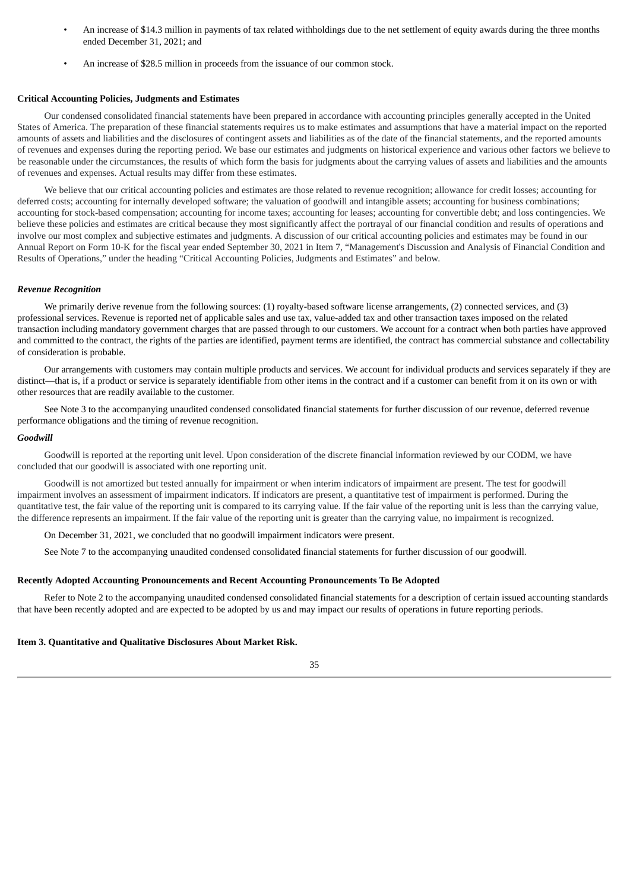- An increase of \$14.3 million in payments of tax related withholdings due to the net settlement of equity awards during the three months ended December 31, 2021; and
- An increase of \$28.5 million in proceeds from the issuance of our common stock.

#### **Critical Accounting Policies, Judgments and Estimates**

Our condensed consolidated financial statements have been prepared in accordance with accounting principles generally accepted in the United States of America. The preparation of these financial statements requires us to make estimates and assumptions that have a material impact on the reported amounts of assets and liabilities and the disclosures of contingent assets and liabilities as of the date of the financial statements, and the reported amounts of revenues and expenses during the reporting period. We base our estimates and judgments on historical experience and various other factors we believe to be reasonable under the circumstances, the results of which form the basis for judgments about the carrying values of assets and liabilities and the amounts of revenues and expenses. Actual results may differ from these estimates.

We believe that our critical accounting policies and estimates are those related to revenue recognition; allowance for credit losses; accounting for deferred costs; accounting for internally developed software; the valuation of goodwill and intangible assets; accounting for business combinations; accounting for stock-based compensation; accounting for income taxes; accounting for leases; accounting for convertible debt; and loss contingencies. We believe these policies and estimates are critical because they most significantly affect the portrayal of our financial condition and results of operations and involve our most complex and subjective estimates and judgments. A discussion of our critical accounting policies and estimates may be found in our Annual Report on Form 10-K for the fiscal year ended September 30, 2021 in Item 7, "Management's Discussion and Analysis of Financial Condition and Results of Operations," under the heading "Critical Accounting Policies, Judgments and Estimates" and below.

#### *Revenue Recognition*

We primarily derive revenue from the following sources: (1) royalty-based software license arrangements, (2) connected services, and (3) professional services. Revenue is reported net of applicable sales and use tax, value-added tax and other transaction taxes imposed on the related transaction including mandatory government charges that are passed through to our customers. We account for a contract when both parties have approved and committed to the contract, the rights of the parties are identified, payment terms are identified, the contract has commercial substance and collectability of consideration is probable.

Our arrangements with customers may contain multiple products and services. We account for individual products and services separately if they are distinct—that is, if a product or service is separately identifiable from other items in the contract and if a customer can benefit from it on its own or with other resources that are readily available to the customer.

See Note 3 to the accompanying unaudited condensed consolidated financial statements for further discussion of our revenue, deferred revenue performance obligations and the timing of revenue recognition.

#### *Goodwill*

Goodwill is reported at the reporting unit level. Upon consideration of the discrete financial information reviewed by our CODM, we have concluded that our goodwill is associated with one reporting unit.

Goodwill is not amortized but tested annually for impairment or when interim indicators of impairment are present. The test for goodwill impairment involves an assessment of impairment indicators. If indicators are present, a quantitative test of impairment is performed. During the quantitative test, the fair value of the reporting unit is compared to its carrying value. If the fair value of the reporting unit is less than the carrying value, the difference represents an impairment. If the fair value of the reporting unit is greater than the carrying value, no impairment is recognized.

On December 31, 2021, we concluded that no goodwill impairment indicators were present.

See Note 7 to the accompanying unaudited condensed consolidated financial statements for further discussion of our goodwill.

#### **Recently Adopted Accounting Pronouncements and Recent Accounting Pronouncements To Be Adopted**

Refer to Note 2 to the accompanying unaudited condensed consolidated financial statements for a description of certain issued accounting standards that have been recently adopted and are expected to be adopted by us and may impact our results of operations in future reporting periods.

#### <span id="page-36-0"></span>**Item 3. Quantitative and Qualitative Disclosures About Market Risk.**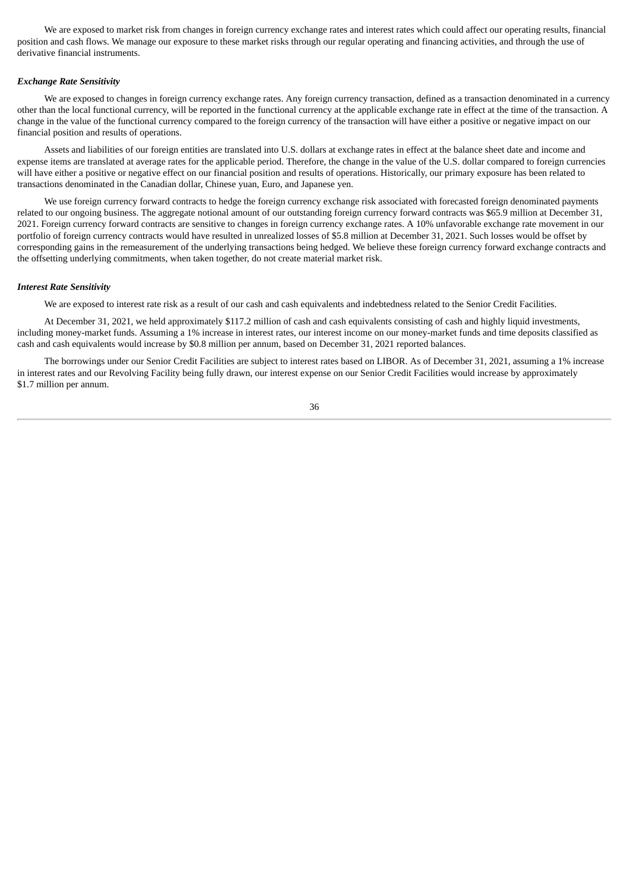We are exposed to market risk from changes in foreign currency exchange rates and interest rates which could affect our operating results, financial position and cash flows. We manage our exposure to these market risks through our regular operating and financing activities, and through the use of derivative financial instruments.

#### *Exchange Rate Sensitivity*

We are exposed to changes in foreign currency exchange rates. Any foreign currency transaction, defined as a transaction denominated in a currency other than the local functional currency, will be reported in the functional currency at the applicable exchange rate in effect at the time of the transaction. A change in the value of the functional currency compared to the foreign currency of the transaction will have either a positive or negative impact on our financial position and results of operations.

Assets and liabilities of our foreign entities are translated into U.S. dollars at exchange rates in effect at the balance sheet date and income and expense items are translated at average rates for the applicable period. Therefore, the change in the value of the U.S. dollar compared to foreign currencies will have either a positive or negative effect on our financial position and results of operations. Historically, our primary exposure has been related to transactions denominated in the Canadian dollar, Chinese yuan, Euro, and Japanese yen.

We use foreign currency forward contracts to hedge the foreign currency exchange risk associated with forecasted foreign denominated payments related to our ongoing business. The aggregate notional amount of our outstanding foreign currency forward contracts was \$65.9 million at December 31, 2021. Foreign currency forward contracts are sensitive to changes in foreign currency exchange rates. A 10% unfavorable exchange rate movement in our portfolio of foreign currency contracts would have resulted in unrealized losses of \$5.8 million at December 31, 2021. Such losses would be offset by corresponding gains in the remeasurement of the underlying transactions being hedged. We believe these foreign currency forward exchange contracts and the offsetting underlying commitments, when taken together, do not create material market risk.

#### *Interest Rate Sensitivity*

We are exposed to interest rate risk as a result of our cash and cash equivalents and indebtedness related to the Senior Credit Facilities.

At December 31, 2021, we held approximately \$117.2 million of cash and cash equivalents consisting of cash and highly liquid investments, including money-market funds. Assuming a 1% increase in interest rates, our interest income on our money-market funds and time deposits classified as cash and cash equivalents would increase by \$0.8 million per annum, based on December 31, 2021 reported balances.

The borrowings under our Senior Credit Facilities are subject to interest rates based on LIBOR. As of December 31, 2021, assuming a 1% increase in interest rates and our Revolving Facility being fully drawn, our interest expense on our Senior Credit Facilities would increase by approximately \$1.7 million per annum.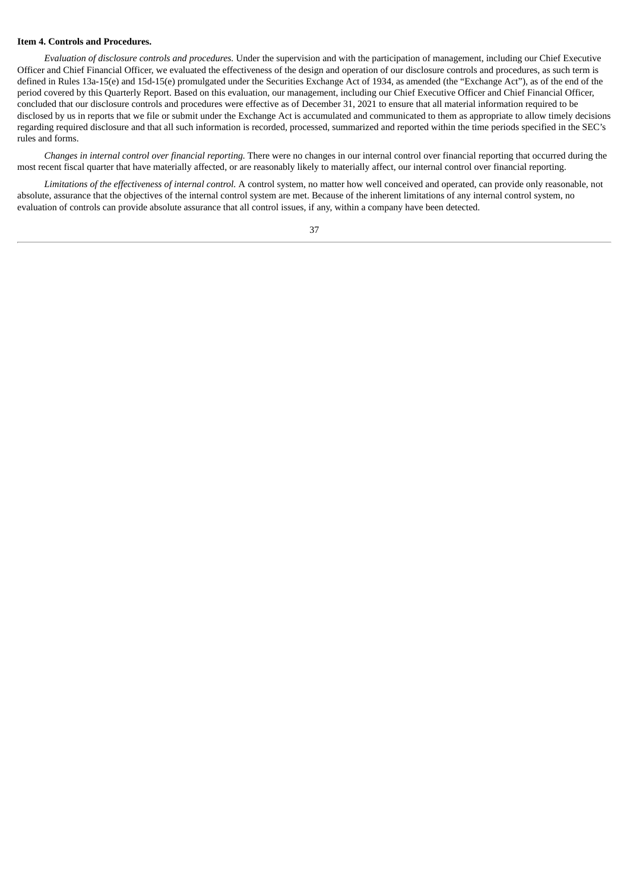#### <span id="page-38-0"></span>**Item 4. Controls and Procedures.**

*Evaluation of disclosure controls and procedures.* Under the supervision and with the participation of management, including our Chief Executive Officer and Chief Financial Officer, we evaluated the effectiveness of the design and operation of our disclosure controls and procedures, as such term is defined in Rules 13a-15(e) and 15d-15(e) promulgated under the Securities Exchange Act of 1934, as amended (the "Exchange Act"), as of the end of the period covered by this Quarterly Report. Based on this evaluation, our management, including our Chief Executive Officer and Chief Financial Officer, concluded that our disclosure controls and procedures were effective as of December 31, 2021 to ensure that all material information required to be disclosed by us in reports that we file or submit under the Exchange Act is accumulated and communicated to them as appropriate to allow timely decisions regarding required disclosure and that all such information is recorded, processed, summarized and reported within the time periods specified in the SEC's rules and forms.

*Changes in internal control over financial reporting.* There were no changes in our internal control over financial reporting that occurred during the most recent fiscal quarter that have materially affected, or are reasonably likely to materially affect, our internal control over financial reporting.

*Limitations of the effectiveness of internal control.* A control system, no matter how well conceived and operated, can provide only reasonable, not absolute, assurance that the objectives of the internal control system are met. Because of the inherent limitations of any internal control system, no evaluation of controls can provide absolute assurance that all control issues, if any, within a company have been detected.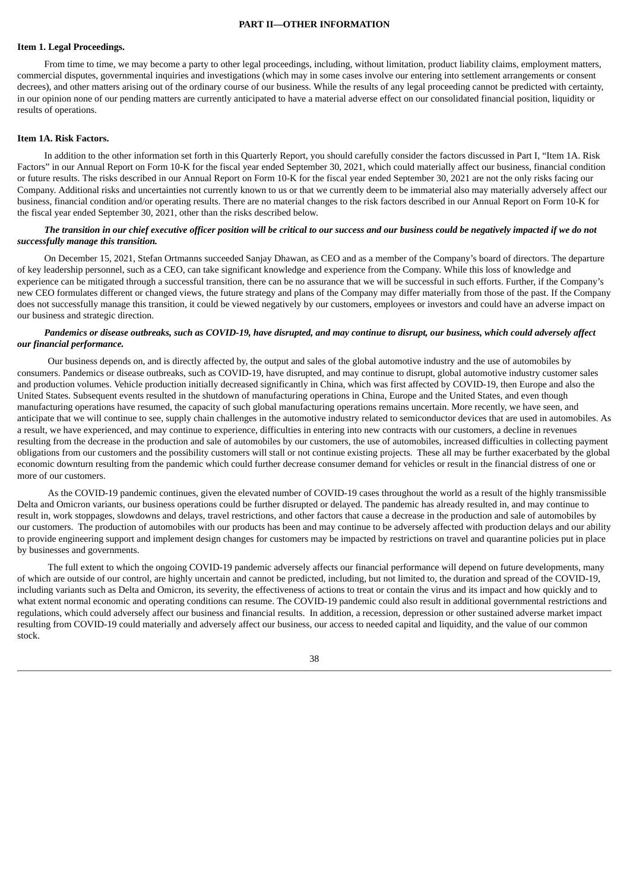#### **PART II—OTHER INFORMATION**

#### <span id="page-39-1"></span><span id="page-39-0"></span>**Item 1. Legal Proceedings.**

From time to time, we may become a party to other legal proceedings, including, without limitation, product liability claims, employment matters, commercial disputes, governmental inquiries and investigations (which may in some cases involve our entering into settlement arrangements or consent decrees), and other matters arising out of the ordinary course of our business. While the results of any legal proceeding cannot be predicted with certainty, in our opinion none of our pending matters are currently anticipated to have a material adverse effect on our consolidated financial position, liquidity or results of operations.

#### <span id="page-39-2"></span>**Item 1A. Risk Factors.**

In addition to the other information set forth in this Quarterly Report, you should carefully consider the factors discussed in Part I, "Item 1A. Risk Factors" in our Annual Report on Form 10-K for the fiscal year ended September 30, 2021, which could materially affect our business, financial condition or future results. The risks described in our Annual Report on Form 10-K for the fiscal year ended September 30, 2021 are not the only risks facing our Company. Additional risks and uncertainties not currently known to us or that we currently deem to be immaterial also may materially adversely affect our business, financial condition and/or operating results. There are no material changes to the risk factors described in our Annual Report on Form 10-K for the fiscal year ended September 30, 2021, other than the risks described below.

## The transition in our chief executive officer position will be critical to our success and our business could be negatively impacted if we do not *successfully manage this transition.*

On December 15, 2021, Stefan Ortmanns succeeded Sanjay Dhawan, as CEO and as a member of the Company's board of directors. The departure of key leadership personnel, such as a CEO, can take significant knowledge and experience from the Company. While this loss of knowledge and experience can be mitigated through a successful transition, there can be no assurance that we will be successful in such efforts. Further, if the Company's new CEO formulates different or changed views, the future strategy and plans of the Company may differ materially from those of the past. If the Company does not successfully manage this transition, it could be viewed negatively by our customers, employees or investors and could have an adverse impact on our business and strategic direction.

## Pandemics or disease outbreaks, such as COVID-19, have disrupted, and may continue to disrupt, our business, which could adversely affect *our financial performance.*

Our business depends on, and is directly affected by, the output and sales of the global automotive industry and the use of automobiles by consumers. Pandemics or disease outbreaks, such as COVID-19, have disrupted, and may continue to disrupt, global automotive industry customer sales and production volumes. Vehicle production initially decreased significantly in China, which was first affected by COVID-19, then Europe and also the United States. Subsequent events resulted in the shutdown of manufacturing operations in China, Europe and the United States, and even though manufacturing operations have resumed, the capacity of such global manufacturing operations remains uncertain. More recently, we have seen, and anticipate that we will continue to see, supply chain challenges in the automotive industry related to semiconductor devices that are used in automobiles. As a result, we have experienced, and may continue to experience, difficulties in entering into new contracts with our customers, a decline in revenues resulting from the decrease in the production and sale of automobiles by our customers, the use of automobiles, increased difficulties in collecting payment obligations from our customers and the possibility customers will stall or not continue existing projects. These all may be further exacerbated by the global economic downturn resulting from the pandemic which could further decrease consumer demand for vehicles or result in the financial distress of one or more of our customers.

As the COVID-19 pandemic continues, given the elevated number of COVID-19 cases throughout the world as a result of the highly transmissible Delta and Omicron variants, our business operations could be further disrupted or delayed. The pandemic has already resulted in, and may continue to result in, work stoppages, slowdowns and delays, travel restrictions, and other factors that cause a decrease in the production and sale of automobiles by our customers. The production of automobiles with our products has been and may continue to be adversely affected with production delays and our ability to provide engineering support and implement design changes for customers may be impacted by restrictions on travel and quarantine policies put in place by businesses and governments.

The full extent to which the ongoing COVID-19 pandemic adversely affects our financial performance will depend on future developments, many of which are outside of our control, are highly uncertain and cannot be predicted, including, but not limited to, the duration and spread of the COVID-19, including variants such as Delta and Omicron, its severity, the effectiveness of actions to treat or contain the virus and its impact and how quickly and to what extent normal economic and operating conditions can resume. The COVID-19 pandemic could also result in additional governmental restrictions and regulations, which could adversely affect our business and financial results. In addition, a recession, depression or other sustained adverse market impact resulting from COVID-19 could materially and adversely affect our business, our access to needed capital and liquidity, and the value of our common stock.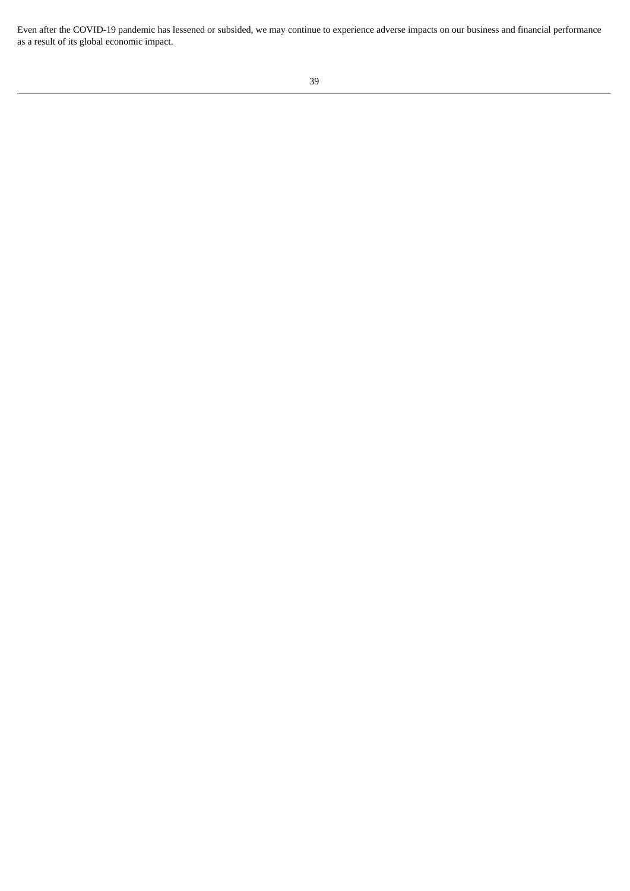Even after the COVID-19 pandemic has lessened or subsided, we may continue to experience adverse impacts on our business and financial performance as a result of its global economic impact.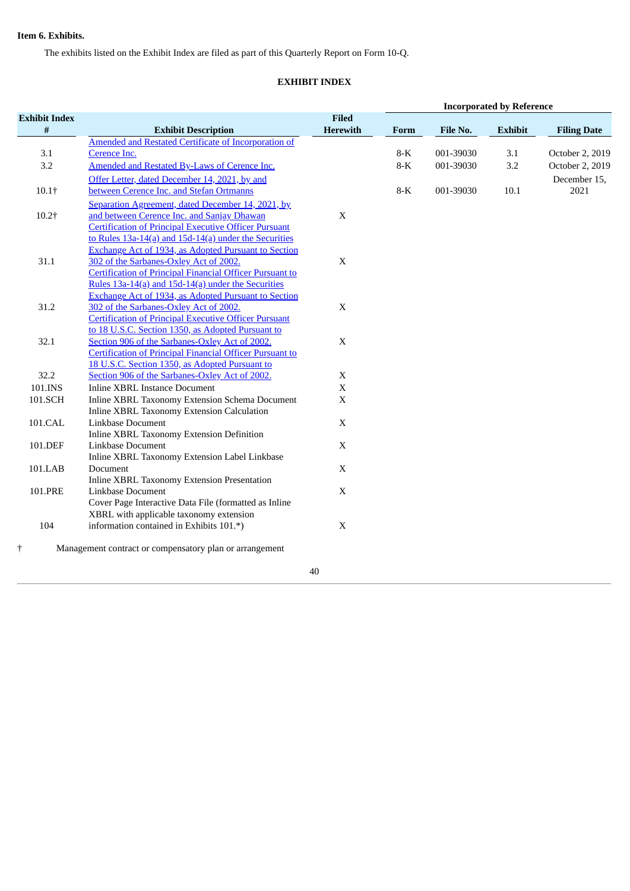## <span id="page-41-0"></span>**Item 6. Exhibits.**

The exhibits listed on the Exhibit Index are filed as part of this Quarterly Report on Form 10-Q.

## **EXHIBIT INDEX**

|                      |                                                                 |                 | <b>Incorporated by Reference</b> |           |                |                    |  |
|----------------------|-----------------------------------------------------------------|-----------------|----------------------------------|-----------|----------------|--------------------|--|
| <b>Exhibit Index</b> |                                                                 | <b>Filed</b>    |                                  |           |                |                    |  |
| #                    | <b>Exhibit Description</b>                                      | <b>Herewith</b> | Form                             | File No.  | <b>Exhibit</b> | <b>Filing Date</b> |  |
|                      | Amended and Restated Certificate of Incorporation of            |                 |                                  |           |                |                    |  |
| 3.1                  | Cerence Inc.                                                    |                 | $8-K$                            | 001-39030 | 3.1            | October 2, 2019    |  |
| 3.2                  | Amended and Restated By-Laws of Cerence Inc.                    |                 | $8-K$                            | 001-39030 | 3.2            | October 2, 2019    |  |
|                      | Offer Letter, dated December 14, 2021, by and                   |                 |                                  |           |                | December 15,       |  |
| $10.1\dagger$        | between Cerence Inc. and Stefan Ortmanns                        |                 | 8-K                              | 001-39030 | 10.1           | 2021               |  |
|                      | Separation Agreement, dated December 14, 2021, by               |                 |                                  |           |                |                    |  |
| 10.2 <sub>†</sub>    | and between Cerence Inc. and Sanjay Dhawan                      | X               |                                  |           |                |                    |  |
|                      | <b>Certification of Principal Executive Officer Pursuant</b>    |                 |                                  |           |                |                    |  |
|                      | to Rules 13a-14(a) and 15d-14(a) under the Securities           |                 |                                  |           |                |                    |  |
|                      | <b>Exchange Act of 1934, as Adopted Pursuant to Section</b>     |                 |                                  |           |                |                    |  |
| $31.1\,$             | 302 of the Sarbanes-Oxley Act of 2002.                          | $\mathbf X$     |                                  |           |                |                    |  |
|                      | <b>Certification of Principal Financial Officer Pursuant to</b> |                 |                                  |           |                |                    |  |
|                      | Rules 13a-14(a) and 15d-14(a) under the Securities              |                 |                                  |           |                |                    |  |
|                      | <b>Exchange Act of 1934, as Adopted Pursuant to Section</b>     |                 |                                  |           |                |                    |  |
| 31.2                 | 302 of the Sarbanes-Oxley Act of 2002.                          | X               |                                  |           |                |                    |  |
|                      | <b>Certification of Principal Executive Officer Pursuant</b>    |                 |                                  |           |                |                    |  |
|                      | to 18 U.S.C. Section 1350, as Adopted Pursuant to               |                 |                                  |           |                |                    |  |
| 32.1                 | Section 906 of the Sarbanes-Oxley Act of 2002.                  | $\mathbf X$     |                                  |           |                |                    |  |
|                      | <b>Certification of Principal Financial Officer Pursuant to</b> |                 |                                  |           |                |                    |  |
|                      | 18 U.S.C. Section 1350, as Adopted Pursuant to                  |                 |                                  |           |                |                    |  |
| 32.2                 | Section 906 of the Sarbanes-Oxley Act of 2002.                  | $\mathbf X$     |                                  |           |                |                    |  |
| 101.INS              | <b>Inline XBRL Instance Document</b>                            | $\mathbf X$     |                                  |           |                |                    |  |
| 101.SCH              | Inline XBRL Taxonomy Extension Schema Document                  | $\mathbf X$     |                                  |           |                |                    |  |
|                      | Inline XBRL Taxonomy Extension Calculation                      |                 |                                  |           |                |                    |  |
| 101.CAL              | <b>Linkbase Document</b>                                        | $\mathbf X$     |                                  |           |                |                    |  |
|                      | Inline XBRL Taxonomy Extension Definition                       |                 |                                  |           |                |                    |  |
| 101.DEF              | Linkbase Document                                               | $\mathbf X$     |                                  |           |                |                    |  |
|                      | Inline XBRL Taxonomy Extension Label Linkbase                   |                 |                                  |           |                |                    |  |
| 101.LAB              | Document                                                        | X               |                                  |           |                |                    |  |
|                      | Inline XBRL Taxonomy Extension Presentation                     |                 |                                  |           |                |                    |  |
| 101.PRE              | Linkbase Document                                               | $\mathbf X$     |                                  |           |                |                    |  |
|                      | Cover Page Interactive Data File (formatted as Inline           |                 |                                  |           |                |                    |  |
|                      | XBRL with applicable taxonomy extension                         |                 |                                  |           |                |                    |  |
| 104                  | information contained in Exhibits 101.*)                        | $\mathbf X$     |                                  |           |                |                    |  |
| Ť                    | Management contract or compensatory plan or arrangement         |                 |                                  |           |                |                    |  |
|                      |                                                                 | 40              |                                  |           |                |                    |  |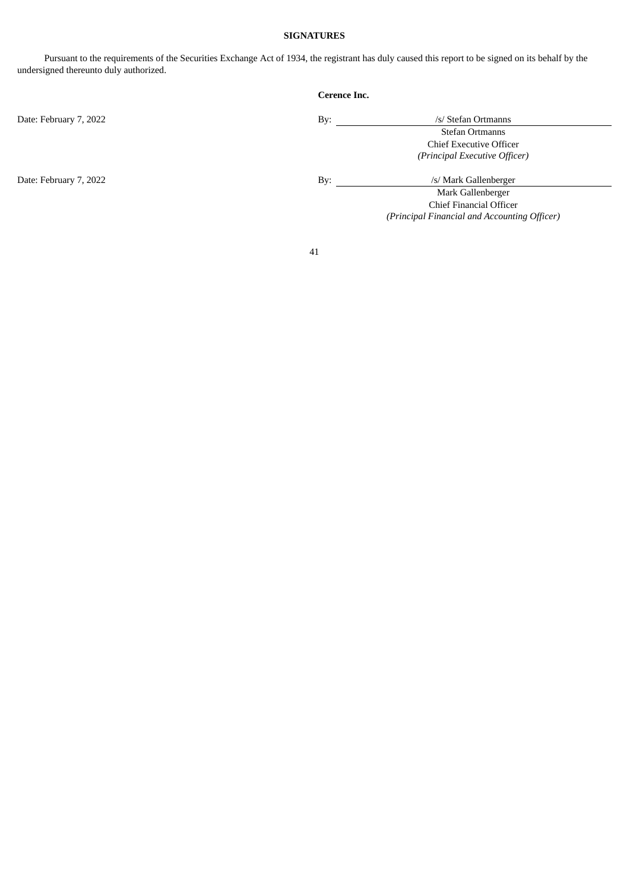## **SIGNATURES**

<span id="page-42-0"></span>Pursuant to the requirements of the Securities Exchange Act of 1934, the registrant has duly caused this report to be signed on its behalf by the undersigned thereunto duly authorized.

|                        | <b>Cerence Inc.</b> |                                              |  |
|------------------------|---------------------|----------------------------------------------|--|
| Date: February 7, 2022 | By:                 | /s/ Stefan Ortmanns                          |  |
|                        |                     | <b>Stefan Ortmanns</b>                       |  |
|                        |                     | Chief Executive Officer                      |  |
|                        |                     | (Principal Executive Officer)                |  |
| Date: February 7, 2022 | By:                 | /s/ Mark Gallenberger                        |  |
|                        |                     | Mark Gallenberger                            |  |
|                        |                     | Chief Financial Officer                      |  |
|                        |                     | (Principal Financial and Accounting Officer) |  |
|                        |                     |                                              |  |
|                        |                     |                                              |  |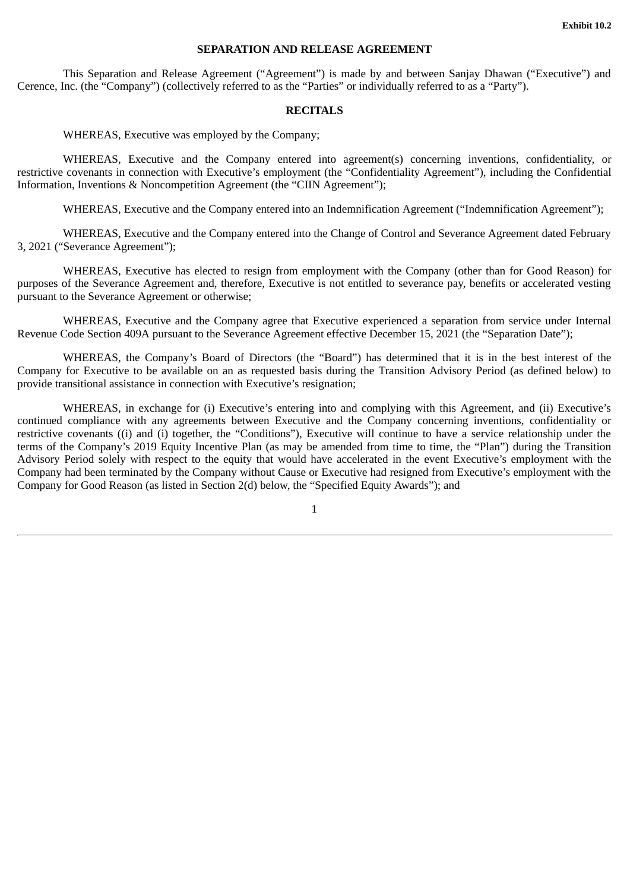## **SEPARATION AND RELEASE AGREEMENT**

<span id="page-43-0"></span>This Separation and Release Agreement ("Agreement") is made by and between Sanjay Dhawan ("Executive") and Cerence, Inc. (the "Company") (collectively referred to as the "Parties" or individually referred to as a "Party").

## **RECITALS**

WHEREAS, Executive was employed by the Company;

WHEREAS, Executive and the Company entered into agreement(s) concerning inventions, confidentiality, or restrictive covenants in connection with Executive's employment (the "Confidentiality Agreement"), including the Confidential Information, Inventions & Noncompetition Agreement (the "CIIN Agreement");

WHEREAS, Executive and the Company entered into an Indemnification Agreement ("Indemnification Agreement");

WHEREAS, Executive and the Company entered into the Change of Control and Severance Agreement dated February 3, 2021 ("Severance Agreement");

WHEREAS, Executive has elected to resign from employment with the Company (other than for Good Reason) for purposes of the Severance Agreement and, therefore, Executive is not entitled to severance pay, benefits or accelerated vesting pursuant to the Severance Agreement or otherwise;

WHEREAS, Executive and the Company agree that Executive experienced a separation from service under Internal Revenue Code Section 409A pursuant to the Severance Agreement effective December 15, 2021 (the "Separation Date");

WHEREAS, the Company's Board of Directors (the "Board") has determined that it is in the best interest of the Company for Executive to be available on an as requested basis during the Transition Advisory Period (as defined below) to provide transitional assistance in connection with Executive's resignation;

WHEREAS, in exchange for (i) Executive's entering into and complying with this Agreement, and (ii) Executive's continued compliance with any agreements between Executive and the Company concerning inventions, confidentiality or restrictive covenants ((i) and (i) together, the "Conditions"), Executive will continue to have a service relationship under the terms of the Company's 2019 Equity Incentive Plan (as may be amended from time to time, the "Plan") during the Transition Advisory Period solely with respect to the equity that would have accelerated in the event Executive's employment with the Company had been terminated by the Company without Cause or Executive had resigned from Executive's employment with the Company for Good Reason (as listed in Section 2(d) below, the "Specified Equity Awards"); and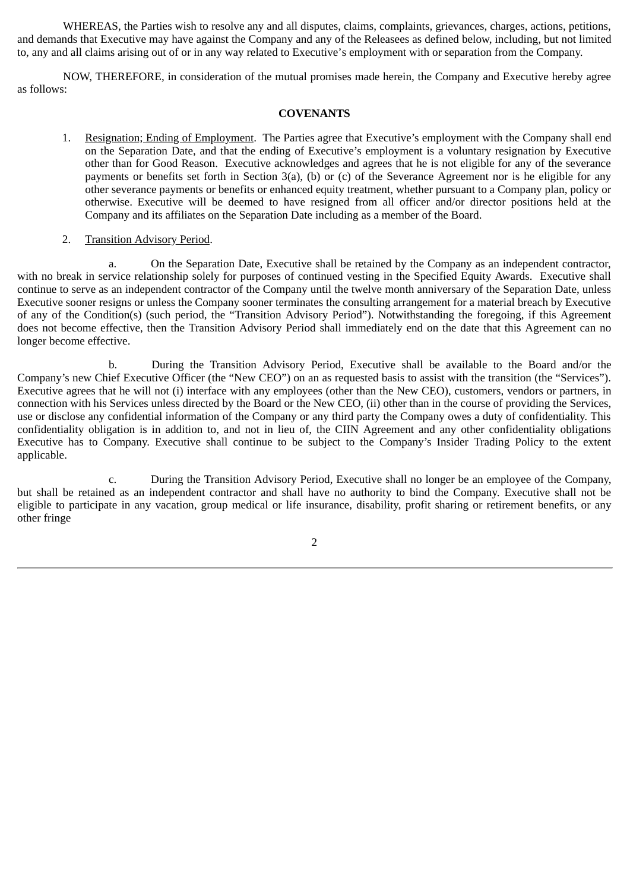WHEREAS, the Parties wish to resolve any and all disputes, claims, complaints, grievances, charges, actions, petitions, and demands that Executive may have against the Company and any of the Releasees as defined below, including, but not limited to, any and all claims arising out of or in any way related to Executive's employment with or separation from the Company.

NOW, THEREFORE, in consideration of the mutual promises made herein, the Company and Executive hereby agree as follows:

## **COVENANTS**

- 1. Resignation; Ending of Employment. The Parties agree that Executive's employment with the Company shall end on the Separation Date, and that the ending of Executive's employment is a voluntary resignation by Executive other than for Good Reason. Executive acknowledges and agrees that he is not eligible for any of the severance payments or benefits set forth in Section 3(a), (b) or (c) of the Severance Agreement nor is he eligible for any other severance payments or benefits or enhanced equity treatment, whether pursuant to a Company plan, policy or otherwise. Executive will be deemed to have resigned from all officer and/or director positions held at the Company and its affiliates on the Separation Date including as a member of the Board.
- 2. Transition Advisory Period.

a. On the Separation Date, Executive shall be retained by the Company as an independent contractor, with no break in service relationship solely for purposes of continued vesting in the Specified Equity Awards. Executive shall continue to serve as an independent contractor of the Company until the twelve month anniversary of the Separation Date, unless Executive sooner resigns or unless the Company sooner terminates the consulting arrangement for a material breach by Executive of any of the Condition(s) (such period, the "Transition Advisory Period"). Notwithstanding the foregoing, if this Agreement does not become effective, then the Transition Advisory Period shall immediately end on the date that this Agreement can no longer become effective.

b. During the Transition Advisory Period, Executive shall be available to the Board and/or the Company's new Chief Executive Officer (the "New CEO") on an as requested basis to assist with the transition (the "Services"). Executive agrees that he will not (i) interface with any employees (other than the New CEO), customers, vendors or partners, in connection with his Services unless directed by the Board or the New CEO, (ii) other than in the course of providing the Services, use or disclose any confidential information of the Company or any third party the Company owes a duty of confidentiality. This confidentiality obligation is in addition to, and not in lieu of, the CIIN Agreement and any other confidentiality obligations Executive has to Company. Executive shall continue to be subject to the Company's Insider Trading Policy to the extent applicable.

c. During the Transition Advisory Period, Executive shall no longer be an employee of the Company, but shall be retained as an independent contractor and shall have no authority to bind the Company. Executive shall not be eligible to participate in any vacation, group medical or life insurance, disability, profit sharing or retirement benefits, or any other fringe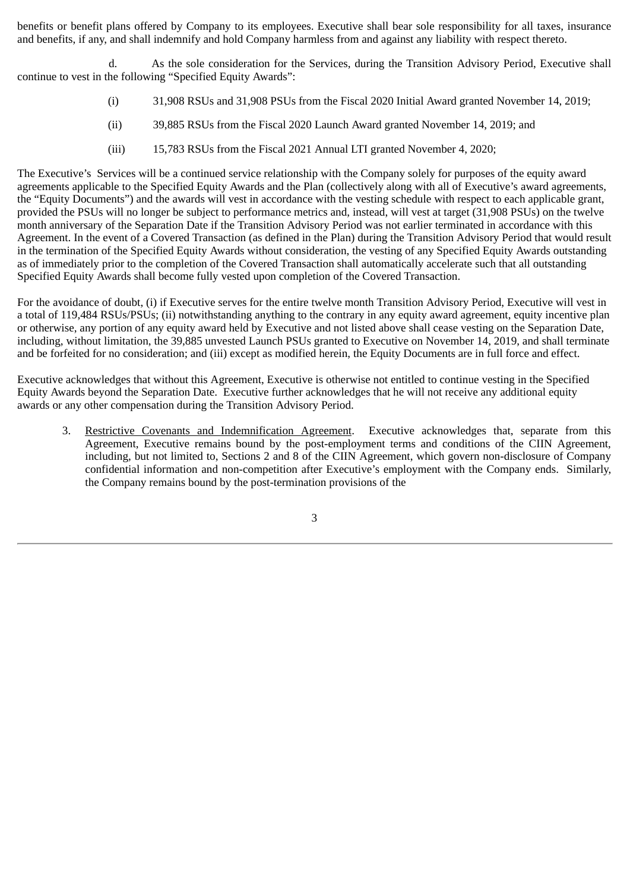benefits or benefit plans offered by Company to its employees. Executive shall bear sole responsibility for all taxes, insurance and benefits, if any, and shall indemnify and hold Company harmless from and against any liability with respect thereto.

d. As the sole consideration for the Services, during the Transition Advisory Period, Executive shall continue to vest in the following "Specified Equity Awards":

- (i) 31,908 RSUs and 31,908 PSUs from the Fiscal 2020 Initial Award granted November 14, 2019;
- (ii) 39,885 RSUs from the Fiscal 2020 Launch Award granted November 14, 2019; and
- (iii) 15,783 RSUs from the Fiscal 2021 Annual LTI granted November 4, 2020;

The Executive's Services will be a continued service relationship with the Company solely for purposes of the equity award agreements applicable to the Specified Equity Awards and the Plan (collectively along with all of Executive's award agreements, the "Equity Documents") and the awards will vest in accordance with the vesting schedule with respect to each applicable grant, provided the PSUs will no longer be subject to performance metrics and, instead, will vest at target (31,908 PSUs) on the twelve month anniversary of the Separation Date if the Transition Advisory Period was not earlier terminated in accordance with this Agreement. In the event of a Covered Transaction (as defined in the Plan) during the Transition Advisory Period that would result in the termination of the Specified Equity Awards without consideration, the vesting of any Specified Equity Awards outstanding as of immediately prior to the completion of the Covered Transaction shall automatically accelerate such that all outstanding Specified Equity Awards shall become fully vested upon completion of the Covered Transaction.

For the avoidance of doubt, (i) if Executive serves for the entire twelve month Transition Advisory Period, Executive will vest in a total of 119,484 RSUs/PSUs; (ii) notwithstanding anything to the contrary in any equity award agreement, equity incentive plan or otherwise, any portion of any equity award held by Executive and not listed above shall cease vesting on the Separation Date, including, without limitation, the 39,885 unvested Launch PSUs granted to Executive on November 14, 2019, and shall terminate and be forfeited for no consideration; and (iii) except as modified herein, the Equity Documents are in full force and effect.

Executive acknowledges that without this Agreement, Executive is otherwise not entitled to continue vesting in the Specified Equity Awards beyond the Separation Date. Executive further acknowledges that he will not receive any additional equity awards or any other compensation during the Transition Advisory Period.

3. Restrictive Covenants and Indemnification Agreement. Executive acknowledges that, separate from this Agreement, Executive remains bound by the post-employment terms and conditions of the CIIN Agreement, including, but not limited to, Sections 2 and 8 of the CIIN Agreement, which govern non-disclosure of Company confidential information and non-competition after Executive's employment with the Company ends. Similarly, the Company remains bound by the post-termination provisions of the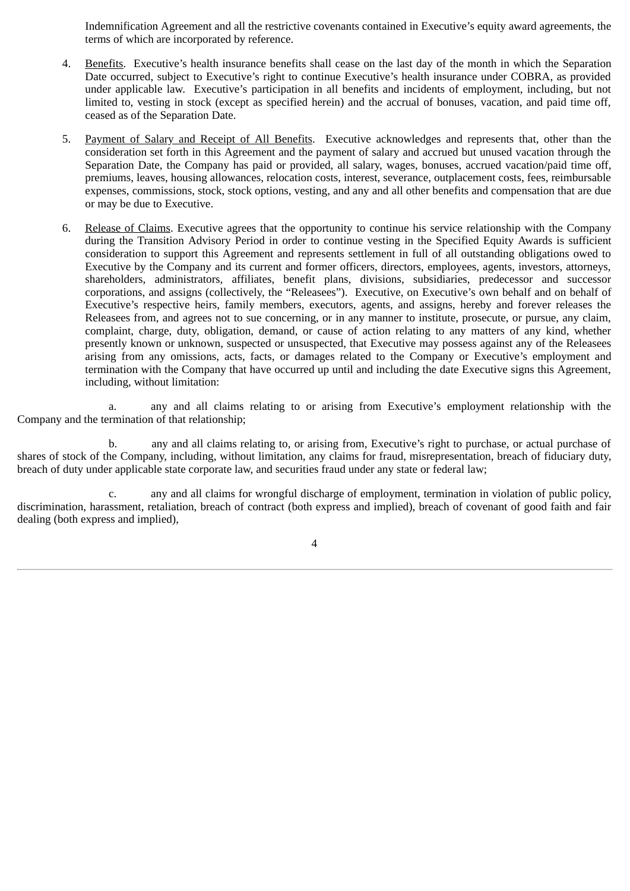Indemnification Agreement and all the restrictive covenants contained in Executive's equity award agreements, the terms of which are incorporated by reference.

- 4. Benefits. Executive's health insurance benefits shall cease on the last day of the month in which the Separation Date occurred, subject to Executive's right to continue Executive's health insurance under COBRA, as provided under applicable law. Executive's participation in all benefits and incidents of employment, including, but not limited to, vesting in stock (except as specified herein) and the accrual of bonuses, vacation, and paid time off, ceased as of the Separation Date.
- 5. Payment of Salary and Receipt of All Benefits. Executive acknowledges and represents that, other than the consideration set forth in this Agreement and the payment of salary and accrued but unused vacation through the Separation Date, the Company has paid or provided, all salary, wages, bonuses, accrued vacation/paid time off, premiums, leaves, housing allowances, relocation costs, interest, severance, outplacement costs, fees, reimbursable expenses, commissions, stock, stock options, vesting, and any and all other benefits and compensation that are due or may be due to Executive.
- 6. Release of Claims. Executive agrees that the opportunity to continue his service relationship with the Company during the Transition Advisory Period in order to continue vesting in the Specified Equity Awards is sufficient consideration to support this Agreement and represents settlement in full of all outstanding obligations owed to Executive by the Company and its current and former officers, directors, employees, agents, investors, attorneys, shareholders, administrators, affiliates, benefit plans, divisions, subsidiaries, predecessor and successor corporations, and assigns (collectively, the "Releasees"). Executive, on Executive's own behalf and on behalf of Executive's respective heirs, family members, executors, agents, and assigns, hereby and forever releases the Releasees from, and agrees not to sue concerning, or in any manner to institute, prosecute, or pursue, any claim, complaint, charge, duty, obligation, demand, or cause of action relating to any matters of any kind, whether presently known or unknown, suspected or unsuspected, that Executive may possess against any of the Releasees arising from any omissions, acts, facts, or damages related to the Company or Executive's employment and termination with the Company that have occurred up until and including the date Executive signs this Agreement, including, without limitation:

a. any and all claims relating to or arising from Executive's employment relationship with the Company and the termination of that relationship;

b. any and all claims relating to, or arising from, Executive's right to purchase, or actual purchase of shares of stock of the Company, including, without limitation, any claims for fraud, misrepresentation, breach of fiduciary duty, breach of duty under applicable state corporate law, and securities fraud under any state or federal law;

c. any and all claims for wrongful discharge of employment, termination in violation of public policy, discrimination, harassment, retaliation, breach of contract (both express and implied), breach of covenant of good faith and fair dealing (both express and implied),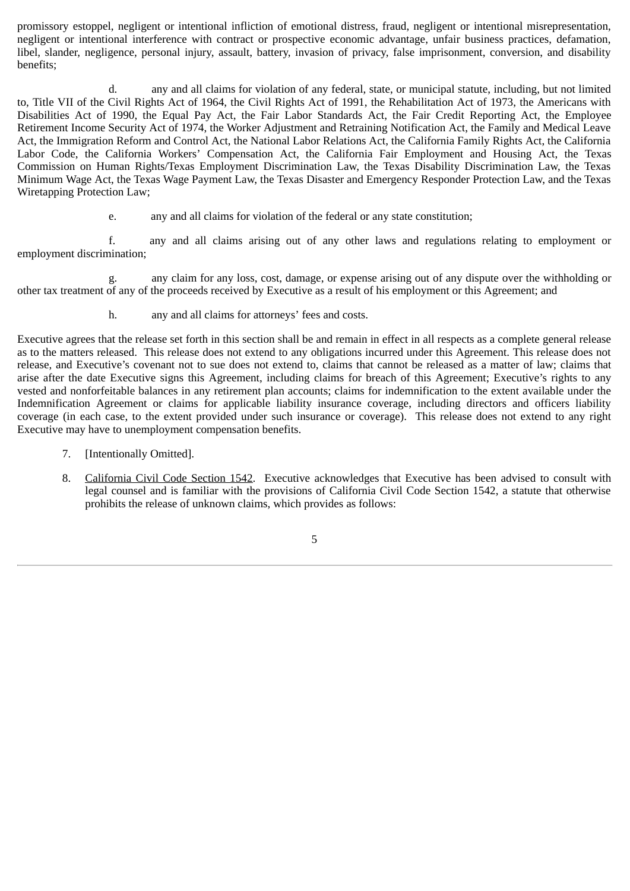promissory estoppel, negligent or intentional infliction of emotional distress, fraud, negligent or intentional misrepresentation, negligent or intentional interference with contract or prospective economic advantage, unfair business practices, defamation, libel, slander, negligence, personal injury, assault, battery, invasion of privacy, false imprisonment, conversion, and disability benefits;

d. any and all claims for violation of any federal, state, or municipal statute, including, but not limited to, Title VII of the Civil Rights Act of 1964, the Civil Rights Act of 1991, the Rehabilitation Act of 1973, the Americans with Disabilities Act of 1990, the Equal Pay Act, the Fair Labor Standards Act, the Fair Credit Reporting Act, the Employee Retirement Income Security Act of 1974, the Worker Adjustment and Retraining Notification Act, the Family and Medical Leave Act, the Immigration Reform and Control Act, the National Labor Relations Act, the California Family Rights Act, the California Labor Code, the California Workers' Compensation Act, the California Fair Employment and Housing Act, the Texas Commission on Human Rights/Texas Employment Discrimination Law, the Texas Disability Discrimination Law, the Texas Minimum Wage Act, the Texas Wage Payment Law, the Texas Disaster and Emergency Responder Protection Law, and the Texas Wiretapping Protection Law;

e. any and all claims for violation of the federal or any state constitution;

f. any and all claims arising out of any other laws and regulations relating to employment or employment discrimination;

g. any claim for any loss, cost, damage, or expense arising out of any dispute over the withholding or other tax treatment of any of the proceeds received by Executive as a result of his employment or this Agreement; and

h. any and all claims for attorneys' fees and costs.

Executive agrees that the release set forth in this section shall be and remain in effect in all respects as a complete general release as to the matters released. This release does not extend to any obligations incurred under this Agreement. This release does not release, and Executive's covenant not to sue does not extend to, claims that cannot be released as a matter of law; claims that arise after the date Executive signs this Agreement, including claims for breach of this Agreement; Executive's rights to any vested and nonforfeitable balances in any retirement plan accounts; claims for indemnification to the extent available under the Indemnification Agreement or claims for applicable liability insurance coverage, including directors and officers liability coverage (in each case, to the extent provided under such insurance or coverage). This release does not extend to any right Executive may have to unemployment compensation benefits.

- 7. [Intentionally Omitted].
- 8. California Civil Code Section 1542. Executive acknowledges that Executive has been advised to consult with legal counsel and is familiar with the provisions of California Civil Code Section 1542, a statute that otherwise prohibits the release of unknown claims, which provides as follows: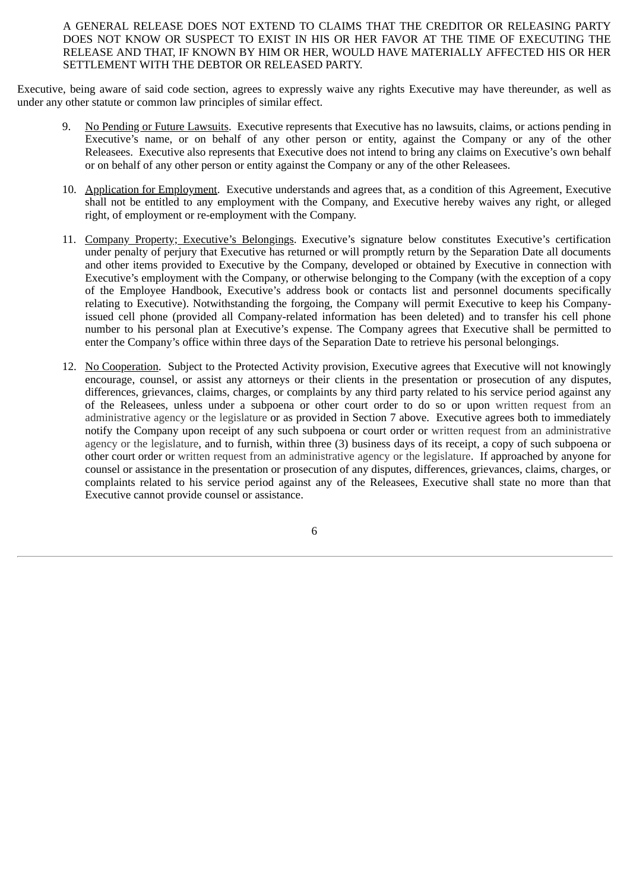A GENERAL RELEASE DOES NOT EXTEND TO CLAIMS THAT THE CREDITOR OR RELEASING PARTY DOES NOT KNOW OR SUSPECT TO EXIST IN HIS OR HER FAVOR AT THE TIME OF EXECUTING THE RELEASE AND THAT, IF KNOWN BY HIM OR HER, WOULD HAVE MATERIALLY AFFECTED HIS OR HER SETTLEMENT WITH THE DEBTOR OR RELEASED PARTY.

Executive, being aware of said code section, agrees to expressly waive any rights Executive may have thereunder, as well as under any other statute or common law principles of similar effect.

- 9. No Pending or Future Lawsuits. Executive represents that Executive has no lawsuits, claims, or actions pending in Executive's name, or on behalf of any other person or entity, against the Company or any of the other Releasees. Executive also represents that Executive does not intend to bring any claims on Executive's own behalf or on behalf of any other person or entity against the Company or any of the other Releasees.
- 10. Application for Employment. Executive understands and agrees that, as a condition of this Agreement, Executive shall not be entitled to any employment with the Company, and Executive hereby waives any right, or alleged right, of employment or re-employment with the Company.
- 11. Company Property; Executive's Belongings. Executive's signature below constitutes Executive's certification under penalty of perjury that Executive has returned or will promptly return by the Separation Date all documents and other items provided to Executive by the Company, developed or obtained by Executive in connection with Executive's employment with the Company, or otherwise belonging to the Company (with the exception of a copy of the Employee Handbook, Executive's address book or contacts list and personnel documents specifically relating to Executive). Notwithstanding the forgoing, the Company will permit Executive to keep his Companyissued cell phone (provided all Company-related information has been deleted) and to transfer his cell phone number to his personal plan at Executive's expense. The Company agrees that Executive shall be permitted to enter the Company's office within three days of the Separation Date to retrieve his personal belongings.
- 12. No Cooperation. Subject to the Protected Activity provision, Executive agrees that Executive will not knowingly encourage, counsel, or assist any attorneys or their clients in the presentation or prosecution of any disputes, differences, grievances, claims, charges, or complaints by any third party related to his service period against any of the Releasees, unless under a subpoena or other court order to do so or upon written request from an administrative agency or the legislature or as provided in Section 7 above. Executive agrees both to immediately notify the Company upon receipt of any such subpoena or court order or written request from an administrative agency or the legislature, and to furnish, within three (3) business days of its receipt, a copy of such subpoena or other court order or written request from an administrative agency or the legislature. If approached by anyone for counsel or assistance in the presentation or prosecution of any disputes, differences, grievances, claims, charges, or complaints related to his service period against any of the Releasees, Executive shall state no more than that Executive cannot provide counsel or assistance.

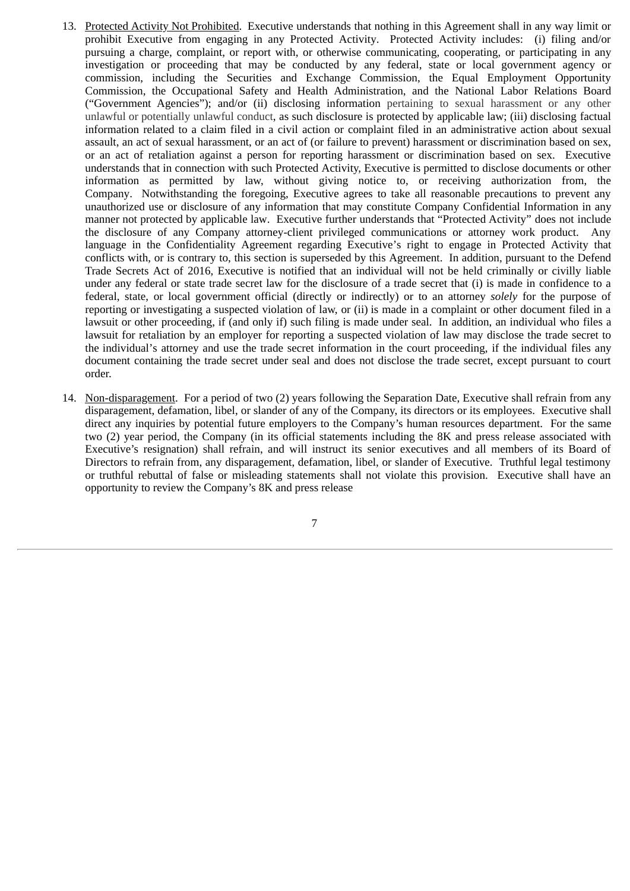- 13. Protected Activity Not Prohibited. Executive understands that nothing in this Agreement shall in any way limit or prohibit Executive from engaging in any Protected Activity. Protected Activity includes: (i) filing and/or pursuing a charge, complaint, or report with, or otherwise communicating, cooperating, or participating in any investigation or proceeding that may be conducted by any federal, state or local government agency or commission, including the Securities and Exchange Commission, the Equal Employment Opportunity Commission, the Occupational Safety and Health Administration, and the National Labor Relations Board ("Government Agencies"); and/or (ii) disclosing information pertaining to sexual harassment or any other unlawful or potentially unlawful conduct, as such disclosure is protected by applicable law; (iii) disclosing factual information related to a claim filed in a civil action or complaint filed in an administrative action about sexual assault, an act of sexual harassment, or an act of (or failure to prevent) harassment or discrimination based on sex, or an act of retaliation against a person for reporting harassment or discrimination based on sex. Executive understands that in connection with such Protected Activity, Executive is permitted to disclose documents or other information as permitted by law, without giving notice to, or receiving authorization from, the Company. Notwithstanding the foregoing, Executive agrees to take all reasonable precautions to prevent any unauthorized use or disclosure of any information that may constitute Company Confidential Information in any manner not protected by applicable law. Executive further understands that "Protected Activity" does not include the disclosure of any Company attorney-client privileged communications or attorney work product. Any language in the Confidentiality Agreement regarding Executive's right to engage in Protected Activity that conflicts with, or is contrary to, this section is superseded by this Agreement. In addition, pursuant to the Defend Trade Secrets Act of 2016, Executive is notified that an individual will not be held criminally or civilly liable under any federal or state trade secret law for the disclosure of a trade secret that (i) is made in confidence to a federal, state, or local government official (directly or indirectly) or to an attorney *solely* for the purpose of reporting or investigating a suspected violation of law, or (ii) is made in a complaint or other document filed in a lawsuit or other proceeding, if (and only if) such filing is made under seal. In addition, an individual who files a lawsuit for retaliation by an employer for reporting a suspected violation of law may disclose the trade secret to the individual's attorney and use the trade secret information in the court proceeding, if the individual files any document containing the trade secret under seal and does not disclose the trade secret, except pursuant to court order.
- 14. Non-disparagement. For a period of two (2) years following the Separation Date, Executive shall refrain from any disparagement, defamation, libel, or slander of any of the Company, its directors or its employees. Executive shall direct any inquiries by potential future employers to the Company's human resources department. For the same two (2) year period, the Company (in its official statements including the 8K and press release associated with Executive's resignation) shall refrain, and will instruct its senior executives and all members of its Board of Directors to refrain from, any disparagement, defamation, libel, or slander of Executive. Truthful legal testimony or truthful rebuttal of false or misleading statements shall not violate this provision. Executive shall have an opportunity to review the Company's 8K and press release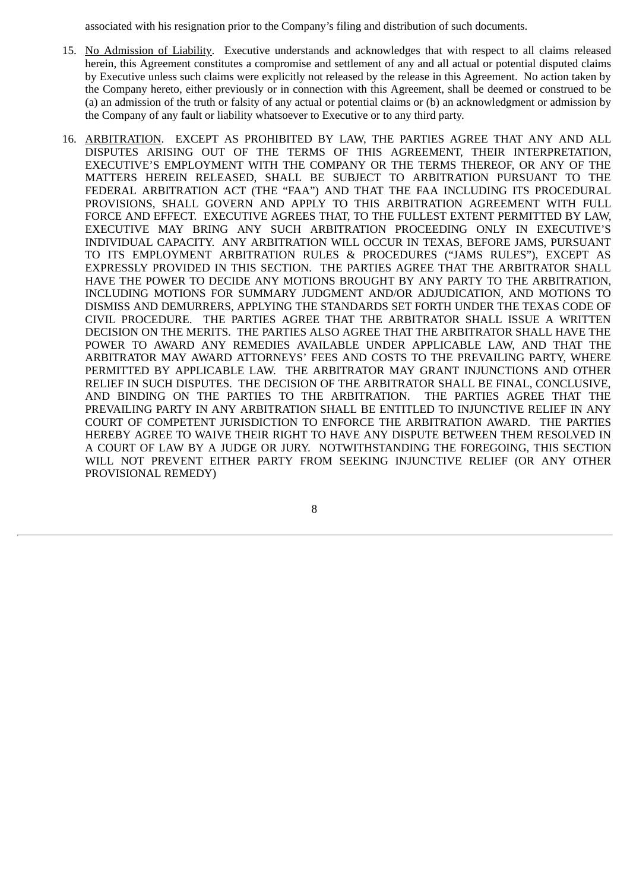associated with his resignation prior to the Company's filing and distribution of such documents.

- 15. No Admission of Liability. Executive understands and acknowledges that with respect to all claims released herein, this Agreement constitutes a compromise and settlement of any and all actual or potential disputed claims by Executive unless such claims were explicitly not released by the release in this Agreement. No action taken by the Company hereto, either previously or in connection with this Agreement, shall be deemed or construed to be (a) an admission of the truth or falsity of any actual or potential claims or (b) an acknowledgment or admission by the Company of any fault or liability whatsoever to Executive or to any third party.
- 16. ARBITRATION. EXCEPT AS PROHIBITED BY LAW, THE PARTIES AGREE THAT ANY AND ALL DISPUTES ARISING OUT OF THE TERMS OF THIS AGREEMENT, THEIR INTERPRETATION, EXECUTIVE'S EMPLOYMENT WITH THE COMPANY OR THE TERMS THEREOF, OR ANY OF THE MATTERS HEREIN RELEASED, SHALL BE SUBJECT TO ARBITRATION PURSUANT TO THE FEDERAL ARBITRATION ACT (THE "FAA") AND THAT THE FAA INCLUDING ITS PROCEDURAL PROVISIONS, SHALL GOVERN AND APPLY TO THIS ARBITRATION AGREEMENT WITH FULL FORCE AND EFFECT. EXECUTIVE AGREES THAT, TO THE FULLEST EXTENT PERMITTED BY LAW, EXECUTIVE MAY BRING ANY SUCH ARBITRATION PROCEEDING ONLY IN EXECUTIVE'S INDIVIDUAL CAPACITY. ANY ARBITRATION WILL OCCUR IN TEXAS, BEFORE JAMS, PURSUANT TO ITS EMPLOYMENT ARBITRATION RULES & PROCEDURES ("JAMS RULES"), EXCEPT AS EXPRESSLY PROVIDED IN THIS SECTION. THE PARTIES AGREE THAT THE ARBITRATOR SHALL HAVE THE POWER TO DECIDE ANY MOTIONS BROUGHT BY ANY PARTY TO THE ARBITRATION, INCLUDING MOTIONS FOR SUMMARY JUDGMENT AND/OR ADJUDICATION, AND MOTIONS TO DISMISS AND DEMURRERS, APPLYING THE STANDARDS SET FORTH UNDER THE TEXAS CODE OF CIVIL PROCEDURE. THE PARTIES AGREE THAT THE ARBITRATOR SHALL ISSUE A WRITTEN DECISION ON THE MERITS. THE PARTIES ALSO AGREE THAT THE ARBITRATOR SHALL HAVE THE POWER TO AWARD ANY REMEDIES AVAILABLE UNDER APPLICABLE LAW, AND THAT THE ARBITRATOR MAY AWARD ATTORNEYS' FEES AND COSTS TO THE PREVAILING PARTY, WHERE PERMITTED BY APPLICABLE LAW. THE ARBITRATOR MAY GRANT INJUNCTIONS AND OTHER RELIEF IN SUCH DISPUTES. THE DECISION OF THE ARBITRATOR SHALL BE FINAL, CONCLUSIVE, AND BINDING ON THE PARTIES TO THE ARBITRATION. THE PARTIES AGREE THAT THE PREVAILING PARTY IN ANY ARBITRATION SHALL BE ENTITLED TO INJUNCTIVE RELIEF IN ANY COURT OF COMPETENT JURISDICTION TO ENFORCE THE ARBITRATION AWARD. THE PARTIES HEREBY AGREE TO WAIVE THEIR RIGHT TO HAVE ANY DISPUTE BETWEEN THEM RESOLVED IN A COURT OF LAW BY A JUDGE OR JURY. NOTWITHSTANDING THE FOREGOING, THIS SECTION WILL NOT PREVENT EITHER PARTY FROM SEEKING INJUNCTIVE RELIEF (OR ANY OTHER PROVISIONAL REMEDY)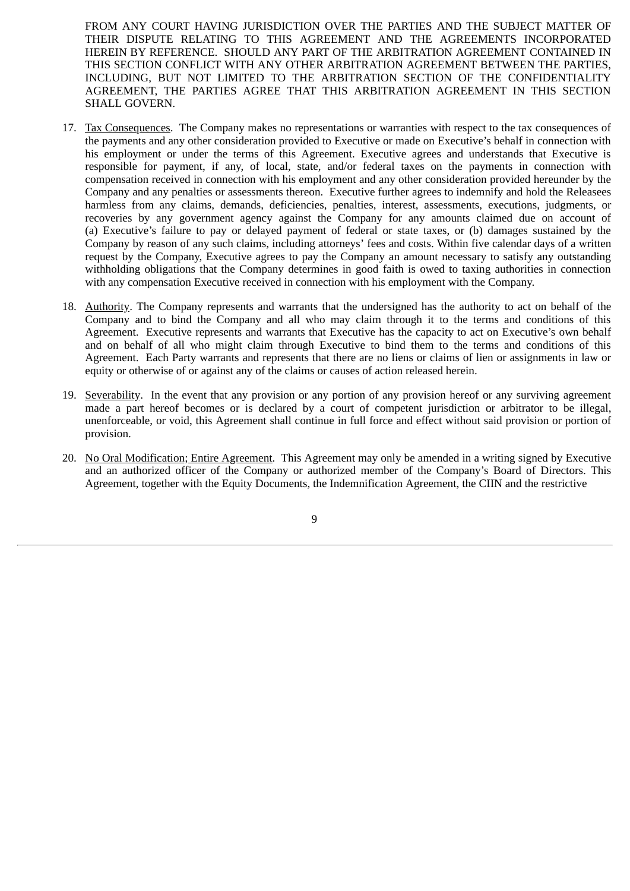FROM ANY COURT HAVING JURISDICTION OVER THE PARTIES AND THE SUBJECT MATTER OF THEIR DISPUTE RELATING TO THIS AGREEMENT AND THE AGREEMENTS INCORPORATED HEREIN BY REFERENCE. SHOULD ANY PART OF THE ARBITRATION AGREEMENT CONTAINED IN THIS SECTION CONFLICT WITH ANY OTHER ARBITRATION AGREEMENT BETWEEN THE PARTIES, INCLUDING, BUT NOT LIMITED TO THE ARBITRATION SECTION OF THE CONFIDENTIALITY AGREEMENT, THE PARTIES AGREE THAT THIS ARBITRATION AGREEMENT IN THIS SECTION SHALL GOVERN.

- 17. Tax Consequences. The Company makes no representations or warranties with respect to the tax consequences of the payments and any other consideration provided to Executive or made on Executive's behalf in connection with his employment or under the terms of this Agreement. Executive agrees and understands that Executive is responsible for payment, if any, of local, state, and/or federal taxes on the payments in connection with compensation received in connection with his employment and any other consideration provided hereunder by the Company and any penalties or assessments thereon. Executive further agrees to indemnify and hold the Releasees harmless from any claims, demands, deficiencies, penalties, interest, assessments, executions, judgments, or recoveries by any government agency against the Company for any amounts claimed due on account of (a) Executive's failure to pay or delayed payment of federal or state taxes, or (b) damages sustained by the Company by reason of any such claims, including attorneys' fees and costs. Within five calendar days of a written request by the Company, Executive agrees to pay the Company an amount necessary to satisfy any outstanding withholding obligations that the Company determines in good faith is owed to taxing authorities in connection with any compensation Executive received in connection with his employment with the Company.
- 18. Authority. The Company represents and warrants that the undersigned has the authority to act on behalf of the Company and to bind the Company and all who may claim through it to the terms and conditions of this Agreement. Executive represents and warrants that Executive has the capacity to act on Executive's own behalf and on behalf of all who might claim through Executive to bind them to the terms and conditions of this Agreement. Each Party warrants and represents that there are no liens or claims of lien or assignments in law or equity or otherwise of or against any of the claims or causes of action released herein.
- 19. Severability. In the event that any provision or any portion of any provision hereof or any surviving agreement made a part hereof becomes or is declared by a court of competent jurisdiction or arbitrator to be illegal, unenforceable, or void, this Agreement shall continue in full force and effect without said provision or portion of provision.
- 20. No Oral Modification; Entire Agreement. This Agreement may only be amended in a writing signed by Executive and an authorized officer of the Company or authorized member of the Company's Board of Directors. This Agreement, together with the Equity Documents, the Indemnification Agreement, the CIIN and the restrictive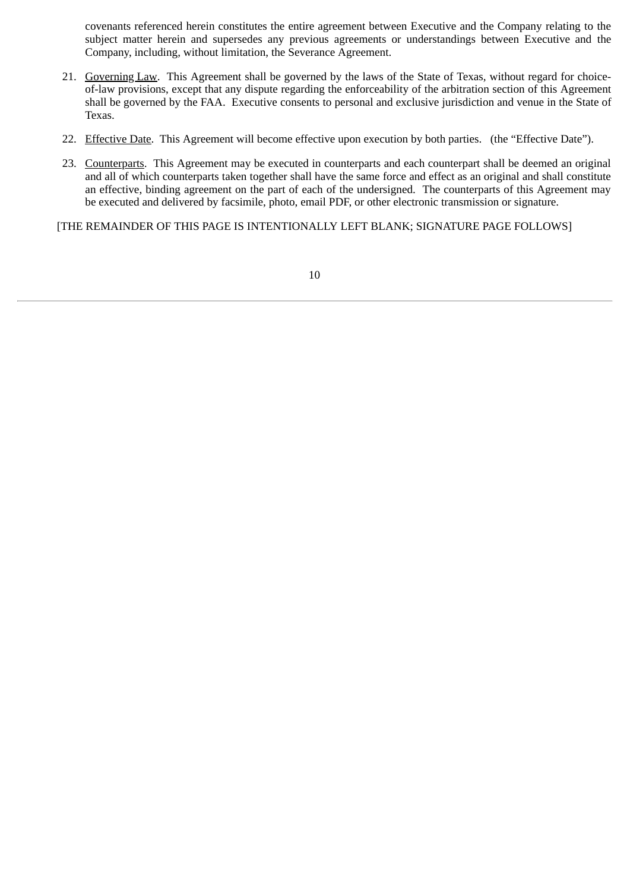covenants referenced herein constitutes the entire agreement between Executive and the Company relating to the subject matter herein and supersedes any previous agreements or understandings between Executive and the Company, including, without limitation, the Severance Agreement.

- 21. Governing Law. This Agreement shall be governed by the laws of the State of Texas, without regard for choiceof-law provisions, except that any dispute regarding the enforceability of the arbitration section of this Agreement shall be governed by the FAA. Executive consents to personal and exclusive jurisdiction and venue in the State of Texas.
- 22. Effective Date. This Agreement will become effective upon execution by both parties. (the "Effective Date").
- 23. Counterparts. This Agreement may be executed in counterparts and each counterpart shall be deemed an original and all of which counterparts taken together shall have the same force and effect as an original and shall constitute an effective, binding agreement on the part of each of the undersigned. The counterparts of this Agreement may be executed and delivered by facsimile, photo, email PDF, or other electronic transmission or signature.

[THE REMAINDER OF THIS PAGE IS INTENTIONALLY LEFT BLANK; SIGNATURE PAGE FOLLOWS]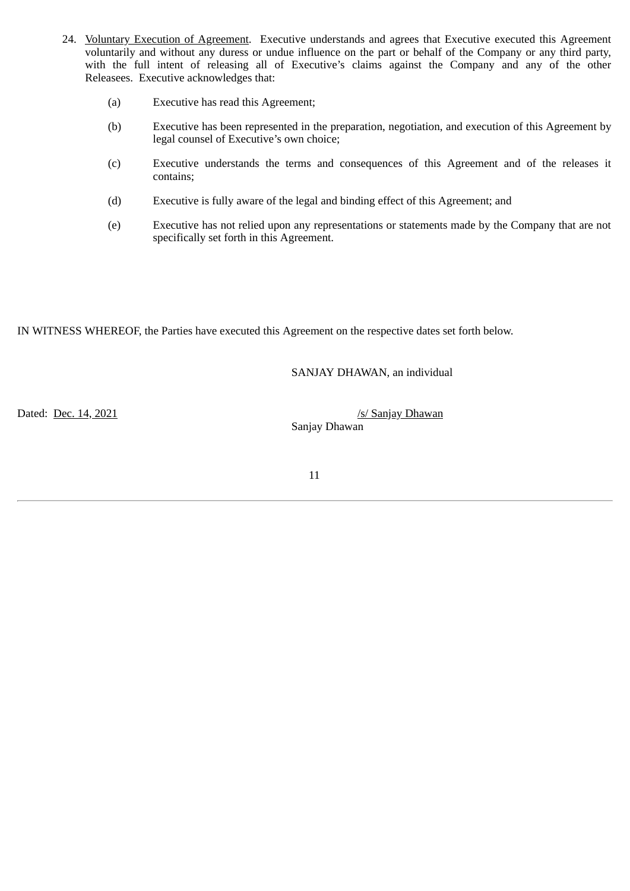- 24. Voluntary Execution of Agreement. Executive understands and agrees that Executive executed this Agreement voluntarily and without any duress or undue influence on the part or behalf of the Company or any third party, with the full intent of releasing all of Executive's claims against the Company and any of the other Releasees. Executive acknowledges that:
	- (a) Executive has read this Agreement;
	- (b) Executive has been represented in the preparation, negotiation, and execution of this Agreement by legal counsel of Executive's own choice;
	- (c) Executive understands the terms and consequences of this Agreement and of the releases it contains;
	- (d) Executive is fully aware of the legal and binding effect of this Agreement; and
	- (e) Executive has not relied upon any representations or statements made by the Company that are not specifically set forth in this Agreement.

IN WITNESS WHEREOF, the Parties have executed this Agreement on the respective dates set forth below.

SANJAY DHAWAN, an individual

Dated: <u>Dec. 14, 2021</u> and 2012 and 2013 and 2014 *Js/ Sanjay Dhawan* 

Sanjay Dhawan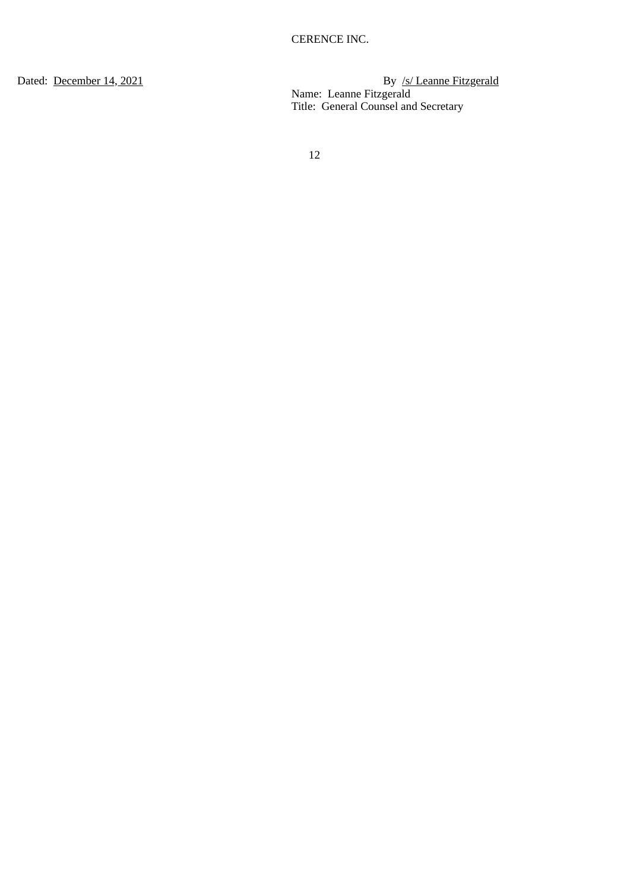Dated: December 14, 2021 By /s/ Leanne Fitzgerald Name: Leanne Fitzgerald Title: General Counsel and Secretary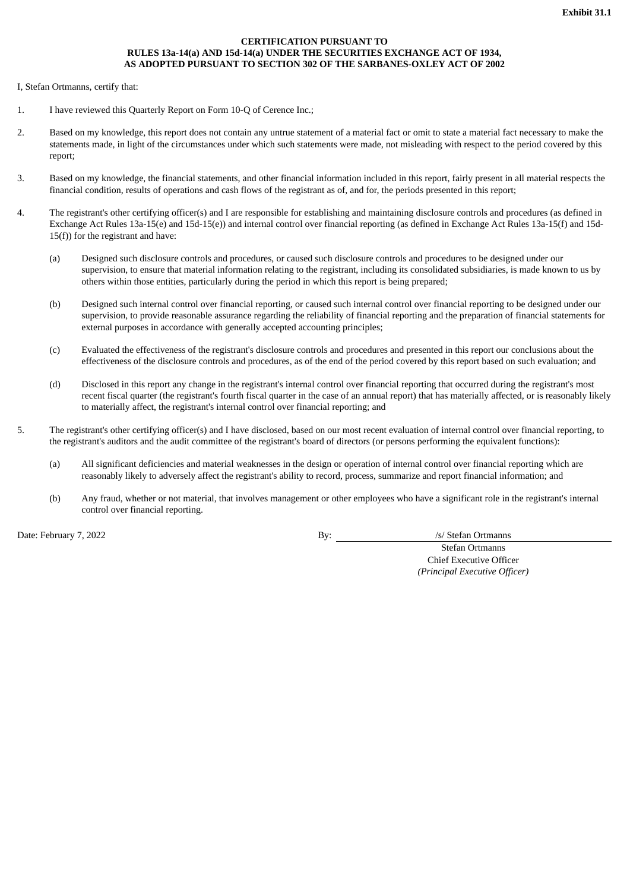## **CERTIFICATION PURSUANT TO RULES 13a-14(a) AND 15d-14(a) UNDER THE SECURITIES EXCHANGE ACT OF 1934, AS ADOPTED PURSUANT TO SECTION 302 OF THE SARBANES-OXLEY ACT OF 2002**

<span id="page-55-0"></span>I, Stefan Ortmanns, certify that:

- 1. I have reviewed this Quarterly Report on Form 10-Q of Cerence Inc.;
- 2. Based on my knowledge, this report does not contain any untrue statement of a material fact or omit to state a material fact necessary to make the statements made, in light of the circumstances under which such statements were made, not misleading with respect to the period covered by this report;
- 3. Based on my knowledge, the financial statements, and other financial information included in this report, fairly present in all material respects the financial condition, results of operations and cash flows of the registrant as of, and for, the periods presented in this report;
- 4. The registrant's other certifying officer(s) and I are responsible for establishing and maintaining disclosure controls and procedures (as defined in Exchange Act Rules 13a-15(e) and 15d-15(e)) and internal control over financial reporting (as defined in Exchange Act Rules 13a-15(f) and 15d- $15(f)$ ) for the registrant and have:
	- (a) Designed such disclosure controls and procedures, or caused such disclosure controls and procedures to be designed under our supervision, to ensure that material information relating to the registrant, including its consolidated subsidiaries, is made known to us by others within those entities, particularly during the period in which this report is being prepared;
	- (b) Designed such internal control over financial reporting, or caused such internal control over financial reporting to be designed under our supervision, to provide reasonable assurance regarding the reliability of financial reporting and the preparation of financial statements for external purposes in accordance with generally accepted accounting principles;
	- (c) Evaluated the effectiveness of the registrant's disclosure controls and procedures and presented in this report our conclusions about the effectiveness of the disclosure controls and procedures, as of the end of the period covered by this report based on such evaluation; and
	- (d) Disclosed in this report any change in the registrant's internal control over financial reporting that occurred during the registrant's most recent fiscal quarter (the registrant's fourth fiscal quarter in the case of an annual report) that has materially affected, or is reasonably likely to materially affect, the registrant's internal control over financial reporting; and
- 5. The registrant's other certifying officer(s) and I have disclosed, based on our most recent evaluation of internal control over financial reporting, to the registrant's auditors and the audit committee of the registrant's board of directors (or persons performing the equivalent functions):
	- (a) All significant deficiencies and material weaknesses in the design or operation of internal control over financial reporting which are reasonably likely to adversely affect the registrant's ability to record, process, summarize and report financial information; and
	- (b) Any fraud, whether or not material, that involves management or other employees who have a significant role in the registrant's internal control over financial reporting.

Date: February 7, 2022 By: /s/ Stefan Ortmanns

Stefan Ortmanns Chief Executive Officer *(Principal Executive Officer)*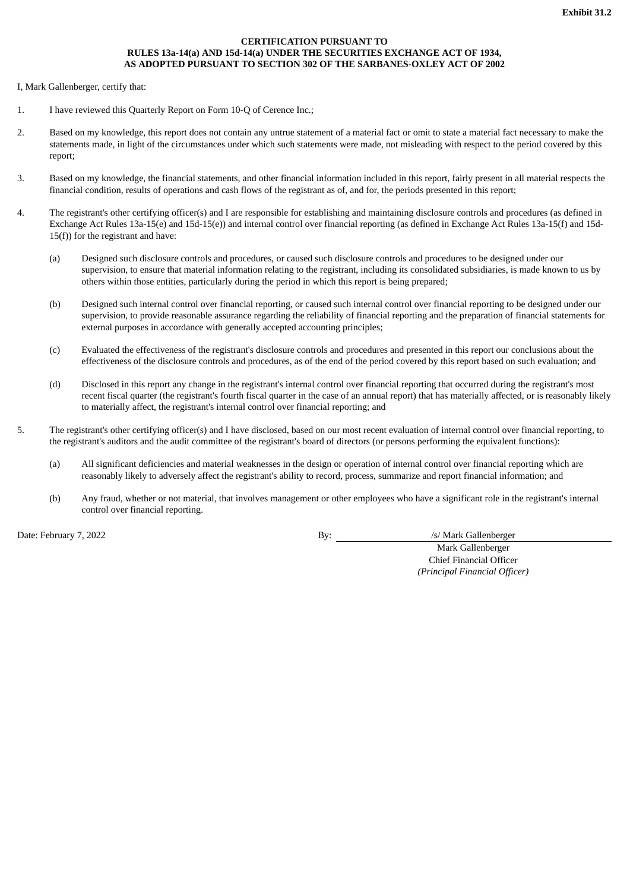## **CERTIFICATION PURSUANT TO RULES 13a-14(a) AND 15d-14(a) UNDER THE SECURITIES EXCHANGE ACT OF 1934, AS ADOPTED PURSUANT TO SECTION 302 OF THE SARBANES-OXLEY ACT OF 2002**

<span id="page-56-0"></span>I, Mark Gallenberger, certify that:

- 1. I have reviewed this Quarterly Report on Form 10-Q of Cerence Inc.;
- 2. Based on my knowledge, this report does not contain any untrue statement of a material fact or omit to state a material fact necessary to make the statements made, in light of the circumstances under which such statements were made, not misleading with respect to the period covered by this report;
- 3. Based on my knowledge, the financial statements, and other financial information included in this report, fairly present in all material respects the financial condition, results of operations and cash flows of the registrant as of, and for, the periods presented in this report;
- 4. The registrant's other certifying officer(s) and I are responsible for establishing and maintaining disclosure controls and procedures (as defined in Exchange Act Rules 13a-15(e) and 15d-15(e)) and internal control over financial reporting (as defined in Exchange Act Rules 13a-15(f) and 15d- $15(f)$ ) for the registrant and have:
	- (a) Designed such disclosure controls and procedures, or caused such disclosure controls and procedures to be designed under our supervision, to ensure that material information relating to the registrant, including its consolidated subsidiaries, is made known to us by others within those entities, particularly during the period in which this report is being prepared;
	- (b) Designed such internal control over financial reporting, or caused such internal control over financial reporting to be designed under our supervision, to provide reasonable assurance regarding the reliability of financial reporting and the preparation of financial statements for external purposes in accordance with generally accepted accounting principles;
	- (c) Evaluated the effectiveness of the registrant's disclosure controls and procedures and presented in this report our conclusions about the effectiveness of the disclosure controls and procedures, as of the end of the period covered by this report based on such evaluation; and
	- (d) Disclosed in this report any change in the registrant's internal control over financial reporting that occurred during the registrant's most recent fiscal quarter (the registrant's fourth fiscal quarter in the case of an annual report) that has materially affected, or is reasonably likely to materially affect, the registrant's internal control over financial reporting; and
- 5. The registrant's other certifying officer(s) and I have disclosed, based on our most recent evaluation of internal control over financial reporting, to the registrant's auditors and the audit committee of the registrant's board of directors (or persons performing the equivalent functions):
	- (a) All significant deficiencies and material weaknesses in the design or operation of internal control over financial reporting which are reasonably likely to adversely affect the registrant's ability to record, process, summarize and report financial information; and
	- (b) Any fraud, whether or not material, that involves management or other employees who have a significant role in the registrant's internal control over financial reporting.

Date: February 7, 2022 By: /s/ Mark Gallenberger

Mark Gallenberger Chief Financial Officer *(Principal Financial Officer)*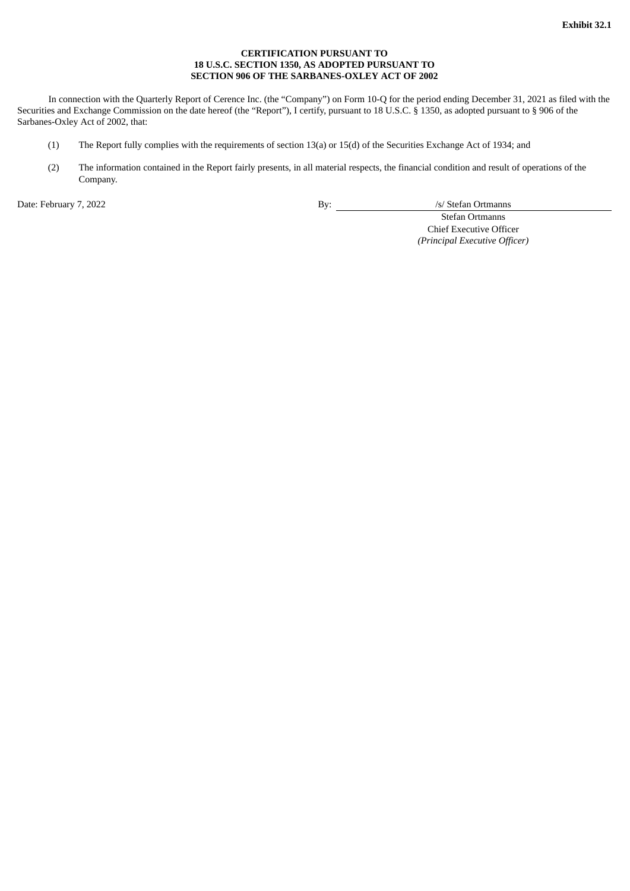## **CERTIFICATION PURSUANT TO 18 U.S.C. SECTION 1350, AS ADOPTED PURSUANT TO SECTION 906 OF THE SARBANES-OXLEY ACT OF 2002**

<span id="page-57-0"></span>In connection with the Quarterly Report of Cerence Inc. (the "Company") on Form 10-Q for the period ending December 31, 2021 as filed with the Securities and Exchange Commission on the date hereof (the "Report"), I certify, pursuant to 18 U.S.C. § 1350, as adopted pursuant to § 906 of the Sarbanes-Oxley Act of 2002, that:

- (1) The Report fully complies with the requirements of section 13(a) or 15(d) of the Securities Exchange Act of 1934; and
- (2) The information contained in the Report fairly presents, in all material respects, the financial condition and result of operations of the Company.

Date: February 7, 2022 **By:** *By: Is/ Stefan Ortmanns* 

Stefan Ortmanns Chief Executive Officer *(Principal Executive Officer)*